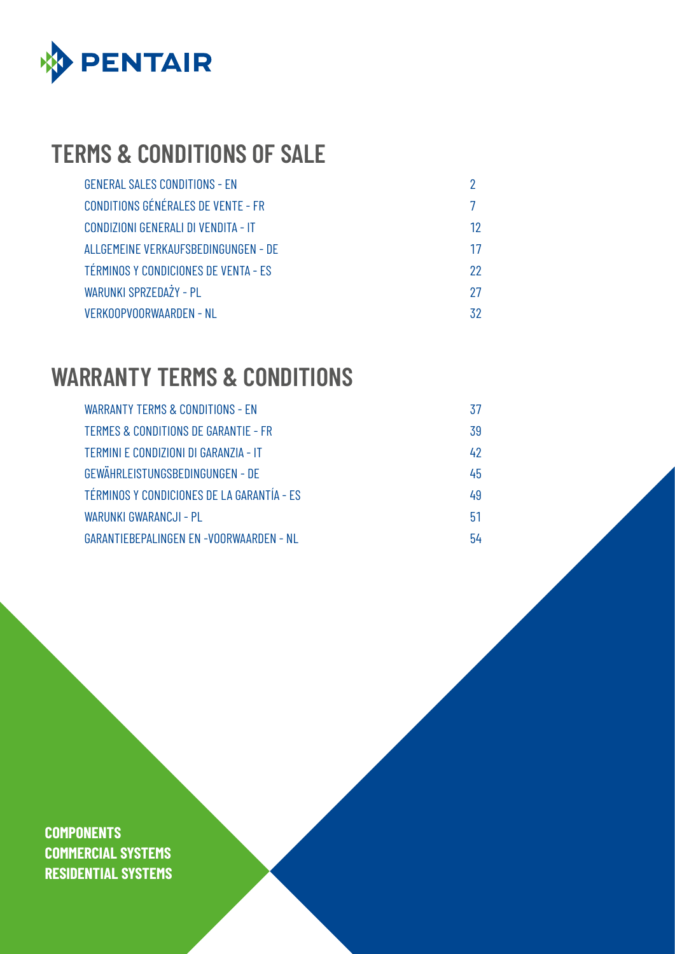

# **TERMS & CONDITIONS OF SALE**

| <b>GENERAL SALES CONDITIONS - EN</b>      |    |
|-------------------------------------------|----|
| <b>CONDITIONS GÉNÉRALES DE VENTE - FR</b> | 7  |
| CONDIZIONI GENERALI DI VENDITA - IT       | 12 |
| ALLGEMEINE VERKAUFSBEDINGUNGEN - DE       | 17 |
| TÉRMINOS Y CONDICIONES DE VENTA - ES      | 22 |
| WARUNKI SPRZEDAŻY - PL                    | 27 |
| VERKOOPVOORWAARDEN - NL                   | 32 |

# **WARRANTY TERMS & CONDITIONS**

| WARRANTY TERMS & CONDITIONS - EN               | 37 |
|------------------------------------------------|----|
| TERMES & CONDITIONS DE GARANTIE - FR           | 39 |
| TERMINI E CONDIZIONI DI GARANZIA - IT          | 42 |
| GEWÄHRLEISTUNGSBEDINGUNGEN - DE                | 45 |
| TÉRMINOS Y CONDICIONES DE LA GARANTÍA - ES     | 49 |
| WARUNKI GWARANCJI - PL                         | 51 |
| <b>GARANTIEBEPALINGEN EN -VOORWAARDEN - NL</b> | 54 |

**COMPONENTS COMMERCIAL SYSTEMS RESIDENTIAL SYSTEMS**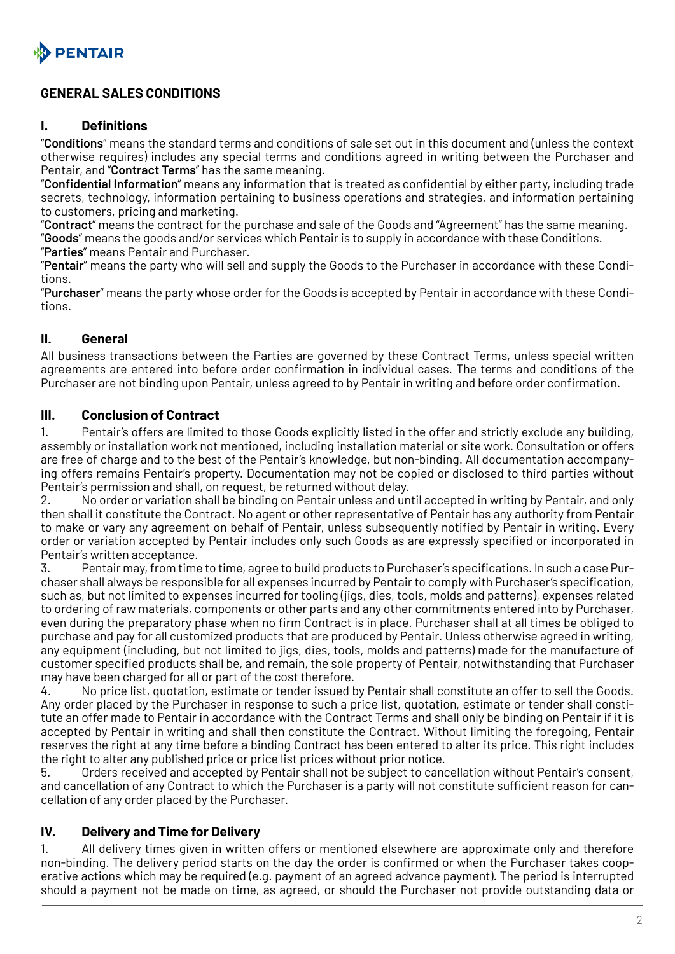<span id="page-1-0"></span>

## **GENERAL SALES CONDITIONS**

#### **I. Definitions**

"**Conditions**" means the standard terms and conditions of sale set out in this document and (unless the context otherwise requires) includes any special terms and conditions agreed in writing between the Purchaser and Pentair, and "**Contract Terms**" has the same meaning.

"**Confidential Information**" means any information that is treated as confidential by either party, including trade secrets, technology, information pertaining to business operations and strategies, and information pertaining to customers, pricing and marketing.

"**Contract**" means the contract for the purchase and sale of the Goods and "Agreement" has the same meaning. "**Goods**" means the goods and/or services which Pentair is to supply in accordance with these Conditions. "**Parties**" means Pentair and Purchaser.

"**Pentair**" means the party who will sell and supply the Goods to the Purchaser in accordance with these Conditions.

"**Purchaser**" means the party whose order for the Goods is accepted by Pentair in accordance with these Conditions.

#### **II. General**

All business transactions between the Parties are governed by these Contract Terms, unless special written agreements are entered into before order confirmation in individual cases. The terms and conditions of the Purchaser are not binding upon Pentair, unless agreed to by Pentair in writing and before order confirmation.

#### **III. Conclusion of Contract**

1. Pentair's offers are limited to those Goods explicitly listed in the offer and strictly exclude any building, assembly or installation work not mentioned, including installation material or site work. Consultation or offers are free of charge and to the best of the Pentair's knowledge, but non-binding. All documentation accompanying offers remains Pentair's property. Documentation may not be copied or disclosed to third parties without Pentair's permission and shall, on request, be returned without delay.

2. No order or variation shall be binding on Pentair unless and until accepted in writing by Pentair, and only then shall it constitute the Contract. No agent or other representative of Pentair has any authority from Pentair to make or vary any agreement on behalf of Pentair, unless subsequently notified by Pentair in writing. Every order or variation accepted by Pentair includes only such Goods as are expressly specified or incorporated in Pentair's written acceptance.

3. Pentair may, from time to time, agree to build products to Purchaser's specifications. In such a case Purchaser shall always be responsible for all expenses incurred by Pentair to comply with Purchaser's specification, such as, but not limited to expenses incurred for tooling (jigs, dies, tools, molds and patterns), expenses related to ordering of raw materials, components or other parts and any other commitments entered into by Purchaser, even during the preparatory phase when no firm Contract is in place. Purchaser shall at all times be obliged to purchase and pay for all customized products that are produced by Pentair. Unless otherwise agreed in writing, any equipment (including, but not limited to jigs, dies, tools, molds and patterns) made for the manufacture of customer specified products shall be, and remain, the sole property of Pentair, notwithstanding that Purchaser may have been charged for all or part of the cost therefore.

4. No price list, quotation, estimate or tender issued by Pentair shall constitute an offer to sell the Goods. Any order placed by the Purchaser in response to such a price list, quotation, estimate or tender shall constitute an offer made to Pentair in accordance with the Contract Terms and shall only be binding on Pentair if it is accepted by Pentair in writing and shall then constitute the Contract. Without limiting the foregoing, Pentair reserves the right at any time before a binding Contract has been entered to alter its price. This right includes the right to alter any published price or price list prices without prior notice.

5. Orders received and accepted by Pentair shall not be subject to cancellation without Pentair's consent, and cancellation of any Contract to which the Purchaser is a party will not constitute sufficient reason for cancellation of any order placed by the Purchaser.

## **IV. Delivery and Time for Delivery**

1. All delivery times given in written offers or mentioned elsewhere are approximate only and therefore non-binding. The delivery period starts on the day the order is confirmed or when the Purchaser takes cooperative actions which may be required (e.g. payment of an agreed advance payment). The period is interrupted should a payment not be made on time, as agreed, or should the Purchaser not provide outstanding data or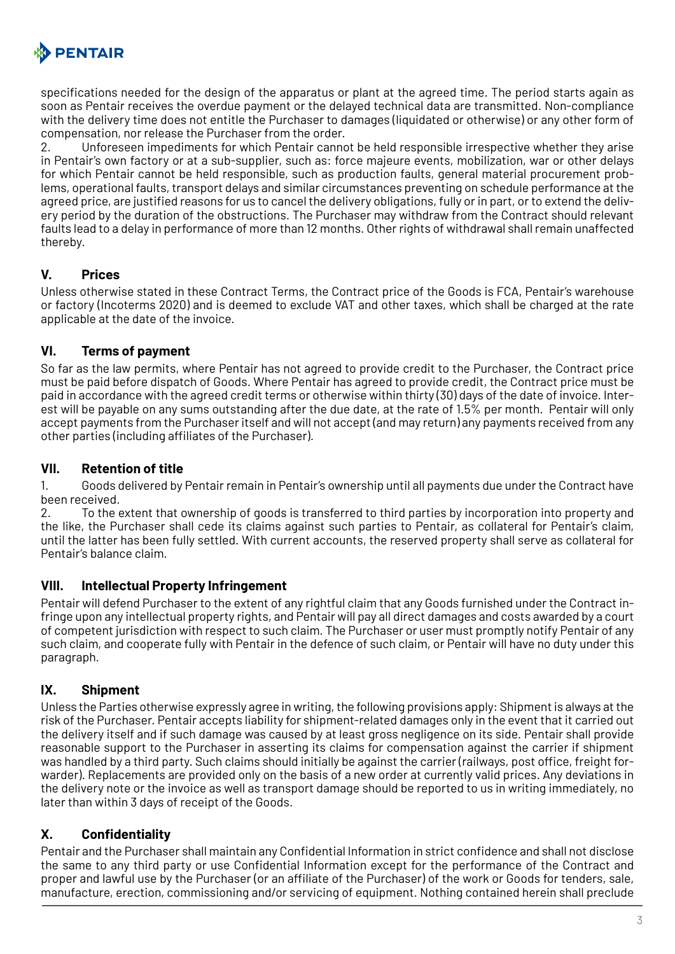

specifications needed for the design of the apparatus or plant at the agreed time. The period starts again as soon as Pentair receives the overdue payment or the delayed technical data are transmitted. Non-compliance with the delivery time does not entitle the Purchaser to damages (liquidated or otherwise) or any other form of compensation, nor release the Purchaser from the order.

2. Unforeseen impediments for which Pentair cannot be held responsible irrespective whether they arise in Pentair's own factory or at a sub-supplier, such as: force majeure events, mobilization, war or other delays for which Pentair cannot be held responsible, such as production faults, general material procurement problems, operational faults, transport delays and similar circumstances preventing on schedule performance at the agreed price, are justified reasons for us to cancel the delivery obligations, fully or in part, or to extend the delivery period by the duration of the obstructions. The Purchaser may withdraw from the Contract should relevant faults lead to a delay in performance of more than 12 months. Other rights of withdrawal shall remain unaffected thereby.

#### **V. Prices**

Unless otherwise stated in these Contract Terms, the Contract price of the Goods is FCA, Pentair's warehouse or factory (Incoterms 2020) and is deemed to exclude VAT and other taxes, which shall be charged at the rate applicable at the date of the invoice.

#### **VI. Terms of payment**

So far as the law permits, where Pentair has not agreed to provide credit to the Purchaser, the Contract price must be paid before dispatch of Goods. Where Pentair has agreed to provide credit, the Contract price must be paid in accordance with the agreed credit terms or otherwise within thirty (30) days of the date of invoice. Interest will be payable on any sums outstanding after the due date, at the rate of 1.5% per month. Pentair will only accept payments from the Purchaser itself and will not accept (and may return) any payments received from any other parties (including affiliates of the Purchaser).

#### **VII. Retention of title**

1. Goods delivered by Pentair remain in Pentair's ownership until all payments due under the Contract have been received.

2. To the extent that ownership of goods is transferred to third parties by incorporation into property and the like, the Purchaser shall cede its claims against such parties to Pentair, as collateral for Pentair's claim, until the latter has been fully settled. With current accounts, the reserved property shall serve as collateral for Pentair's balance claim.

#### **VIII. Intellectual Property Infringement**

Pentair will defend Purchaser to the extent of any rightful claim that any Goods furnished under the Contract infringe upon any intellectual property rights, and Pentair will pay all direct damages and costs awarded by a court of competent jurisdiction with respect to such claim. The Purchaser or user must promptly notify Pentair of any such claim, and cooperate fully with Pentair in the defence of such claim, or Pentair will have no duty under this paragraph.

#### **IX. Shipment**

Unless the Parties otherwise expressly agree in writing, the following provisions apply: Shipment is always at the risk of the Purchaser. Pentair accepts liability for shipment-related damages only in the event that it carried out the delivery itself and if such damage was caused by at least gross negligence on its side. Pentair shall provide reasonable support to the Purchaser in asserting its claims for compensation against the carrier if shipment was handled by a third party. Such claims should initially be against the carrier (railways, post office, freight forwarder). Replacements are provided only on the basis of a new order at currently valid prices. Any deviations in the delivery note or the invoice as well as transport damage should be reported to us in writing immediately, no later than within 3 days of receipt of the Goods.

## **X. Confidentiality**

Pentair and the Purchaser shall maintain any Confidential Information in strict confidence and shall not disclose the same to any third party or use Confidential Information except for the performance of the Contract and proper and lawful use by the Purchaser (or an affiliate of the Purchaser) of the work or Goods for tenders, sale, manufacture, erection, commissioning and/or servicing of equipment. Nothing contained herein shall preclude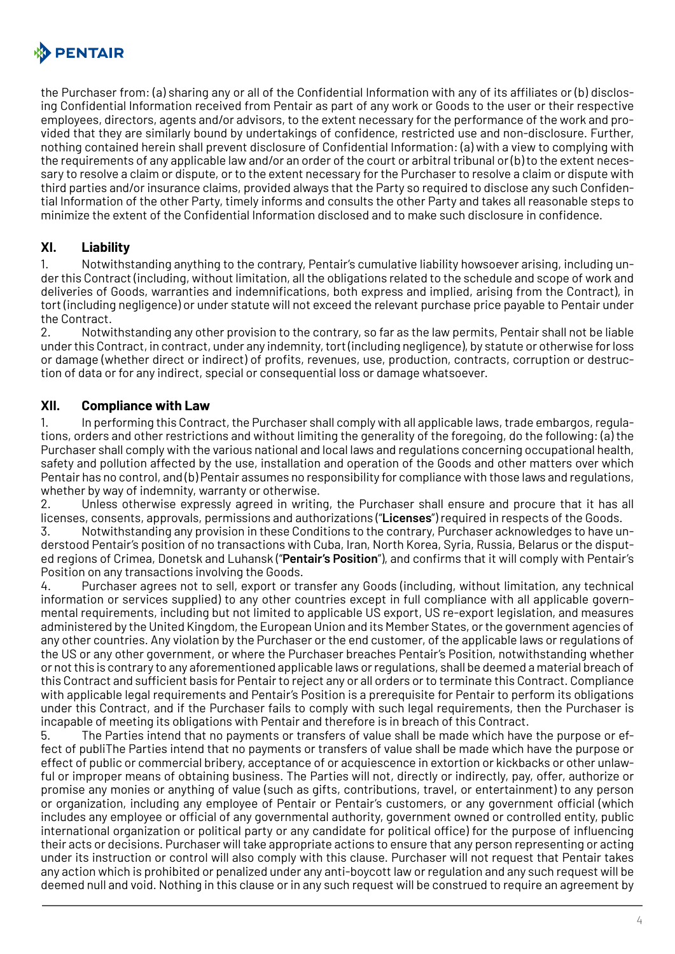

the Purchaser from: (a) sharing any or all of the Confidential Information with any of its affiliates or (b) disclosing Confidential Information received from Pentair as part of any work or Goods to the user or their respective employees, directors, agents and/or advisors, to the extent necessary for the performance of the work and provided that they are similarly bound by undertakings of confidence, restricted use and non-disclosure. Further, nothing contained herein shall prevent disclosure of Confidential Information: (a) with a view to complying with the requirements of any applicable law and/or an order of the court or arbitral tribunal or (b) to the extent necessary to resolve a claim or dispute, or to the extent necessary for the Purchaser to resolve a claim or dispute with third parties and/or insurance claims, provided always that the Party so required to disclose any such Confidential Information of the other Party, timely informs and consults the other Party and takes all reasonable steps to minimize the extent of the Confidential Information disclosed and to make such disclosure in confidence.

#### **XI. Liability**

1. Notwithstanding anything to the contrary, Pentair's cumulative liability howsoever arising, including under this Contract (including, without limitation, all the obligations related to the schedule and scope of work and deliveries of Goods, warranties and indemnifications, both express and implied, arising from the Contract), in tort (including negligence) or under statute will not exceed the relevant purchase price payable to Pentair under the Contract.

2. Notwithstanding any other provision to the contrary, so far as the law permits, Pentair shall not be liable under this Contract, in contract, under any indemnity, tort (including negligence), by statute or otherwise for loss or damage (whether direct or indirect) of profits, revenues, use, production, contracts, corruption or destruction of data or for any indirect, special or consequential loss or damage whatsoever.

#### **XII. Compliance with Law**

1. In performing this Contract, the Purchaser shall comply with all applicable laws, trade embargos, regulations, orders and other restrictions and without limiting the generality of the foregoing, do the following: (a) the Purchaser shall comply with the various national and local laws and regulations concerning occupational health, safety and pollution affected by the use, installation and operation of the Goods and other matters over which Pentair has no control, and (b) Pentair assumes no responsibility for compliance with those laws and regulations, whether by way of indemnity, warranty or otherwise.

2. Unless otherwise expressly agreed in writing, the Purchaser shall ensure and procure that it has all licenses, consents, approvals, permissions and authorizations ("**Licenses**") required in respects of the Goods.

3. Notwithstanding any provision in these Conditions to the contrary, Purchaser acknowledges to have understood Pentair's position of no transactions with Cuba, Iran, North Korea, Syria, Russia, Belarus or the disputed regions of Crimea, Donetsk and Luhansk ("**Pentair's Position**"), and confirms that it will comply with Pentair's Position on any transactions involving the Goods.

4. Purchaser agrees not to sell, export or transfer any Goods (including, without limitation, any technical information or services supplied) to any other countries except in full compliance with all applicable governmental requirements, including but not limited to applicable US export, US re-export legislation, and measures administered by the United Kingdom, the European Union and its Member States, or the government agencies of any other countries. Any violation by the Purchaser or the end customer, of the applicable laws or regulations of the US or any other government, or where the Purchaser breaches Pentair's Position, notwithstanding whether or not this is contrary to any aforementioned applicable laws or regulations, shall be deemed a material breach of this Contract and sufficient basis for Pentair to reject any or all orders or to terminate this Contract. Compliance with applicable legal requirements and Pentair's Position is a prerequisite for Pentair to perform its obligations under this Contract, and if the Purchaser fails to comply with such legal requirements, then the Purchaser is incapable of meeting its obligations with Pentair and therefore is in breach of this Contract.

5. The Parties intend that no payments or transfers of value shall be made which have the purpose or effect of publiThe Parties intend that no payments or transfers of value shall be made which have the purpose or effect of public or commercial bribery, acceptance of or acquiescence in extortion or kickbacks or other unlawful or improper means of obtaining business. The Parties will not, directly or indirectly, pay, offer, authorize or promise any monies or anything of value (such as gifts, contributions, travel, or entertainment) to any person or organization, including any employee of Pentair or Pentair's customers, or any government official (which includes any employee or official of any governmental authority, government owned or controlled entity, public international organization or political party or any candidate for political office) for the purpose of influencing their acts or decisions. Purchaser will take appropriate actions to ensure that any person representing or acting under its instruction or control will also comply with this clause. Purchaser will not request that Pentair takes any action which is prohibited or penalized under any anti-boycott law or regulation and any such request will be deemed null and void. Nothing in this clause or in any such request will be construed to require an agreement by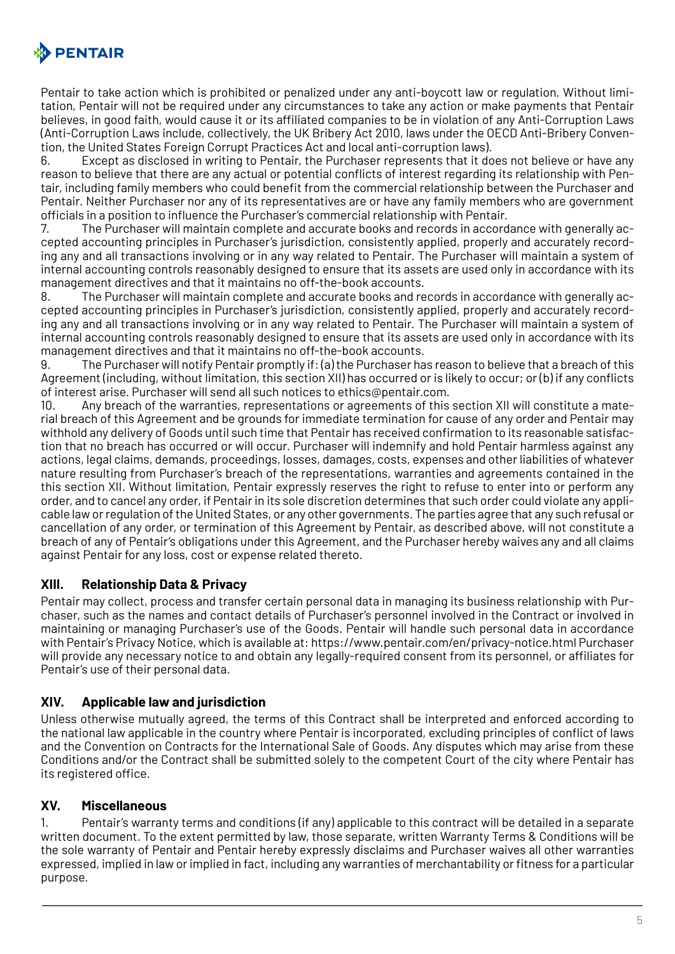

Pentair to take action which is prohibited or penalized under any anti-boycott law or regulation. Without limitation, Pentair will not be required under any circumstances to take any action or make payments that Pentair believes, in good faith, would cause it or its affiliated companies to be in violation of any Anti-Corruption Laws (Anti-Corruption Laws include, collectively, the UK Bribery Act 2010, laws under the OECD Anti-Bribery Convention, the United States Foreign Corrupt Practices Act and local anti-corruption laws).

6. Except as disclosed in writing to Pentair, the Purchaser represents that it does not believe or have any reason to believe that there are any actual or potential conflicts of interest regarding its relationship with Pentair, including family members who could benefit from the commercial relationship between the Purchaser and Pentair. Neither Purchaser nor any of its representatives are or have any family members who are government officials in a position to influence the Purchaser's commercial relationship with Pentair.

7. The Purchaser will maintain complete and accurate books and records in accordance with generally accepted accounting principles in Purchaser's jurisdiction, consistently applied, properly and accurately recording any and all transactions involving or in any way related to Pentair. The Purchaser will maintain a system of internal accounting controls reasonably designed to ensure that its assets are used only in accordance with its management directives and that it maintains no off-the-book accounts.

8. The Purchaser will maintain complete and accurate books and records in accordance with generally accepted accounting principles in Purchaser's jurisdiction, consistently applied, properly and accurately recording any and all transactions involving or in any way related to Pentair. The Purchaser will maintain a system of internal accounting controls reasonably designed to ensure that its assets are used only in accordance with its management directives and that it maintains no off-the-book accounts.

9. The Purchaser will notify Pentair promptly if: (a) the Purchaser has reason to believe that a breach of this Agreement (including, without limitation, this section XII) has occurred or is likely to occur; or (b) if any conflicts of interest arise. Purchaser will send all such notices to ethics@pentair.com.

10. Any breach of the warranties, representations or agreements of this section XII will constitute a material breach of this Agreement and be grounds for immediate termination for cause of any order and Pentair may withhold any delivery of Goods until such time that Pentair has received confirmation to its reasonable satisfaction that no breach has occurred or will occur. Purchaser will indemnify and hold Pentair harmless against any actions, legal claims, demands, proceedings, losses, damages, costs, expenses and other liabilities of whatever nature resulting from Purchaser's breach of the representations, warranties and agreements contained in the this section XII. Without limitation, Pentair expressly reserves the right to refuse to enter into or perform any order, and to cancel any order, if Pentair in its sole discretion determines that such order could violate any applicable law or regulation of the United States, or any other governments. The parties agree that any such refusal or cancellation of any order, or termination of this Agreement by Pentair, as described above, will not constitute a breach of any of Pentair's obligations under this Agreement, and the Purchaser hereby waives any and all claims against Pentair for any loss, cost or expense related thereto.

## **XIII. Relationship Data & Privacy**

Pentair may collect, process and transfer certain personal data in managing its business relationship with Purchaser, such as the names and contact details of Purchaser's personnel involved in the Contract or involved in maintaining or managing Purchaser's use of the Goods. Pentair will handle such personal data in accordance with Pentair's Privacy Notice, which is available at: https://www.pentair.com/en/privacy-notice.html Purchaser will provide any necessary notice to and obtain any legally-required consent from its personnel, or affiliates for Pentair's use of their personal data.

#### **XIV. Applicable law and jurisdiction**

Unless otherwise mutually agreed, the terms of this Contract shall be interpreted and enforced according to the national law applicable in the country where Pentair is incorporated, excluding principles of conflict of laws and the Convention on Contracts for the International Sale of Goods. Any disputes which may arise from these Conditions and/or the Contract shall be submitted solely to the competent Court of the city where Pentair has its registered office.

## **XV. Miscellaneous**

1. Pentair's warranty terms and conditions (if any) applicable to this contract will be detailed in a separate written document. To the extent permitted by law, those separate, written Warranty Terms & Conditions will be the sole warranty of Pentair and Pentair hereby expressly disclaims and Purchaser waives all other warranties expressed, implied in law or implied in fact, including any warranties of merchantability or fitness for a particular purpose.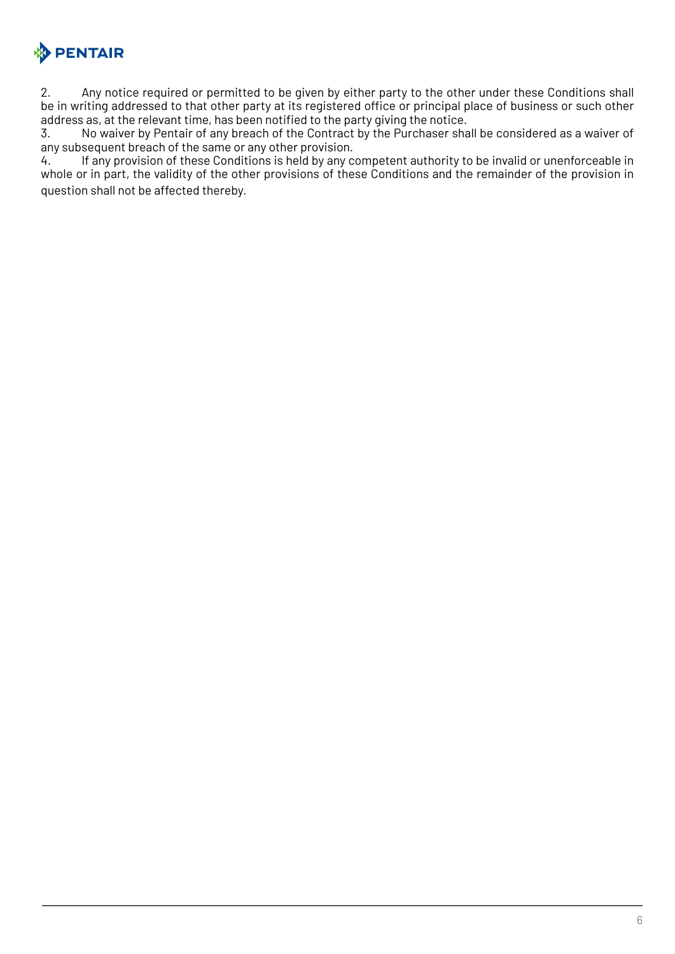

2. Any notice required or permitted to be given by either party to the other under these Conditions shall be in writing addressed to that other party at its registered office or principal place of business or such other address as, at the relevant time, has been notified to the party giving the notice.

3. No waiver by Pentair of any breach of the Contract by the Purchaser shall be considered as a waiver of any subsequent breach of the same or any other provision.

4. If any provision of these Conditions is held by any competent authority to be invalid or unenforceable in whole or in part, the validity of the other provisions of these Conditions and the remainder of the provision in question shall not be affected thereby.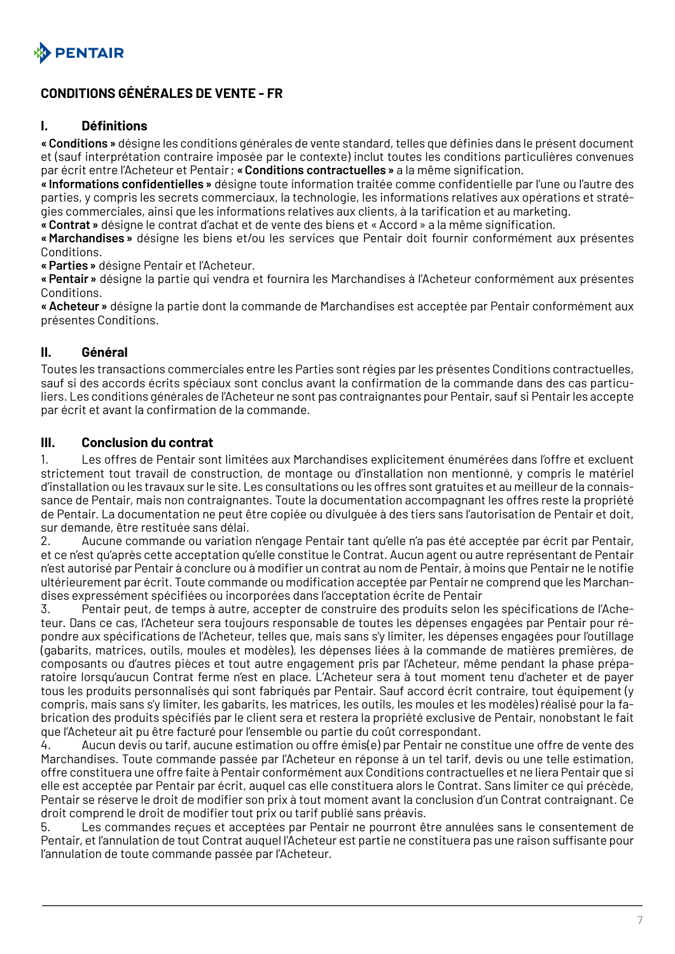<span id="page-6-0"></span>

## **CONDITIONS GÉNÉRALES DE VENTE - FR**

#### **I. Définitions**

**«Conditions»** désigne les conditions générales de vente standard, telles que définies dans le présent document et (sauf interprétation contraire imposée par le contexte) inclut toutes les conditions particulières convenues par écrit entre l'Acheteur et Pentair; **«Conditions contractuelles»** a la même signification.

**«Informations confidentielles»** désigne toute information traitée comme confidentielle par l'une ou l'autre des parties, y compris les secrets commerciaux, la technologie, les informations relatives aux opérations et stratégies commerciales, ainsi que les informations relatives aux clients, à la tarification et au marketing.

**«Contrat»** désigne le contrat d'achat et de vente des biens et «Accord» a la même signification.

**«Marchandises»** désigne les biens et/ou les services que Pentair doit fournir conformément aux présentes Conditions.

**«Parties»** désigne Pentair et l'Acheteur.

**«Pentair»** désigne la partie qui vendra et fournira les Marchandises à l'Acheteur conformément aux présentes Conditions.

**«Acheteur»** désigne la partie dont la commande de Marchandises est acceptée par Pentair conformément aux présentes Conditions.

#### **II. Général**

Toutes les transactions commerciales entre les Parties sont régies par les présentes Conditions contractuelles, sauf si des accords écrits spéciaux sont conclus avant la confirmation de la commande dans des cas particuliers. Les conditions générales de l'Acheteur ne sont pas contraignantes pour Pentair, sauf si Pentair les accepte par écrit et avant la confirmation de la commande.

#### **III. Conclusion du contrat**

1. Les offres de Pentair sont limitées aux Marchandises explicitement énumérées dans l'offre et excluent strictement tout travail de construction, de montage ou d'installation non mentionné, y compris le matériel d'installation ou les travaux sur le site. Les consultations ou les offres sont gratuites et au meilleur de la connaissance de Pentair, mais non contraignantes. Toute la documentation accompagnant les offres reste la propriété de Pentair. La documentation ne peut être copiée ou divulguée à des tiers sans l'autorisation de Pentair et doit, sur demande, être restituée sans délai.

2. Aucune commande ou variation n'engage Pentair tant qu'elle n'a pas été acceptée par écrit par Pentair, et ce n'est qu'après cette acceptation qu'elle constitue le Contrat. Aucun agent ou autre représentant de Pentair n'est autorisé par Pentair à conclure ou à modifier un contrat au nom de Pentair, à moins que Pentair ne le notifie ultérieurement par écrit. Toute commande ou modification acceptée par Pentair ne comprend que les Marchandises expressément spécifiées ou incorporées dans l'acceptation écrite de Pentair

3. Pentair peut, de temps à autre, accepter de construire des produits selon les spécifications de l'Acheteur. Dans ce cas, l'Acheteur sera toujours responsable de toutes les dépenses engagées par Pentair pour répondre aux spécifications de l'Acheteur, telles que, mais sans s'y limiter, les dépenses engagées pour l'outillage (gabarits, matrices, outils, moules et modèles), les dépenses liées à la commande de matières premières, de composants ou d'autres pièces et tout autre engagement pris par l'Acheteur, même pendant la phase préparatoire lorsqu'aucun Contrat ferme n'est en place. L'Acheteur sera à tout moment tenu d'acheter et de payer tous les produits personnalisés qui sont fabriqués par Pentair. Sauf accord écrit contraire, tout équipement (y compris, mais sans s'y limiter, les gabarits, les matrices, les outils, les moules et les modèles) réalisé pour la fabrication des produits spécifiés par le client sera et restera la propriété exclusive de Pentair, nonobstant le fait que l'Acheteur ait pu être facturé pour l'ensemble ou partie du coût correspondant.

4. Aucun devis ou tarif, aucune estimation ou offre émis(e) par Pentair ne constitue une offre de vente des Marchandises. Toute commande passée par l'Acheteur en réponse à un tel tarif, devis ou une telle estimation, offre constituera une offre faite à Pentair conformément aux Conditions contractuelles et ne liera Pentair que si elle est acceptée par Pentair par écrit, auquel cas elle constituera alors le Contrat. Sans limiter ce qui précède, Pentair se réserve le droit de modifier son prix à tout moment avant la conclusion d'un Contrat contraignant. Ce droit comprend le droit de modifier tout prix ou tarif publié sans préavis.

5. Les commandes reçues et acceptées par Pentair ne pourront être annulées sans le consentement de Pentair, et l'annulation de tout Contrat auquel l'Acheteur est partie ne constituera pas une raison suffisante pour l'annulation de toute commande passée par l'Acheteur.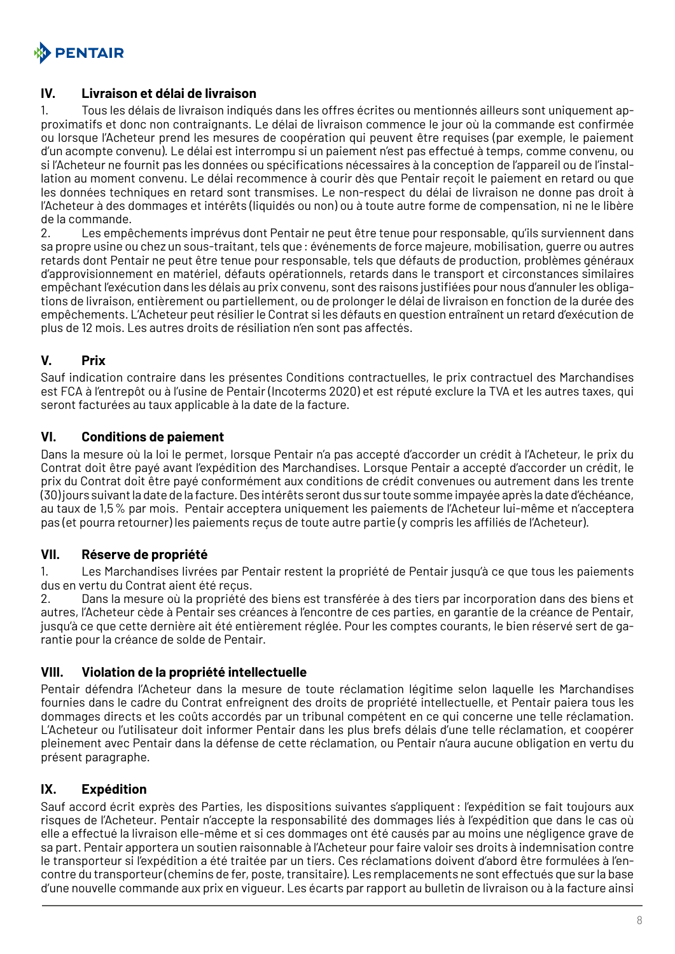

#### **IV. Livraison et délai de livraison**

1. Tous les délais de livraison indiqués dans les offres écrites ou mentionnés ailleurs sont uniquement approximatifs et donc non contraignants. Le délai de livraison commence le jour où la commande est confirmée ou lorsque l'Acheteur prend les mesures de coopération qui peuvent être requises (par exemple, le paiement d'un acompte convenu). Le délai est interrompu si un paiement n'est pas effectué à temps, comme convenu, ou si l'Acheteur ne fournit pas les données ou spécifications nécessaires à la conception de l'appareil ou de l'installation au moment convenu. Le délai recommence à courir dès que Pentair reçoit le paiement en retard ou que les données techniques en retard sont transmises. Le non-respect du délai de livraison ne donne pas droit à l'Acheteur à des dommages et intérêts (liquidés ou non) ou à toute autre forme de compensation, ni ne le libère de la commande.

2. Les empêchements imprévus dont Pentair ne peut être tenue pour responsable, qu'ils surviennent dans sa propre usine ou chez un sous-traitant, tels que: événements de force majeure, mobilisation, guerre ou autres retards dont Pentair ne peut être tenue pour responsable, tels que défauts de production, problèmes généraux d'approvisionnement en matériel, défauts opérationnels, retards dans le transport et circonstances similaires empêchant l'exécution dans les délais au prix convenu, sont des raisons justifiées pour nous d'annuler les obligations de livraison, entièrement ou partiellement, ou de prolonger le délai de livraison en fonction de la durée des empêchements. L'Acheteur peut résilier le Contrat si les défauts en question entraînent un retard d'exécution de plus de 12 mois. Les autres droits de résiliation n'en sont pas affectés.

## **V. Prix**

Sauf indication contraire dans les présentes Conditions contractuelles, le prix contractuel des Marchandises est FCA à l'entrepôt ou à l'usine de Pentair (Incoterms 2020) et est réputé exclure la TVA et les autres taxes, qui seront facturées au taux applicable à la date de la facture.

## **VI. Conditions de paiement**

Dans la mesure où la loi le permet, lorsque Pentair n'a pas accepté d'accorder un crédit à l'Acheteur, le prix du Contrat doit être payé avant l'expédition des Marchandises. Lorsque Pentair a accepté d'accorder un crédit, le prix du Contrat doit être payé conformément aux conditions de crédit convenues ou autrement dans les trente (30) jours suivant la date de la facture. Des intérêts seront dus sur toute somme impayée après la date d'échéance, au taux de 1,5% par mois. Pentair acceptera uniquement les paiements de l'Acheteur lui-même et n'acceptera pas (et pourra retourner) les paiements reçus de toute autre partie (y compris les affiliés de l'Acheteur).

#### **VII. Réserve de propriété**

1. Les Marchandises livrées par Pentair restent la propriété de Pentair jusqu'à ce que tous les paiements dus en vertu du Contrat aient été reçus.

2. Dans la mesure où la propriété des biens est transférée à des tiers par incorporation dans des biens et autres, l'Acheteur cède à Pentair ses créances à l'encontre de ces parties, en garantie de la créance de Pentair, jusqu'à ce que cette dernière ait été entièrement réglée. Pour les comptes courants, le bien réservé sert de garantie pour la créance de solde de Pentair.

#### **VIII. Violation de la propriété intellectuelle**

Pentair défendra l'Acheteur dans la mesure de toute réclamation légitime selon laquelle les Marchandises fournies dans le cadre du Contrat enfreignent des droits de propriété intellectuelle, et Pentair paiera tous les dommages directs et les coûts accordés par un tribunal compétent en ce qui concerne une telle réclamation. L'Acheteur ou l'utilisateur doit informer Pentair dans les plus brefs délais d'une telle réclamation, et coopérer pleinement avec Pentair dans la défense de cette réclamation, ou Pentair n'aura aucune obligation en vertu du présent paragraphe.

## **IX. Expédition**

Sauf accord écrit exprès des Parties, les dispositions suivantes s'appliquent: l'expédition se fait toujours aux risques de l'Acheteur. Pentair n'accepte la responsabilité des dommages liés à l'expédition que dans le cas où elle a effectué la livraison elle-même et si ces dommages ont été causés par au moins une négligence grave de sa part. Pentair apportera un soutien raisonnable à l'Acheteur pour faire valoir ses droits à indemnisation contre le transporteur si l'expédition a été traitée par un tiers. Ces réclamations doivent d'abord être formulées à l'encontre du transporteur (chemins de fer, poste, transitaire). Les remplacements ne sont effectués que sur la base d'une nouvelle commande aux prix en vigueur. Les écarts par rapport au bulletin de livraison ou à la facture ainsi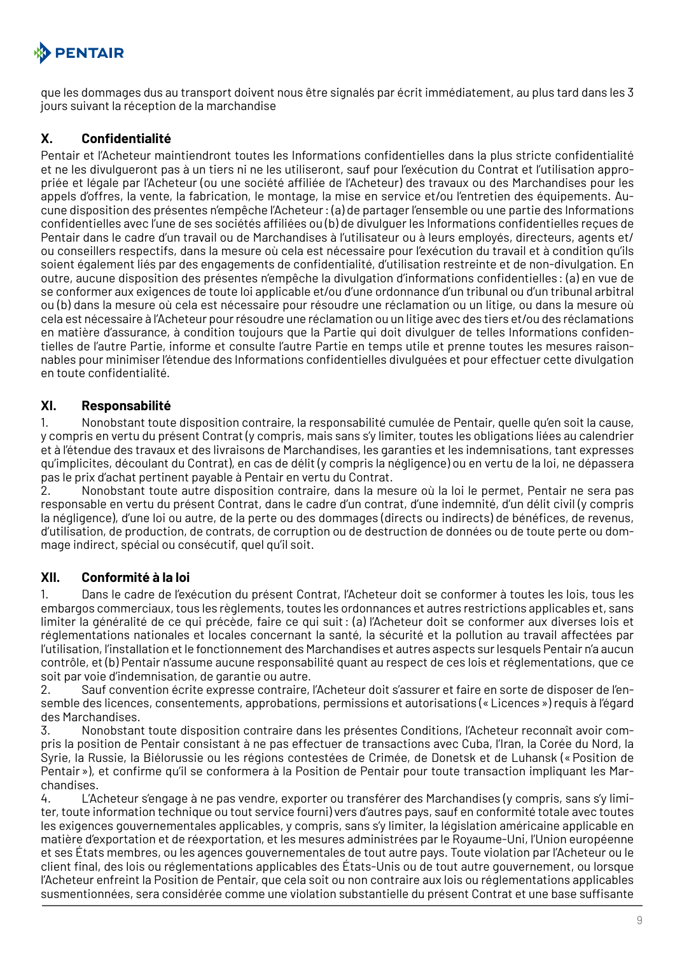

que les dommages dus au transport doivent nous être signalés par écrit immédiatement, au plus tard dans les 3 jours suivant la réception de la marchandise

## **X. Confidentialité**

Pentair et l'Acheteur maintiendront toutes les Informations confidentielles dans la plus stricte confidentialité et ne les divulgueront pas à un tiers ni ne les utiliseront, sauf pour l'exécution du Contrat et l'utilisation appropriée et légale par l'Acheteur (ou une société affiliée de l'Acheteur) des travaux ou des Marchandises pour les appels d'offres, la vente, la fabrication, le montage, la mise en service et/ou l'entretien des équipements. Aucune disposition des présentes n'empêche l'Acheteur: (a) de partager l'ensemble ou une partie des Informations confidentielles avec l'une de ses sociétés affiliées ou (b) de divulguer les Informations confidentielles reçues de Pentair dans le cadre d'un travail ou de Marchandises à l'utilisateur ou à leurs employés, directeurs, agents et/ ou conseillers respectifs, dans la mesure où cela est nécessaire pour l'exécution du travail et à condition qu'ils soient également liés par des engagements de confidentialité, d'utilisation restreinte et de non-divulgation. En outre, aucune disposition des présentes n'empêche la divulgation d'informations confidentielles : (a) en vue de se conformer aux exigences de toute loi applicable et/ou d'une ordonnance d'un tribunal ou d'un tribunal arbitral ou (b) dans la mesure où cela est nécessaire pour résoudre une réclamation ou un litige, ou dans la mesure où cela est nécessaire à l'Acheteur pour résoudre une réclamation ou un litige avec des tiers et/ou des réclamations en matière d'assurance, à condition toujours que la Partie qui doit divulguer de telles Informations confidentielles de l'autre Partie, informe et consulte l'autre Partie en temps utile et prenne toutes les mesures raisonnables pour minimiser l'étendue des Informations confidentielles divulguées et pour effectuer cette divulgation en toute confidentialité.

## **XI. Responsabilité**

1. Nonobstant toute disposition contraire, la responsabilité cumulée de Pentair, quelle qu'en soit la cause, y compris en vertu du présent Contrat (y compris, mais sans s'y limiter, toutes les obligations liées au calendrier et à l'étendue des travaux et des livraisons de Marchandises, les garanties et les indemnisations, tant expresses qu'implicites, découlant du Contrat), en cas de délit (y compris la négligence) ou en vertu de la loi, ne dépassera pas le prix d'achat pertinent payable à Pentair en vertu du Contrat.

2. Nonobstant toute autre disposition contraire, dans la mesure où la loi le permet, Pentair ne sera pas responsable en vertu du présent Contrat, dans le cadre d'un contrat, d'une indemnité, d'un délit civil (y compris la négligence), d'une loi ou autre, de la perte ou des dommages (directs ou indirects) de bénéfices, de revenus, d'utilisation, de production, de contrats, de corruption ou de destruction de données ou de toute perte ou dommage indirect, spécial ou consécutif, quel qu'il soit.

## **XII. Conformité à la loi**

1. Dans le cadre de l'exécution du présent Contrat, l'Acheteur doit se conformer à toutes les lois, tous les embargos commerciaux, tous les règlements, toutes les ordonnances et autres restrictions applicables et, sans limiter la généralité de ce qui précède, faire ce qui suit: (a) l'Acheteur doit se conformer aux diverses lois et réglementations nationales et locales concernant la santé, la sécurité et la pollution au travail affectées par l'utilisation, l'installation et le fonctionnement des Marchandises et autres aspects sur lesquels Pentair n'a aucun contrôle, et (b) Pentair n'assume aucune responsabilité quant au respect de ces lois et réglementations, que ce soit par voie d'indemnisation, de garantie ou autre.

2. Sauf convention écrite expresse contraire, l'Acheteur doit s'assurer et faire en sorte de disposer de l'ensemble des licences, consentements, approbations, permissions et autorisations («Licences») requis à l'égard des Marchandises.

3. Nonobstant toute disposition contraire dans les présentes Conditions, l'Acheteur reconnaît avoir compris la position de Pentair consistant à ne pas effectuer de transactions avec Cuba, l'Iran, la Corée du Nord, la Syrie, la Russie, la Biélorussie ou les régions contestées de Crimée, de Donetsk et de Luhansk («Position de Pentair»), et confirme qu'il se conformera à la Position de Pentair pour toute transaction impliquant les Marchandises.

4. L'Acheteur s'engage à ne pas vendre, exporter ou transférer des Marchandises (y compris, sans s'y limiter, toute information technique ou tout service fourni) vers d'autres pays, sauf en conformité totale avec toutes les exigences gouvernementales applicables, y compris, sans s'y limiter, la législation américaine applicable en matière d'exportation et de réexportation, et les mesures administrées par le Royaume-Uni, l'Union européenne et ses États membres, ou les agences gouvernementales de tout autre pays. Toute violation par l'Acheteur ou le client final, des lois ou réglementations applicables des États-Unis ou de tout autre gouvernement, ou lorsque l'Acheteur enfreint la Position de Pentair, que cela soit ou non contraire aux lois ou réglementations applicables susmentionnées, sera considérée comme une violation substantielle du présent Contrat et une base suffisante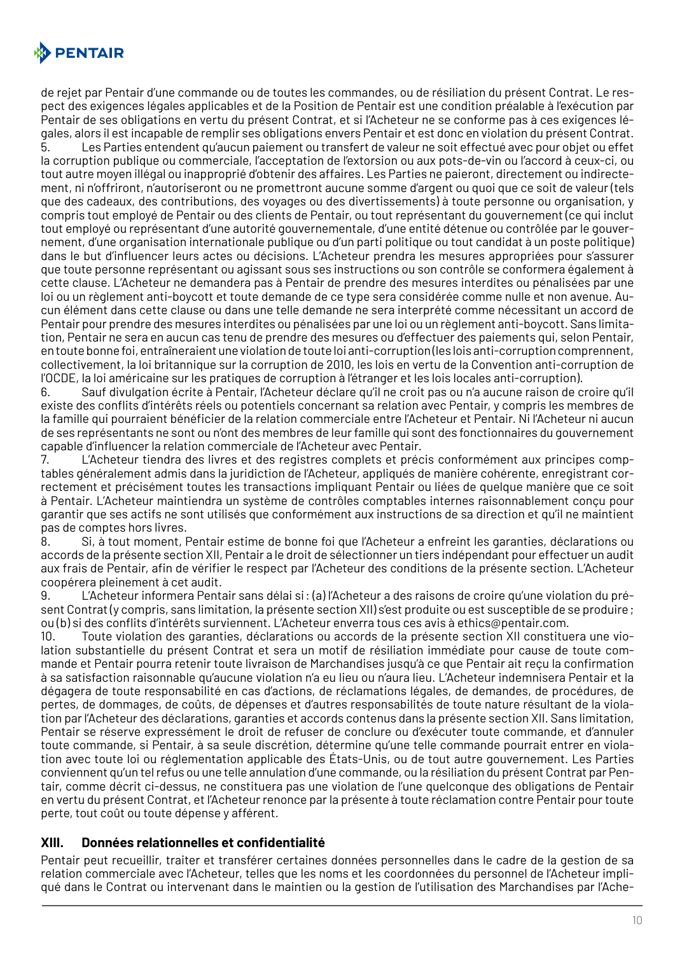

de rejet par Pentair d'une commande ou de toutes les commandes, ou de résiliation du présent Contrat. Le respect des exigences légales applicables et de la Position de Pentair est une condition préalable à l'exécution par Pentair de ses obligations en vertu du présent Contrat, et si l'Acheteur ne se conforme pas à ces exigences légales, alors il est incapable de remplir ses obligations envers Pentair et est donc en violation du présent Contrat.

5. Les Parties entendent qu'aucun paiement ou transfert de valeur ne soit effectué avec pour objet ou effet la corruption publique ou commerciale, l'acceptation de l'extorsion ou aux pots-de-vin ou l'accord à ceux-ci, ou tout autre moyen illégal ou inapproprié d'obtenir des affaires. Les Parties ne paieront, directement ou indirectement, ni n'offriront, n'autoriseront ou ne promettront aucune somme d'argent ou quoi que ce soit de valeur (tels que des cadeaux, des contributions, des voyages ou des divertissements) à toute personne ou organisation, y compris tout employé de Pentair ou des clients de Pentair, ou tout représentant du gouvernement (ce qui inclut tout employé ou représentant d'une autorité gouvernementale, d'une entité détenue ou contrôlée par le gouvernement, d'une organisation internationale publique ou d'un parti politique ou tout candidat à un poste politique) dans le but d'influencer leurs actes ou décisions. L'Acheteur prendra les mesures appropriées pour s'assurer que toute personne représentant ou agissant sous ses instructions ou son contrôle se conformera également à cette clause. L'Acheteur ne demandera pas à Pentair de prendre des mesures interdites ou pénalisées par une loi ou un règlement anti-boycott et toute demande de ce type sera considérée comme nulle et non avenue. Aucun élément dans cette clause ou dans une telle demande ne sera interprété comme nécessitant un accord de Pentair pour prendre des mesures interdites ou pénalisées par une loi ou un règlement anti-boycott. Sans limitation, Pentair ne sera en aucun cas tenu de prendre des mesures ou d'effectuer des paiements qui, selon Pentair, en toute bonne foi, entraîneraient une violation de toute loi anti-corruption (les lois anti-corruption comprennent, collectivement, la loi britannique sur la corruption de 2010, les lois en vertu de la Convention anti-corruption de l'OCDE, la loi américaine sur les pratiques de corruption à l'étranger et les lois locales anti-corruption).

6. Sauf divulgation écrite à Pentair, l'Acheteur déclare qu'il ne croit pas ou n'a aucune raison de croire qu'il existe des conflits d'intérêts réels ou potentiels concernant sa relation avec Pentair, y compris les membres de la famille qui pourraient bénéficier de la relation commerciale entre l'Acheteur et Pentair. Ni l'Acheteur ni aucun de ses représentants ne sont ou n'ont des membres de leur famille qui sont des fonctionnaires du gouvernement capable d'influencer la relation commerciale de l'Acheteur avec Pentair.

7. L'Acheteur tiendra des livres et des registres complets et précis conformément aux principes comptables généralement admis dans la juridiction de l'Acheteur, appliqués de manière cohérente, enregistrant correctement et précisément toutes les transactions impliquant Pentair ou liées de quelque manière que ce soit à Pentair. L'Acheteur maintiendra un système de contrôles comptables internes raisonnablement conçu pour garantir que ses actifs ne sont utilisés que conformément aux instructions de sa direction et qu'il ne maintient pas de comptes hors livres.

8. Si, à tout moment, Pentair estime de bonne foi que l'Acheteur a enfreint les garanties, déclarations ou accords de la présente section XII, Pentair a le droit de sélectionner un tiers indépendant pour effectuer un audit aux frais de Pentair, afin de vérifier le respect par l'Acheteur des conditions de la présente section. L'Acheteur coopérera pleinement à cet audit.

9. L'Acheteur informera Pentair sans délai si: (a) l'Acheteur a des raisons de croire qu'une violation du présent Contrat (y compris, sans limitation, la présente section XII) s'est produite ou est susceptible de se produire; ou (b) si des conflits d'intérêts surviennent. L'Acheteur enverra tous ces avis à ethics@pentair.com.

10. Toute violation des garanties, déclarations ou accords de la présente section XII constituera une violation substantielle du présent Contrat et sera un motif de résiliation immédiate pour cause de toute commande et Pentair pourra retenir toute livraison de Marchandises jusqu'à ce que Pentair ait reçu la confirmation à sa satisfaction raisonnable qu'aucune violation n'a eu lieu ou n'aura lieu. L'Acheteur indemnisera Pentair et la dégagera de toute responsabilité en cas d'actions, de réclamations légales, de demandes, de procédures, de pertes, de dommages, de coûts, de dépenses et d'autres responsabilités de toute nature résultant de la violation par l'Acheteur des déclarations, garanties et accords contenus dans la présente section XII. Sans limitation, Pentair se réserve expressément le droit de refuser de conclure ou d'exécuter toute commande, et d'annuler toute commande, si Pentair, à sa seule discrétion, détermine qu'une telle commande pourrait entrer en violation avec toute loi ou réglementation applicable des États-Unis, ou de tout autre gouvernement. Les Parties conviennent qu'un tel refus ou une telle annulation d'une commande, ou la résiliation du présent Contrat par Pentair, comme décrit ci-dessus, ne constituera pas une violation de l'une quelconque des obligations de Pentair en vertu du présent Contrat, et l'Acheteur renonce par la présente à toute réclamation contre Pentair pour toute perte, tout coût ou toute dépense y afférent.

#### **XIII. Données relationnelles et confidentialité**

Pentair peut recueillir, traiter et transférer certaines données personnelles dans le cadre de la gestion de sa relation commerciale avec l'Acheteur, telles que les noms et les coordonnées du personnel de l'Acheteur impliqué dans le Contrat ou intervenant dans le maintien ou la gestion de l'utilisation des Marchandises par l'Ache-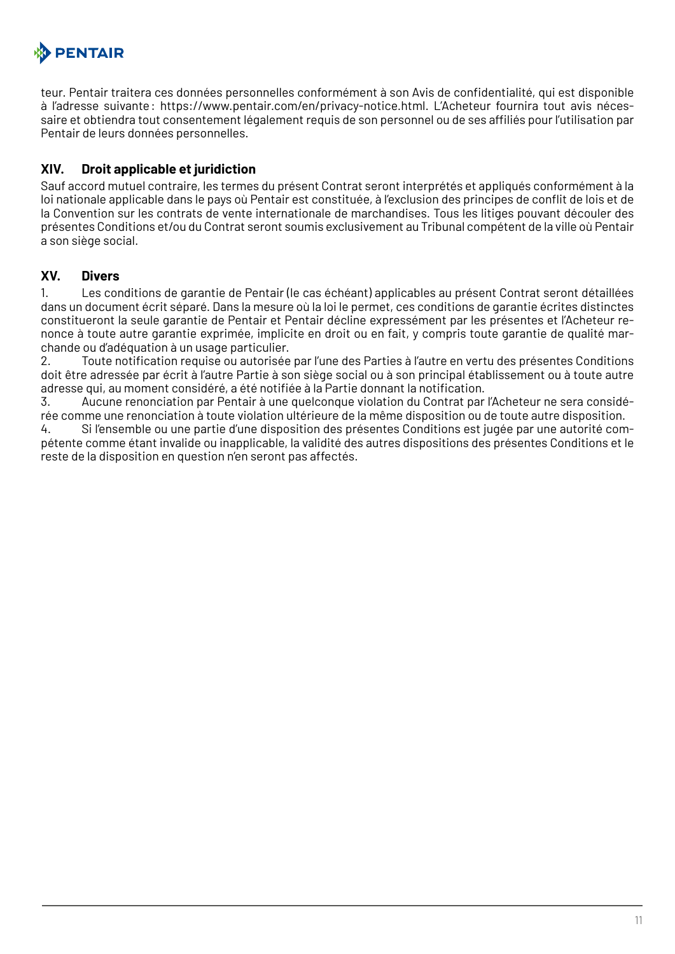

teur. Pentair traitera ces données personnelles conformément à son Avis de confidentialité, qui est disponible à l'adresse suivante: https://www.pentair.com/en/privacy-notice.html. L'Acheteur fournira tout avis nécessaire et obtiendra tout consentement légalement requis de son personnel ou de ses affiliés pour l'utilisation par Pentair de leurs données personnelles.

#### **XIV. Droit applicable et juridiction**

Sauf accord mutuel contraire, les termes du présent Contrat seront interprétés et appliqués conformément à la loi nationale applicable dans le pays où Pentair est constituée, à l'exclusion des principes de conflit de lois et de la Convention sur les contrats de vente internationale de marchandises. Tous les litiges pouvant découler des présentes Conditions et/ou du Contrat seront soumis exclusivement au Tribunal compétent de la ville où Pentair a son siège social.

#### **XV. Divers**

1. Les conditions de garantie de Pentair (le cas échéant) applicables au présent Contrat seront détaillées dans un document écrit séparé. Dans la mesure où la loi le permet, ces conditions de garantie écrites distinctes constitueront la seule garantie de Pentair et Pentair décline expressément par les présentes et l'Acheteur renonce à toute autre garantie exprimée, implicite en droit ou en fait, y compris toute garantie de qualité marchande ou d'adéquation à un usage particulier.

2. Toute notification requise ou autorisée par l'une des Parties à l'autre en vertu des présentes Conditions doit être adressée par écrit à l'autre Partie à son siège social ou à son principal établissement ou à toute autre adresse qui, au moment considéré, a été notifiée à la Partie donnant la notification.

3. Aucune renonciation par Pentair à une quelconque violation du Contrat par l'Acheteur ne sera considérée comme une renonciation à toute violation ultérieure de la même disposition ou de toute autre disposition.

4. Si l'ensemble ou une partie d'une disposition des présentes Conditions est jugée par une autorité compétente comme étant invalide ou inapplicable, la validité des autres dispositions des présentes Conditions et le reste de la disposition en question n'en seront pas affectés.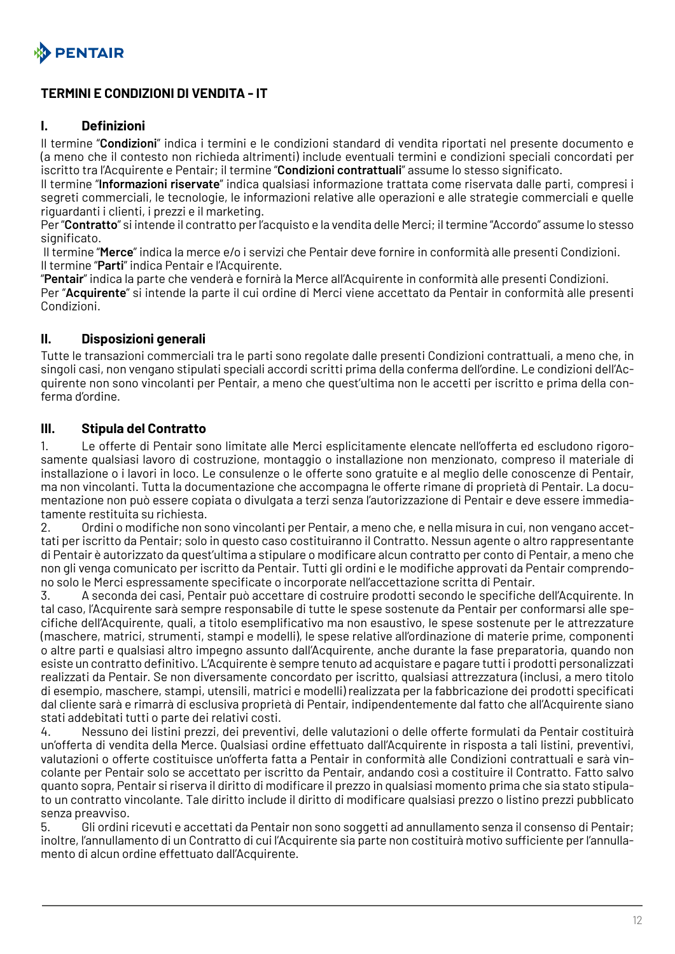<span id="page-11-0"></span>

## **TERMINI E CONDIZIONI DI VENDITA - IT**

#### **I. Definizioni**

Il termine "**Condizioni**" indica i termini e le condizioni standard di vendita riportati nel presente documento e (a meno che il contesto non richieda altrimenti) include eventuali termini e condizioni speciali concordati per iscritto tra l'Acquirente e Pentair; il termine "**Condizioni contrattuali**" assume lo stesso significato.

Il termine "**Informazioni riservate**" indica qualsiasi informazione trattata come riservata dalle parti, compresi i segreti commerciali, le tecnologie, le informazioni relative alle operazioni e alle strategie commerciali e quelle riguardanti i clienti, i prezzi e il marketing.

Per "**Contratto**" si intende il contratto per l'acquisto e la vendita delle Merci; il termine "Accordo" assume lo stesso significato.

 Il termine "**Merce**" indica la merce e/o i servizi che Pentair deve fornire in conformità alle presenti Condizioni. Il termine "**Parti**" indica Pentair e l'Acquirente.

"**Pentair**" indica la parte che venderà e fornirà la Merce all'Acquirente in conformità alle presenti Condizioni. Per "**Acquirente**" si intende la parte il cui ordine di Merci viene accettato da Pentair in conformità alle presenti Condizioni.

#### **II. Disposizioni generali**

Tutte le transazioni commerciali tra le parti sono regolate dalle presenti Condizioni contrattuali, a meno che, in singoli casi, non vengano stipulati speciali accordi scritti prima della conferma dell'ordine. Le condizioni dell'Acquirente non sono vincolanti per Pentair, a meno che quest'ultima non le accetti per iscritto e prima della conferma d'ordine.

#### **III. Stipula del Contratto**

1. Le offerte di Pentair sono limitate alle Merci esplicitamente elencate nell'offerta ed escludono rigorosamente qualsiasi lavoro di costruzione, montaggio o installazione non menzionato, compreso il materiale di installazione o i lavori in loco. Le consulenze o le offerte sono gratuite e al meglio delle conoscenze di Pentair, ma non vincolanti. Tutta la documentazione che accompagna le offerte rimane di proprietà di Pentair. La documentazione non può essere copiata o divulgata a terzi senza l'autorizzazione di Pentair e deve essere immediatamente restituita su richiesta.

2. Ordini o modifiche non sono vincolanti per Pentair, a meno che, e nella misura in cui, non vengano accettati per iscritto da Pentair; solo in questo caso costituiranno il Contratto. Nessun agente o altro rappresentante di Pentair è autorizzato da quest'ultima a stipulare o modificare alcun contratto per conto di Pentair, a meno che non gli venga comunicato per iscritto da Pentair. Tutti gli ordini e le modifiche approvati da Pentair comprendono solo le Merci espressamente specificate o incorporate nell'accettazione scritta di Pentair.

3. A seconda dei casi, Pentair può accettare di costruire prodotti secondo le specifiche dell'Acquirente. In tal caso, l'Acquirente sarà sempre responsabile di tutte le spese sostenute da Pentair per conformarsi alle specifiche dell'Acquirente, quali, a titolo esemplificativo ma non esaustivo, le spese sostenute per le attrezzature (maschere, matrici, strumenti, stampi e modelli), le spese relative all'ordinazione di materie prime, componenti o altre parti e qualsiasi altro impegno assunto dall'Acquirente, anche durante la fase preparatoria, quando non esiste un contratto definitivo. L'Acquirente è sempre tenuto ad acquistare e pagare tutti i prodotti personalizzati realizzati da Pentair. Se non diversamente concordato per iscritto, qualsiasi attrezzatura (inclusi, a mero titolo di esempio, maschere, stampi, utensili, matrici e modelli) realizzata per la fabbricazione dei prodotti specificati dal cliente sarà e rimarrà di esclusiva proprietà di Pentair, indipendentemente dal fatto che all'Acquirente siano stati addebitati tutti o parte dei relativi costi.

4. Nessuno dei listini prezzi, dei preventivi, delle valutazioni o delle offerte formulati da Pentair costituirà un'offerta di vendita della Merce. Qualsiasi ordine effettuato dall'Acquirente in risposta a tali listini, preventivi, valutazioni o offerte costituisce un'offerta fatta a Pentair in conformità alle Condizioni contrattuali e sarà vincolante per Pentair solo se accettato per iscritto da Pentair, andando così a costituire il Contratto. Fatto salvo quanto sopra, Pentair si riserva il diritto di modificare il prezzo in qualsiasi momento prima che sia stato stipulato un contratto vincolante. Tale diritto include il diritto di modificare qualsiasi prezzo o listino prezzi pubblicato senza preavviso.

5. Gli ordini ricevuti e accettati da Pentair non sono soggetti ad annullamento senza il consenso di Pentair; inoltre, l'annullamento di un Contratto di cui l'Acquirente sia parte non costituirà motivo sufficiente per l'annullamento di alcun ordine effettuato dall'Acquirente.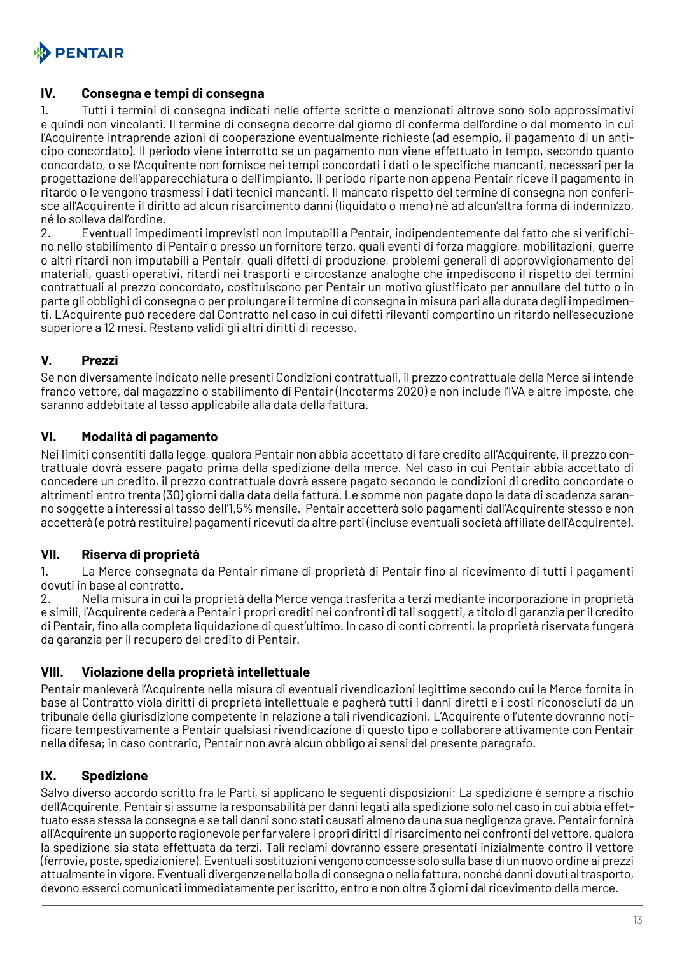

#### **IV. Consegna e tempi di consegna**

1. Tutti i termini di consegna indicati nelle offerte scritte o menzionati altrove sono solo approssimativi e quindi non vincolanti. Il termine di consegna decorre dal giorno di conferma dell'ordine o dal momento in cui l'Acquirente intraprende azioni di cooperazione eventualmente richieste (ad esempio, il pagamento di un anticipo concordato). Il periodo viene interrotto se un pagamento non viene effettuato in tempo, secondo quanto concordato, o se l'Acquirente non fornisce nei tempi concordati i dati o le specifiche mancanti, necessari per la progettazione dell'apparecchiatura o dell'impianto. Il periodo riparte non appena Pentair riceve il pagamento in ritardo o le vengono trasmessi i dati tecnici mancanti. Il mancato rispetto del termine di consegna non conferisce all'Acquirente il diritto ad alcun risarcimento danni (liquidato o meno) né ad alcun'altra forma di indennizzo, né lo solleva dall'ordine.

2. Eventuali impedimenti imprevisti non imputabili a Pentair, indipendentemente dal fatto che si verifichino nello stabilimento di Pentair o presso un fornitore terzo, quali eventi di forza maggiore, mobilitazioni, guerre o altri ritardi non imputabili a Pentair, quali difetti di produzione, problemi generali di approvvigionamento dei materiali, guasti operativi, ritardi nei trasporti e circostanze analoghe che impediscono il rispetto dei termini contrattuali al prezzo concordato, costituiscono per Pentair un motivo giustificato per annullare del tutto o in parte gli obblighi di consegna o per prolungare il termine di consegna in misura pari alla durata degli impedimenti. L'Acquirente può recedere dal Contratto nel caso in cui difetti rilevanti comportino un ritardo nell'esecuzione superiore a 12 mesi. Restano validi gli altri diritti di recesso.

## **V. Prezzi**

Se non diversamente indicato nelle presenti Condizioni contrattuali, il prezzo contrattuale della Merce si intende franco vettore, dal magazzino o stabilimento di Pentair (Incoterms 2020) e non include l'IVA e altre imposte, che saranno addebitate al tasso applicabile alla data della fattura.

## **VI. Modalità di pagamento**

Nei limiti consentiti dalla legge, qualora Pentair non abbia accettato di fare credito all'Acquirente, il prezzo contrattuale dovrà essere pagato prima della spedizione della merce. Nel caso in cui Pentair abbia accettato di concedere un credito, il prezzo contrattuale dovrà essere pagato secondo le condizioni di credito concordate o altrimenti entro trenta (30) giorni dalla data della fattura. Le somme non pagate dopo la data di scadenza saranno soggette a interessi al tasso dell'1,5% mensile. Pentair accetterà solo pagamenti dall'Acquirente stesso e non accetterà (e potrà restituire) pagamenti ricevuti da altre parti (incluse eventuali società affiliate dell'Acquirente).

## **VII. Riserva di proprietà**

1. La Merce consegnata da Pentair rimane di proprietà di Pentair fino al ricevimento di tutti i pagamenti dovuti in base al contratto.

2. Nella misura in cui la proprietà della Merce venga trasferita a terzi mediante incorporazione in proprietà e simili, l'Acquirente cederà a Pentair i propri crediti nei confronti di tali soggetti, a titolo di garanzia per il credito di Pentair, fino alla completa liquidazione di quest'ultimo. In caso di conti correnti, la proprietà riservata fungerà da garanzia per il recupero del credito di Pentair.

#### **VIII. Violazione della proprietà intellettuale**

Pentair manleverà l'Acquirente nella misura di eventuali rivendicazioni legittime secondo cui la Merce fornita in base al Contratto viola diritti di proprietà intellettuale e pagherà tutti i danni diretti e i costi riconosciuti da un tribunale della giurisdizione competente in relazione a tali rivendicazioni. L'Acquirente o l'utente dovranno notificare tempestivamente a Pentair qualsiasi rivendicazione di questo tipo e collaborare attivamente con Pentair nella difesa; in caso contrario, Pentair non avrà alcun obbligo ai sensi del presente paragrafo.

## **IX. Spedizione**

Salvo diverso accordo scritto fra le Parti, si applicano le seguenti disposizioni: La spedizione è sempre a rischio dell'Acquirente. Pentair si assume la responsabilità per danni legati alla spedizione solo nel caso in cui abbia effettuato essa stessa la consegna e se tali danni sono stati causati almeno da una sua negligenza grave. Pentair fornirà all'Acquirente un supporto ragionevole per far valere i propri diritti di risarcimento nei confronti del vettore, qualora la spedizione sia stata effettuata da terzi. Tali reclami dovranno essere presentati inizialmente contro il vettore (ferrovie, poste, spedizioniere). Eventuali sostituzioni vengono concesse solo sulla base di un nuovo ordine ai prezzi attualmente in vigore. Eventuali divergenze nella bolla di consegna o nella fattura, nonché danni dovuti al trasporto, devono esserci comunicati immediatamente per iscritto, entro e non oltre 3 giorni dal ricevimento della merce.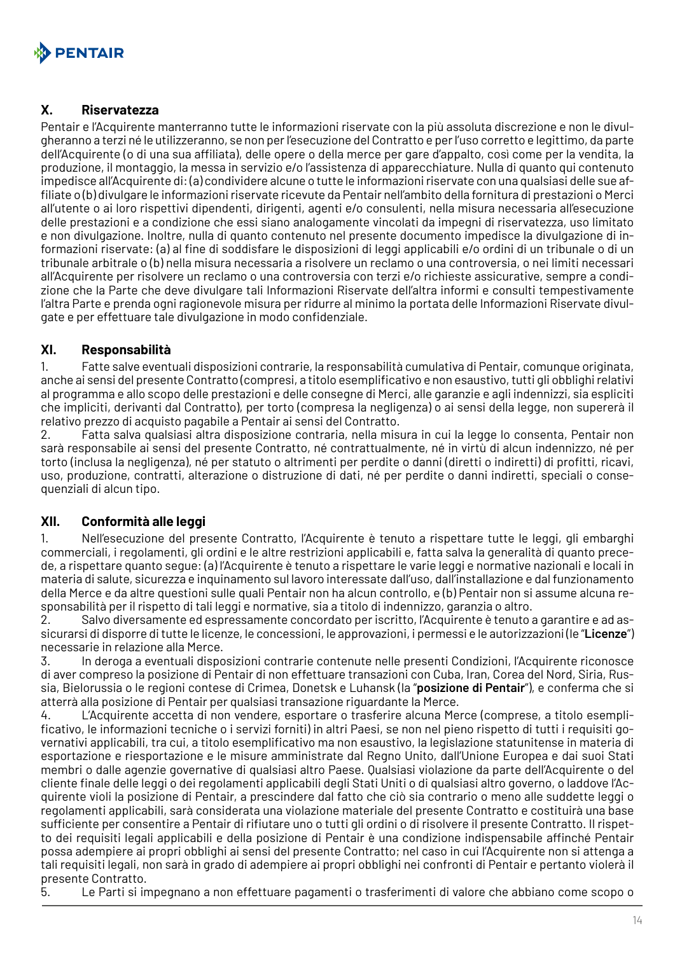

#### **X. Riservatezza**

Pentair e l'Acquirente manterranno tutte le informazioni riservate con la più assoluta discrezione e non le divulgheranno a terzi né le utilizzeranno, se non per l'esecuzione del Contratto e per l'uso corretto e legittimo, da parte dell'Acquirente (o di una sua affiliata), delle opere o della merce per gare d'appalto, così come per la vendita, la produzione, il montaggio, la messa in servizio e/o l'assistenza di apparecchiature. Nulla di quanto qui contenuto impedisce all'Acquirente di: (a) condividere alcune o tutte le informazioni riservate con una qualsiasi delle sue affiliate o (b) divulgare le informazioni riservate ricevute da Pentair nell'ambito della fornitura di prestazioni o Merci all'utente o ai loro rispettivi dipendenti, dirigenti, agenti e/o consulenti, nella misura necessaria all'esecuzione delle prestazioni e a condizione che essi siano analogamente vincolati da impegni di riservatezza, uso limitato e non divulgazione. Inoltre, nulla di quanto contenuto nel presente documento impedisce la divulgazione di informazioni riservate: (a) al fine di soddisfare le disposizioni di leggi applicabili e/o ordini di un tribunale o di un tribunale arbitrale o (b) nella misura necessaria a risolvere un reclamo o una controversia, o nei limiti necessari all'Acquirente per risolvere un reclamo o una controversia con terzi e/o richieste assicurative, sempre a condizione che la Parte che deve divulgare tali Informazioni Riservate dell'altra informi e consulti tempestivamente l'altra Parte e prenda ogni ragionevole misura per ridurre al minimo la portata delle Informazioni Riservate divulgate e per effettuare tale divulgazione in modo confidenziale.

#### **XI. Responsabilità**

1. Fatte salve eventuali disposizioni contrarie, la responsabilità cumulativa di Pentair, comunque originata, anche ai sensi del presente Contratto (compresi, a titolo esemplificativo e non esaustivo, tutti gli obblighi relativi al programma e allo scopo delle prestazioni e delle consegne di Merci, alle garanzie e agli indennizzi, sia espliciti che impliciti, derivanti dal Contratto), per torto (compresa la negligenza) o ai sensi della legge, non supererà il relativo prezzo di acquisto pagabile a Pentair ai sensi del Contratto.

2. Fatta salva qualsiasi altra disposizione contraria, nella misura in cui la legge lo consenta, Pentair non sarà responsabile ai sensi del presente Contratto, né contrattualmente, né in virtù di alcun indennizzo, né per torto (inclusa la negligenza), né per statuto o altrimenti per perdite o danni (diretti o indiretti) di profitti, ricavi, uso, produzione, contratti, alterazione o distruzione di dati, né per perdite o danni indiretti, speciali o consequenziali di alcun tipo.

#### **XII. Conformità alle leggi**

1. Nell'esecuzione del presente Contratto, l'Acquirente è tenuto a rispettare tutte le leggi, gli embarghi commerciali, i regolamenti, gli ordini e le altre restrizioni applicabili e, fatta salva la generalità di quanto precede, a rispettare quanto segue: (a) l'Acquirente è tenuto a rispettare le varie leggi e normative nazionali e locali in materia di salute, sicurezza e inquinamento sul lavoro interessate dall'uso, dall'installazione e dal funzionamento della Merce e da altre questioni sulle quali Pentair non ha alcun controllo, e (b) Pentair non si assume alcuna responsabilità per il rispetto di tali leggi e normative, sia a titolo di indennizzo, garanzia o altro.

2. Salvo diversamente ed espressamente concordato per iscritto, l'Acquirente è tenuto a garantire e ad assicurarsi di disporre di tutte le licenze, le concessioni, le approvazioni, i permessi e le autorizzazioni (le "**Licenze**") necessarie in relazione alla Merce.

3. In deroga a eventuali disposizioni contrarie contenute nelle presenti Condizioni, l'Acquirente riconosce di aver compreso la posizione di Pentair di non effettuare transazioni con Cuba, Iran, Corea del Nord, Siria, Russia, Bielorussia o le regioni contese di Crimea, Donetsk e Luhansk (la "**posizione di Pentair**"), e conferma che si atterrà alla posizione di Pentair per qualsiasi transazione riguardante la Merce.

4. L'Acquirente accetta di non vendere, esportare o trasferire alcuna Merce (comprese, a titolo esemplificativo, le informazioni tecniche o i servizi forniti) in altri Paesi, se non nel pieno rispetto di tutti i requisiti governativi applicabili, tra cui, a titolo esemplificativo ma non esaustivo, la legislazione statunitense in materia di esportazione e riesportazione e le misure amministrate dal Regno Unito, dall'Unione Europea e dai suoi Stati membri o dalle agenzie governative di qualsiasi altro Paese. Qualsiasi violazione da parte dell'Acquirente o del cliente finale delle leggi o dei regolamenti applicabili degli Stati Uniti o di qualsiasi altro governo, o laddove l'Acquirente violi la posizione di Pentair, a prescindere dal fatto che ciò sia contrario o meno alle suddette leggi o regolamenti applicabili, sarà considerata una violazione materiale del presente Contratto e costituirà una base sufficiente per consentire a Pentair di rifiutare uno o tutti gli ordini o di risolvere il presente Contratto. Il rispetto dei requisiti legali applicabili e della posizione di Pentair è una condizione indispensabile affinché Pentair possa adempiere ai propri obblighi ai sensi del presente Contratto; nel caso in cui l'Acquirente non si attenga a tali requisiti legali, non sarà in grado di adempiere ai propri obblighi nei confronti di Pentair e pertanto violerà il presente Contratto.

5. Le Parti si impegnano a non effettuare pagamenti o trasferimenti di valore che abbiano come scopo o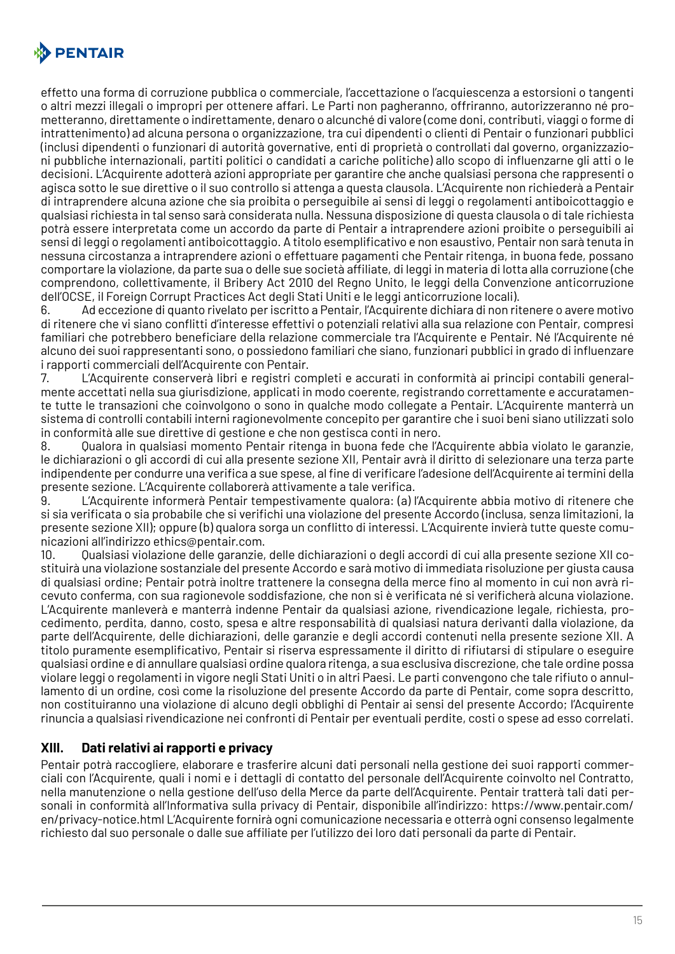

effetto una forma di corruzione pubblica o commerciale, l'accettazione o l'acquiescenza a estorsioni o tangenti o altri mezzi illegali o impropri per ottenere affari. Le Parti non pagheranno, offriranno, autorizzeranno né prometteranno, direttamente o indirettamente, denaro o alcunché di valore (come doni, contributi, viaggi o forme di intrattenimento) ad alcuna persona o organizzazione, tra cui dipendenti o clienti di Pentair o funzionari pubblici (inclusi dipendenti o funzionari di autorità governative, enti di proprietà o controllati dal governo, organizzazioni pubbliche internazionali, partiti politici o candidati a cariche politiche) allo scopo di influenzarne gli atti o le decisioni. L'Acquirente adotterà azioni appropriate per garantire che anche qualsiasi persona che rappresenti o agisca sotto le sue direttive o il suo controllo si attenga a questa clausola. L'Acquirente non richiederà a Pentair di intraprendere alcuna azione che sia proibita o perseguibile ai sensi di leggi o regolamenti antiboicottaggio e qualsiasi richiesta in tal senso sarà considerata nulla. Nessuna disposizione di questa clausola o di tale richiesta potrà essere interpretata come un accordo da parte di Pentair a intraprendere azioni proibite o perseguibili ai sensi di leggi o regolamenti antiboicottaggio. A titolo esemplificativo e non esaustivo, Pentair non sarà tenuta in nessuna circostanza a intraprendere azioni o effettuare pagamenti che Pentair ritenga, in buona fede, possano comportare la violazione, da parte sua o delle sue società affiliate, di leggi in materia di lotta alla corruzione (che comprendono, collettivamente, il Bribery Act 2010 del Regno Unito, le leggi della Convenzione anticorruzione dell'OCSE, il Foreign Corrupt Practices Act degli Stati Uniti e le leggi anticorruzione locali).

6. Ad eccezione di quanto rivelato per iscritto a Pentair, l'Acquirente dichiara di non ritenere o avere motivo di ritenere che vi siano conflitti d'interesse effettivi o potenziali relativi alla sua relazione con Pentair, compresi familiari che potrebbero beneficiare della relazione commerciale tra l'Acquirente e Pentair. Né l'Acquirente né alcuno dei suoi rappresentanti sono, o possiedono familiari che siano, funzionari pubblici in grado di influenzare i rapporti commerciali dell'Acquirente con Pentair.

7. L'Acquirente conserverà libri e registri completi e accurati in conformità ai principi contabili generalmente accettati nella sua giurisdizione, applicati in modo coerente, registrando correttamente e accuratamente tutte le transazioni che coinvolgono o sono in qualche modo collegate a Pentair. L'Acquirente manterrà un sistema di controlli contabili interni ragionevolmente concepito per garantire che i suoi beni siano utilizzati solo in conformità alle sue direttive di gestione e che non gestisca conti in nero.

8. Qualora in qualsiasi momento Pentair ritenga in buona fede che l'Acquirente abbia violato le garanzie, le dichiarazioni o gli accordi di cui alla presente sezione XII, Pentair avrà il diritto di selezionare una terza parte indipendente per condurre una verifica a sue spese, al fine di verificare l'adesione dell'Acquirente ai termini della presente sezione. L'Acquirente collaborerà attivamente a tale verifica.

9. L'Acquirente informerà Pentair tempestivamente qualora: (a) l'Acquirente abbia motivo di ritenere che si sia verificata o sia probabile che si verifichi una violazione del presente Accordo (inclusa, senza limitazioni, la presente sezione XII); oppure (b) qualora sorga un conflitto di interessi. L'Acquirente invierà tutte queste comunicazioni all'indirizzo ethics@pentair.com.

10. Qualsiasi violazione delle garanzie, delle dichiarazioni o degli accordi di cui alla presente sezione XII costituirà una violazione sostanziale del presente Accordo e sarà motivo di immediata risoluzione per giusta causa di qualsiasi ordine; Pentair potrà inoltre trattenere la consegna della merce fino al momento in cui non avrà ricevuto conferma, con sua ragionevole soddisfazione, che non si è verificata né si verificherà alcuna violazione. L'Acquirente manleverà e manterrà indenne Pentair da qualsiasi azione, rivendicazione legale, richiesta, procedimento, perdita, danno, costo, spesa e altre responsabilità di qualsiasi natura derivanti dalla violazione, da parte dell'Acquirente, delle dichiarazioni, delle garanzie e degli accordi contenuti nella presente sezione XII. A titolo puramente esemplificativo, Pentair si riserva espressamente il diritto di rifiutarsi di stipulare o eseguire qualsiasi ordine e di annullare qualsiasi ordine qualora ritenga, a sua esclusiva discrezione, che tale ordine possa violare leggi o regolamenti in vigore negli Stati Uniti o in altri Paesi. Le parti convengono che tale rifiuto o annullamento di un ordine, così come la risoluzione del presente Accordo da parte di Pentair, come sopra descritto, non costituiranno una violazione di alcuno degli obblighi di Pentair ai sensi del presente Accordo; l'Acquirente rinuncia a qualsiasi rivendicazione nei confronti di Pentair per eventuali perdite, costi o spese ad esso correlati.

## **XIII. Dati relativi ai rapporti e privacy**

Pentair potrà raccogliere, elaborare e trasferire alcuni dati personali nella gestione dei suoi rapporti commerciali con l'Acquirente, quali i nomi e i dettagli di contatto del personale dell'Acquirente coinvolto nel Contratto, nella manutenzione o nella gestione dell'uso della Merce da parte dell'Acquirente. Pentair tratterà tali dati personali in conformità all'Informativa sulla privacy di Pentair, disponibile all'indirizzo: https://www.pentair.com/ en/privacy-notice.html L'Acquirente fornirà ogni comunicazione necessaria e otterrà ogni consenso legalmente richiesto dal suo personale o dalle sue affiliate per l'utilizzo dei loro dati personali da parte di Pentair.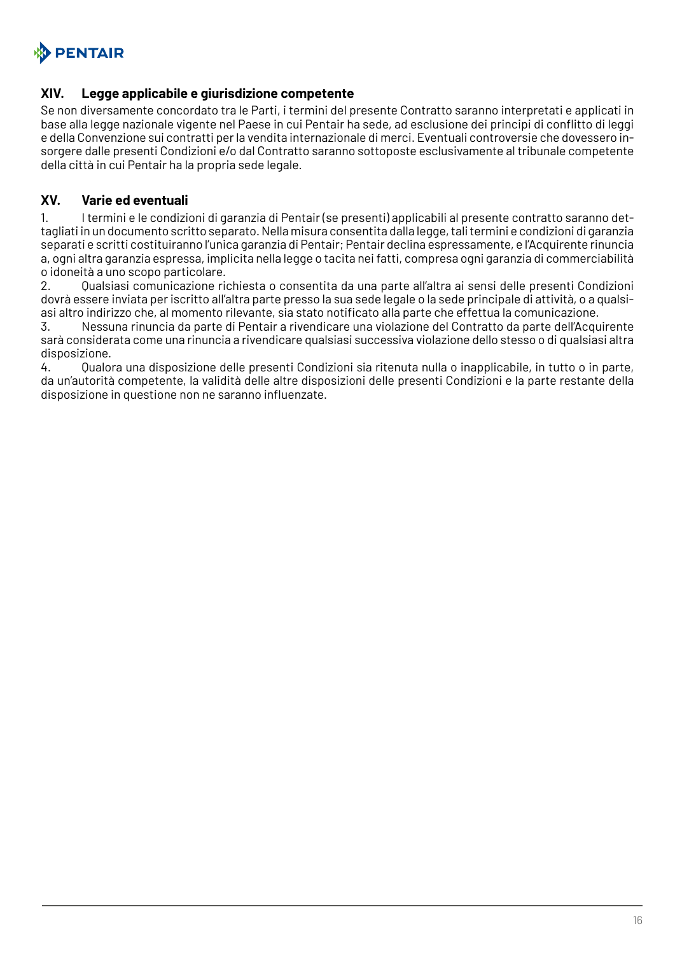

#### **XIV. Legge applicabile e giurisdizione competente**

Se non diversamente concordato tra le Parti, i termini del presente Contratto saranno interpretati e applicati in base alla legge nazionale vigente nel Paese in cui Pentair ha sede, ad esclusione dei principi di conflitto di leggi e della Convenzione sui contratti per la vendita internazionale di merci. Eventuali controversie che dovessero insorgere dalle presenti Condizioni e/o dal Contratto saranno sottoposte esclusivamente al tribunale competente della città in cui Pentair ha la propria sede legale.

#### **XV. Varie ed eventuali**

1. I termini e le condizioni di garanzia di Pentair (se presenti) applicabili al presente contratto saranno dettagliati in un documento scritto separato. Nella misura consentita dalla legge, tali termini e condizioni di garanzia separati e scritti costituiranno l'unica garanzia di Pentair; Pentair declina espressamente, e l'Acquirente rinuncia a, ogni altra garanzia espressa, implicita nella legge o tacita nei fatti, compresa ogni garanzia di commerciabilità o idoneità a uno scopo particolare.

2. Qualsiasi comunicazione richiesta o consentita da una parte all'altra ai sensi delle presenti Condizioni dovrà essere inviata per iscritto all'altra parte presso la sua sede legale o la sede principale di attività, o a qualsiasi altro indirizzo che, al momento rilevante, sia stato notificato alla parte che effettua la comunicazione.

3. Nessuna rinuncia da parte di Pentair a rivendicare una violazione del Contratto da parte dell'Acquirente sarà considerata come una rinuncia a rivendicare qualsiasi successiva violazione dello stesso o di qualsiasi altra disposizione.

4. Qualora una disposizione delle presenti Condizioni sia ritenuta nulla o inapplicabile, in tutto o in parte, da un'autorità competente, la validità delle altre disposizioni delle presenti Condizioni e la parte restante della disposizione in questione non ne saranno influenzate.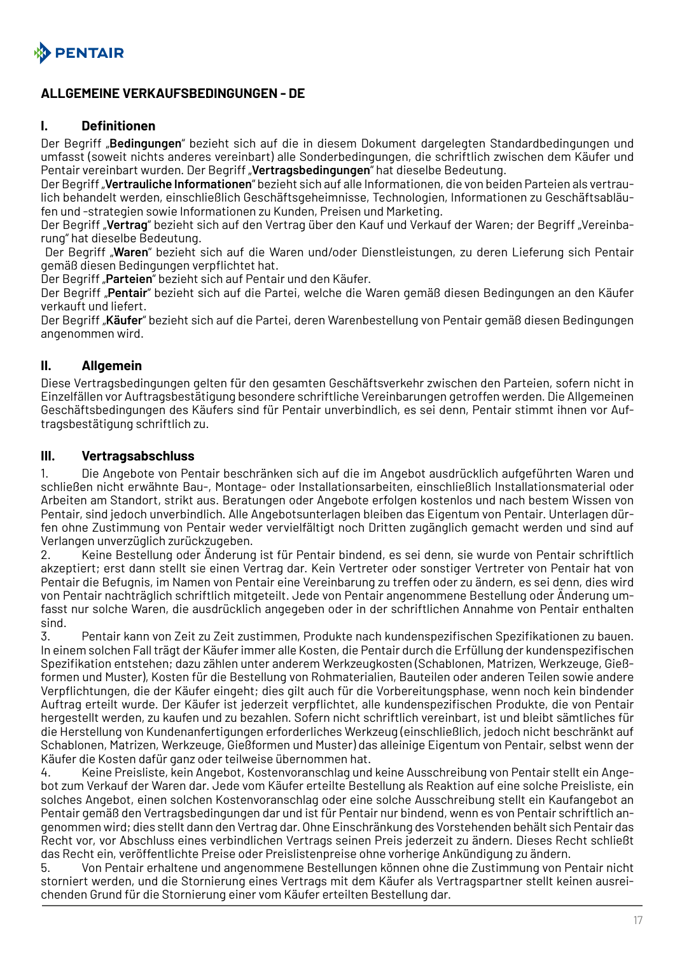<span id="page-16-0"></span>

## **ALLGEMEINE VERKAUFSBEDINGUNGEN - DE**

#### **I. Definitionen**

Der Begriff "**Bedingungen**" bezieht sich auf die in diesem Dokument dargelegten Standardbedingungen und umfasst (soweit nichts anderes vereinbart) alle Sonderbedingungen, die schriftlich zwischen dem Käufer und Pentair vereinbart wurden. Der Begriff "**Vertragsbedingungen**" hat dieselbe Bedeutung.

Der Begriff "**Vertrauliche Informationen**" bezieht sich auf alle Informationen, die von beiden Parteien als vertraulich behandelt werden, einschließlich Geschäftsgeheimnisse, Technologien, Informationen zu Geschäftsabläufen und -strategien sowie Informationen zu Kunden, Preisen und Marketing.

Der Begriff "**Vertrag**" bezieht sich auf den Vertrag über den Kauf und Verkauf der Waren; der Begriff "Vereinbarung" hat dieselbe Bedeutung.

 Der Begriff "**Waren**" bezieht sich auf die Waren und/oder Dienstleistungen, zu deren Lieferung sich Pentair gemäß diesen Bedingungen verpflichtet hat.

Der Begriff "Parteien" bezieht sich auf Pentair und den Käufer.

Der Begriff "**Pentair**" bezieht sich auf die Partei, welche die Waren gemäß diesen Bedingungen an den Käufer verkauft und liefert.

Der Begriff "**Käufer**" bezieht sich auf die Partei, deren Warenbestellung von Pentair gemäß diesen Bedingungen angenommen wird.

#### **II. Allgemein**

Diese Vertragsbedingungen gelten für den gesamten Geschäftsverkehr zwischen den Parteien, sofern nicht in Einzelfällen vor Auftragsbestätigung besondere schriftliche Vereinbarungen getroffen werden. Die Allgemeinen Geschäftsbedingungen des Käufers sind für Pentair unverbindlich, es sei denn, Pentair stimmt ihnen vor Auftragsbestätigung schriftlich zu.

#### **III. Vertragsabschluss**

1. Die Angebote von Pentair beschränken sich auf die im Angebot ausdrücklich aufgeführten Waren und schließen nicht erwähnte Bau-, Montage- oder Installationsarbeiten, einschließlich Installationsmaterial oder Arbeiten am Standort, strikt aus. Beratungen oder Angebote erfolgen kostenlos und nach bestem Wissen von Pentair, sind jedoch unverbindlich. Alle Angebotsunterlagen bleiben das Eigentum von Pentair. Unterlagen dürfen ohne Zustimmung von Pentair weder vervielfältigt noch Dritten zugänglich gemacht werden und sind auf Verlangen unverzüglich zurückzugeben.

2. Keine Bestellung oder Änderung ist für Pentair bindend, es sei denn, sie wurde von Pentair schriftlich akzeptiert; erst dann stellt sie einen Vertrag dar. Kein Vertreter oder sonstiger Vertreter von Pentair hat von Pentair die Befugnis, im Namen von Pentair eine Vereinbarung zu treffen oder zu ändern, es sei denn, dies wird von Pentair nachträglich schriftlich mitgeteilt. Jede von Pentair angenommene Bestellung oder Änderung umfasst nur solche Waren, die ausdrücklich angegeben oder in der schriftlichen Annahme von Pentair enthalten sind.

3. Pentair kann von Zeit zu Zeit zustimmen, Produkte nach kundenspezifischen Spezifikationen zu bauen. In einem solchen Fall trägt der Käufer immer alle Kosten, die Pentair durch die Erfüllung der kundenspezifischen Spezifikation entstehen; dazu zählen unter anderem Werkzeugkosten (Schablonen, Matrizen, Werkzeuge, Gießformen und Muster), Kosten für die Bestellung von Rohmaterialien, Bauteilen oder anderen Teilen sowie andere Verpflichtungen, die der Käufer eingeht; dies gilt auch für die Vorbereitungsphase, wenn noch kein bindender Auftrag erteilt wurde. Der Käufer ist jederzeit verpflichtet, alle kundenspezifischen Produkte, die von Pentair hergestellt werden, zu kaufen und zu bezahlen. Sofern nicht schriftlich vereinbart, ist und bleibt sämtliches für die Herstellung von Kundenanfertigungen erforderliches Werkzeug (einschließlich, jedoch nicht beschränkt auf Schablonen, Matrizen, Werkzeuge, Gießformen und Muster) das alleinige Eigentum von Pentair, selbst wenn der Käufer die Kosten dafür ganz oder teilweise übernommen hat.

4. Keine Preisliste, kein Angebot, Kostenvoranschlag und keine Ausschreibung von Pentair stellt ein Angebot zum Verkauf der Waren dar. Jede vom Käufer erteilte Bestellung als Reaktion auf eine solche Preisliste, ein solches Angebot, einen solchen Kostenvoranschlag oder eine solche Ausschreibung stellt ein Kaufangebot an Pentair gemäß den Vertragsbedingungen dar und ist für Pentair nur bindend, wenn es von Pentair schriftlich angenommen wird; dies stellt dann den Vertrag dar. Ohne Einschränkung des Vorstehenden behält sich Pentair das Recht vor, vor Abschluss eines verbindlichen Vertrags seinen Preis jederzeit zu ändern. Dieses Recht schließt das Recht ein, veröffentlichte Preise oder Preislistenpreise ohne vorherige Ankündigung zu ändern.

5. Von Pentair erhaltene und angenommene Bestellungen können ohne die Zustimmung von Pentair nicht storniert werden, und die Stornierung eines Vertrags mit dem Käufer als Vertragspartner stellt keinen ausreichenden Grund für die Stornierung einer vom Käufer erteilten Bestellung dar.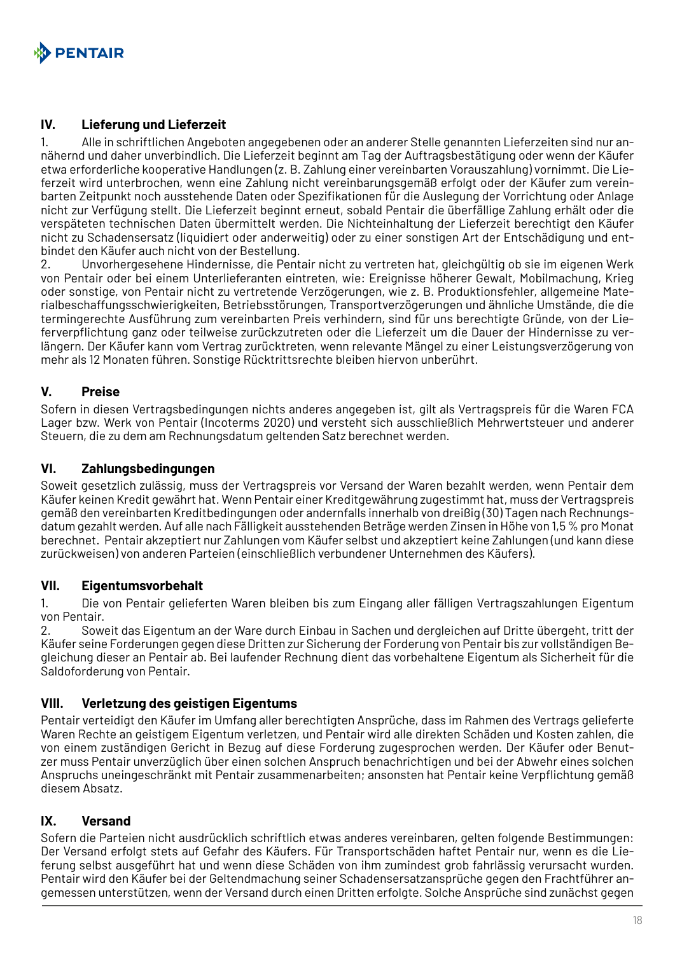

#### **IV. Lieferung und Lieferzeit**

1. Alle in schriftlichen Angeboten angegebenen oder an anderer Stelle genannten Lieferzeiten sind nur annähernd und daher unverbindlich. Die Lieferzeit beginnt am Tag der Auftragsbestätigung oder wenn der Käufer etwa erforderliche kooperative Handlungen (z. B. Zahlung einer vereinbarten Vorauszahlung) vornimmt. Die Lieferzeit wird unterbrochen, wenn eine Zahlung nicht vereinbarungsgemäß erfolgt oder der Käufer zum vereinbarten Zeitpunkt noch ausstehende Daten oder Spezifikationen für die Auslegung der Vorrichtung oder Anlage nicht zur Verfügung stellt. Die Lieferzeit beginnt erneut, sobald Pentair die überfällige Zahlung erhält oder die verspäteten technischen Daten übermittelt werden. Die Nichteinhaltung der Lieferzeit berechtigt den Käufer nicht zu Schadensersatz (liquidiert oder anderweitig) oder zu einer sonstigen Art der Entschädigung und entbindet den Käufer auch nicht von der Bestellung.

2. Unvorhergesehene Hindernisse, die Pentair nicht zu vertreten hat, gleichgültig ob sie im eigenen Werk von Pentair oder bei einem Unterlieferanten eintreten, wie: Ereignisse höherer Gewalt, Mobilmachung, Krieg oder sonstige, von Pentair nicht zu vertretende Verzögerungen, wie z. B. Produktionsfehler, allgemeine Materialbeschaffungsschwierigkeiten, Betriebsstörungen, Transportverzögerungen und ähnliche Umstände, die die termingerechte Ausführung zum vereinbarten Preis verhindern, sind für uns berechtigte Gründe, von der Lieferverpflichtung ganz oder teilweise zurückzutreten oder die Lieferzeit um die Dauer der Hindernisse zu verlängern. Der Käufer kann vom Vertrag zurücktreten, wenn relevante Mängel zu einer Leistungsverzögerung von mehr als 12 Monaten führen. Sonstige Rücktrittsrechte bleiben hiervon unberührt.

#### **V. Preise**

Sofern in diesen Vertragsbedingungen nichts anderes angegeben ist, gilt als Vertragspreis für die Waren FCA Lager bzw. Werk von Pentair (Incoterms 2020) und versteht sich ausschließlich Mehrwertsteuer und anderer Steuern, die zu dem am Rechnungsdatum geltenden Satz berechnet werden.

#### **VI. Zahlungsbedingungen**

Soweit gesetzlich zulässig, muss der Vertragspreis vor Versand der Waren bezahlt werden, wenn Pentair dem Käufer keinen Kredit gewährt hat. Wenn Pentair einer Kreditgewährung zugestimmt hat, muss der Vertragspreis gemäß den vereinbarten Kreditbedingungen oder andernfalls innerhalb von dreißig (30) Tagen nach Rechnungsdatum gezahlt werden. Auf alle nach Fälligkeit ausstehenden Beträge werden Zinsen in Höhe von 1,5 % pro Monat berechnet. Pentair akzeptiert nur Zahlungen vom Käufer selbst und akzeptiert keine Zahlungen (und kann diese zurückweisen) von anderen Parteien (einschließlich verbundener Unternehmen des Käufers).

#### **VII. Eigentumsvorbehalt**

1. Die von Pentair gelieferten Waren bleiben bis zum Eingang aller fälligen Vertragszahlungen Eigentum von Pentair.

2. Soweit das Eigentum an der Ware durch Einbau in Sachen und dergleichen auf Dritte übergeht, tritt der Käufer seine Forderungen gegen diese Dritten zur Sicherung der Forderung von Pentair bis zur vollständigen Begleichung dieser an Pentair ab. Bei laufender Rechnung dient das vorbehaltene Eigentum als Sicherheit für die Saldoforderung von Pentair.

#### **VIII. Verletzung des geistigen Eigentums**

Pentair verteidigt den Käufer im Umfang aller berechtigten Ansprüche, dass im Rahmen des Vertrags gelieferte Waren Rechte an geistigem Eigentum verletzen, und Pentair wird alle direkten Schäden und Kosten zahlen, die von einem zuständigen Gericht in Bezug auf diese Forderung zugesprochen werden. Der Käufer oder Benutzer muss Pentair unverzüglich über einen solchen Anspruch benachrichtigen und bei der Abwehr eines solchen Anspruchs uneingeschränkt mit Pentair zusammenarbeiten; ansonsten hat Pentair keine Verpflichtung gemäß diesem Absatz.

## **IX. Versand**

Sofern die Parteien nicht ausdrücklich schriftlich etwas anderes vereinbaren, gelten folgende Bestimmungen: Der Versand erfolgt stets auf Gefahr des Käufers. Für Transportschäden haftet Pentair nur, wenn es die Lieferung selbst ausgeführt hat und wenn diese Schäden von ihm zumindest grob fahrlässig verursacht wurden. Pentair wird den Käufer bei der Geltendmachung seiner Schadensersatzansprüche gegen den Frachtführer angemessen unterstützen, wenn der Versand durch einen Dritten erfolgte. Solche Ansprüche sind zunächst gegen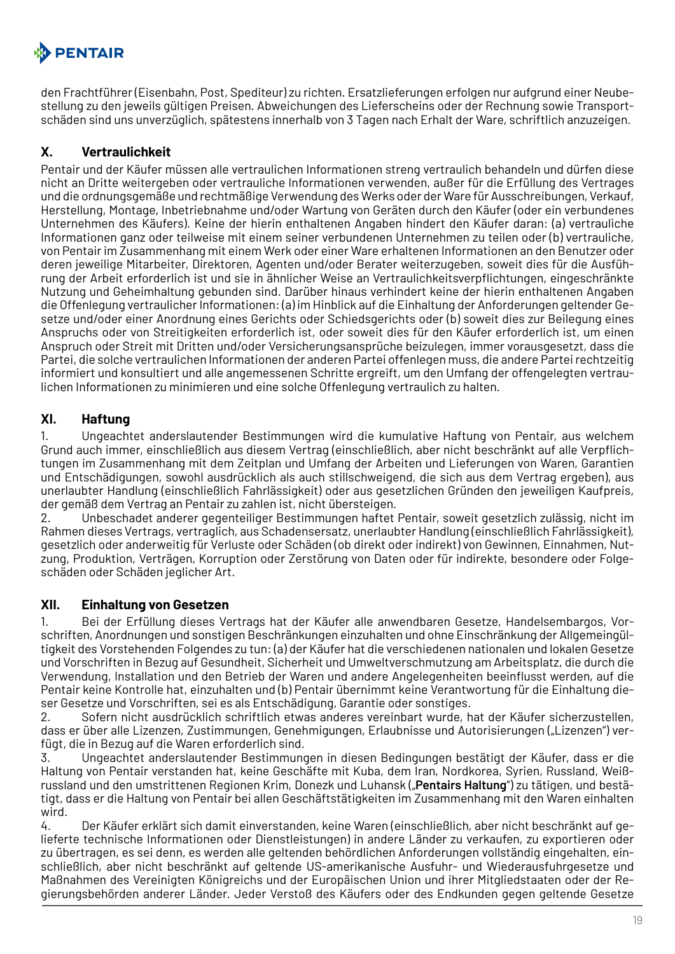

den Frachtführer (Eisenbahn, Post, Spediteur) zu richten. Ersatzlieferungen erfolgen nur aufgrund einer Neubestellung zu den jeweils gültigen Preisen. Abweichungen des Lieferscheins oder der Rechnung sowie Transportschäden sind uns unverzüglich, spätestens innerhalb von 3 Tagen nach Erhalt der Ware, schriftlich anzuzeigen.

## **X. Vertraulichkeit**

Pentair und der Käufer müssen alle vertraulichen Informationen streng vertraulich behandeln und dürfen diese nicht an Dritte weitergeben oder vertrauliche Informationen verwenden, außer für die Erfüllung des Vertrages und die ordnungsgemäße und rechtmäßige Verwendung des Werks oder der Ware für Ausschreibungen, Verkauf, Herstellung, Montage, Inbetriebnahme und/oder Wartung von Geräten durch den Käufer (oder ein verbundenes Unternehmen des Käufers). Keine der hierin enthaltenen Angaben hindert den Käufer daran: (a) vertrauliche Informationen ganz oder teilweise mit einem seiner verbundenen Unternehmen zu teilen oder (b) vertrauliche, von Pentair im Zusammenhang mit einem Werk oder einer Ware erhaltenen Informationen an den Benutzer oder deren jeweilige Mitarbeiter, Direktoren, Agenten und/oder Berater weiterzugeben, soweit dies für die Ausführung der Arbeit erforderlich ist und sie in ähnlicher Weise an Vertraulichkeitsverpflichtungen, eingeschränkte Nutzung und Geheimhaltung gebunden sind. Darüber hinaus verhindert keine der hierin enthaltenen Angaben die Offenlegung vertraulicher Informationen: (a) im Hinblick auf die Einhaltung der Anforderungen geltender Gesetze und/oder einer Anordnung eines Gerichts oder Schiedsgerichts oder (b) soweit dies zur Beilegung eines Anspruchs oder von Streitigkeiten erforderlich ist, oder soweit dies für den Käufer erforderlich ist, um einen Anspruch oder Streit mit Dritten und/oder Versicherungsansprüche beizulegen, immer vorausgesetzt, dass die Partei, die solche vertraulichen Informationen der anderen Partei offenlegen muss, die andere Partei rechtzeitig informiert und konsultiert und alle angemessenen Schritte ergreift, um den Umfang der offengelegten vertraulichen Informationen zu minimieren und eine solche Offenlegung vertraulich zu halten.

## **XI. Haftung**

1. Ungeachtet anderslautender Bestimmungen wird die kumulative Haftung von Pentair, aus welchem Grund auch immer, einschließlich aus diesem Vertrag (einschließlich, aber nicht beschränkt auf alle Verpflichtungen im Zusammenhang mit dem Zeitplan und Umfang der Arbeiten und Lieferungen von Waren, Garantien und Entschädigungen, sowohl ausdrücklich als auch stillschweigend, die sich aus dem Vertrag ergeben), aus unerlaubter Handlung (einschließlich Fahrlässigkeit) oder aus gesetzlichen Gründen den jeweiligen Kaufpreis, der gemäß dem Vertrag an Pentair zu zahlen ist, nicht übersteigen.

2. Unbeschadet anderer gegenteiliger Bestimmungen haftet Pentair, soweit gesetzlich zulässig, nicht im Rahmen dieses Vertrags, vertraglich, aus Schadensersatz, unerlaubter Handlung (einschließlich Fahrlässigkeit), gesetzlich oder anderweitig für Verluste oder Schäden (ob direkt oder indirekt) von Gewinnen, Einnahmen, Nutzung, Produktion, Verträgen, Korruption oder Zerstörung von Daten oder für indirekte, besondere oder Folgeschäden oder Schäden jeglicher Art.

#### **XII. Einhaltung von Gesetzen**

1. Bei der Erfüllung dieses Vertrags hat der Käufer alle anwendbaren Gesetze, Handelsembargos, Vorschriften, Anordnungen und sonstigen Beschränkungen einzuhalten und ohne Einschränkung der Allgemeingültigkeit des Vorstehenden Folgendes zu tun: (a) der Käufer hat die verschiedenen nationalen und lokalen Gesetze und Vorschriften in Bezug auf Gesundheit, Sicherheit und Umweltverschmutzung am Arbeitsplatz, die durch die Verwendung, Installation und den Betrieb der Waren und andere Angelegenheiten beeinflusst werden, auf die Pentair keine Kontrolle hat, einzuhalten und (b) Pentair übernimmt keine Verantwortung für die Einhaltung dieser Gesetze und Vorschriften, sei es als Entschädigung, Garantie oder sonstiges.

2. Sofern nicht ausdrücklich schriftlich etwas anderes vereinbart wurde, hat der Käufer sicherzustellen, dass er über alle Lizenzen, Zustimmungen, Genehmigungen, Erlaubnisse und Autorisierungen ("Lizenzen") verfügt, die in Bezug auf die Waren erforderlich sind.

3. Ungeachtet anderslautender Bestimmungen in diesen Bedingungen bestätigt der Käufer, dass er die Haltung von Pentair verstanden hat, keine Geschäfte mit Kuba, dem Iran, Nordkorea, Syrien, Russland, Weißrussland und den umstrittenen Regionen Krim, Donezk und Luhansk ("**Pentairs Haltung**") zu tätigen, und bestätigt, dass er die Haltung von Pentair bei allen Geschäftstätigkeiten im Zusammenhang mit den Waren einhalten wird.

4. Der Käufer erklärt sich damit einverstanden, keine Waren (einschließlich, aber nicht beschränkt auf gelieferte technische Informationen oder Dienstleistungen) in andere Länder zu verkaufen, zu exportieren oder zu übertragen, es sei denn, es werden alle geltenden behördlichen Anforderungen vollständig eingehalten, einschließlich, aber nicht beschränkt auf geltende US-amerikanische Ausfuhr- und Wiederausfuhrgesetze und Maßnahmen des Vereinigten Königreichs und der Europäischen Union und ihrer Mitgliedstaaten oder der Regierungsbehörden anderer Länder. Jeder Verstoß des Käufers oder des Endkunden gegen geltende Gesetze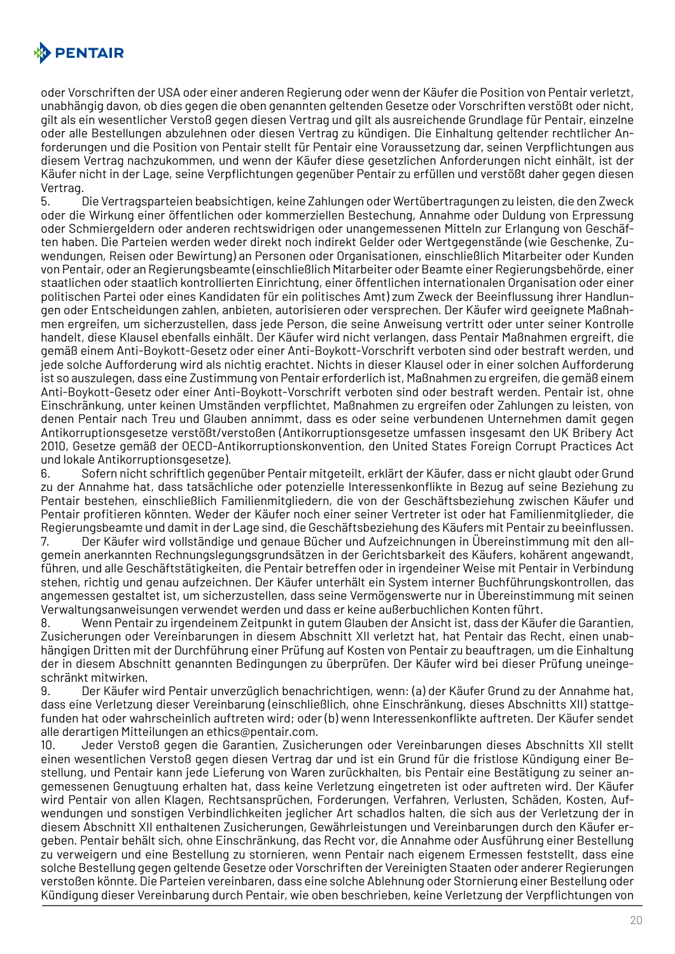

oder Vorschriften der USA oder einer anderen Regierung oder wenn der Käufer die Position von Pentair verletzt, unabhängig davon, ob dies gegen die oben genannten geltenden Gesetze oder Vorschriften verstößt oder nicht, gilt als ein wesentlicher Verstoß gegen diesen Vertrag und gilt als ausreichende Grundlage für Pentair, einzelne oder alle Bestellungen abzulehnen oder diesen Vertrag zu kündigen. Die Einhaltung geltender rechtlicher Anforderungen und die Position von Pentair stellt für Pentair eine Voraussetzung dar, seinen Verpflichtungen aus diesem Vertrag nachzukommen, und wenn der Käufer diese gesetzlichen Anforderungen nicht einhält, ist der Käufer nicht in der Lage, seine Verpflichtungen gegenüber Pentair zu erfüllen und verstößt daher gegen diesen Vertrag.

5. Die Vertragsparteien beabsichtigen, keine Zahlungen oder Wertübertragungen zu leisten, die den Zweck oder die Wirkung einer öffentlichen oder kommerziellen Bestechung, Annahme oder Duldung von Erpressung oder Schmiergeldern oder anderen rechtswidrigen oder unangemessenen Mitteln zur Erlangung von Geschäften haben. Die Parteien werden weder direkt noch indirekt Gelder oder Wertgegenstände (wie Geschenke, Zuwendungen, Reisen oder Bewirtung) an Personen oder Organisationen, einschließlich Mitarbeiter oder Kunden von Pentair, oder an Regierungsbeamte (einschließlich Mitarbeiter oder Beamte einer Regierungsbehörde, einer staatlichen oder staatlich kontrollierten Einrichtung, einer öffentlichen internationalen Organisation oder einer politischen Partei oder eines Kandidaten für ein politisches Amt) zum Zweck der Beeinflussung ihrer Handlungen oder Entscheidungen zahlen, anbieten, autorisieren oder versprechen. Der Käufer wird geeignete Maßnahmen ergreifen, um sicherzustellen, dass jede Person, die seine Anweisung vertritt oder unter seiner Kontrolle handelt, diese Klausel ebenfalls einhält. Der Käufer wird nicht verlangen, dass Pentair Maßnahmen ergreift, die gemäß einem Anti-Boykott-Gesetz oder einer Anti-Boykott-Vorschrift verboten sind oder bestraft werden, und jede solche Aufforderung wird als nichtig erachtet. Nichts in dieser Klausel oder in einer solchen Aufforderung ist so auszulegen, dass eine Zustimmung von Pentair erforderlich ist, Maßnahmen zu ergreifen, die gemäß einem Anti-Boykott-Gesetz oder einer Anti-Boykott-Vorschrift verboten sind oder bestraft werden. Pentair ist, ohne Einschränkung, unter keinen Umständen verpflichtet, Maßnahmen zu ergreifen oder Zahlungen zu leisten, von denen Pentair nach Treu und Glauben annimmt, dass es oder seine verbundenen Unternehmen damit gegen Antikorruptionsgesetze verstößt/verstoßen (Antikorruptionsgesetze umfassen insgesamt den UK Bribery Act 2010, Gesetze gemäß der OECD-Antikorruptionskonvention, den United States Foreign Corrupt Practices Act und lokale Antikorruptionsgesetze).

6. Sofern nicht schriftlich gegenüber Pentair mitgeteilt, erklärt der Käufer, dass er nicht glaubt oder Grund zu der Annahme hat, dass tatsächliche oder potenzielle Interessenkonflikte in Bezug auf seine Beziehung zu Pentair bestehen, einschließlich Familienmitgliedern, die von der Geschäftsbeziehung zwischen Käufer und Pentair profitieren könnten. Weder der Käufer noch einer seiner Vertreter ist oder hat Familienmitglieder, die Regierungsbeamte und damit in der Lage sind, die Geschäftsbeziehung des Käufers mit Pentair zu beeinflussen.

7. Der Käufer wird vollständige und genaue Bücher und Aufzeichnungen in Übereinstimmung mit den allgemein anerkannten Rechnungslegungsgrundsätzen in der Gerichtsbarkeit des Käufers, kohärent angewandt, führen, und alle Geschäftstätigkeiten, die Pentair betreffen oder in irgendeiner Weise mit Pentair in Verbindung stehen, richtig und genau aufzeichnen. Der Käufer unterhält ein System interner Buchführungskontrollen, das angemessen gestaltet ist, um sicherzustellen, dass seine Vermögenswerte nur in Übereinstimmung mit seinen Verwaltungsanweisungen verwendet werden und dass er keine außerbuchlichen Konten führt.

8. Wenn Pentair zu irgendeinem Zeitpunkt in gutem Glauben der Ansicht ist, dass der Käufer die Garantien, Zusicherungen oder Vereinbarungen in diesem Abschnitt XII verletzt hat, hat Pentair das Recht, einen unabhängigen Dritten mit der Durchführung einer Prüfung auf Kosten von Pentair zu beauftragen, um die Einhaltung der in diesem Abschnitt genannten Bedingungen zu überprüfen. Der Käufer wird bei dieser Prüfung uneingeschränkt mitwirken.

9. Der Käufer wird Pentair unverzüglich benachrichtigen, wenn: (a) der Käufer Grund zu der Annahme hat, dass eine Verletzung dieser Vereinbarung (einschließlich, ohne Einschränkung, dieses Abschnitts XII) stattgefunden hat oder wahrscheinlich auftreten wird; oder (b) wenn Interessenkonflikte auftreten. Der Käufer sendet alle derartigen Mitteilungen an ethics@pentair.com.

10. Jeder Verstoß gegen die Garantien, Zusicherungen oder Vereinbarungen dieses Abschnitts XII stellt einen wesentlichen Verstoß gegen diesen Vertrag dar und ist ein Grund für die fristlose Kündigung einer Bestellung, und Pentair kann jede Lieferung von Waren zurückhalten, bis Pentair eine Bestätigung zu seiner angemessenen Genugtuung erhalten hat, dass keine Verletzung eingetreten ist oder auftreten wird. Der Käufer wird Pentair von allen Klagen, Rechtsansprüchen, Forderungen, Verfahren, Verlusten, Schäden, Kosten, Aufwendungen und sonstigen Verbindlichkeiten jeglicher Art schadlos halten, die sich aus der Verletzung der in diesem Abschnitt XII enthaltenen Zusicherungen, Gewährleistungen und Vereinbarungen durch den Käufer ergeben. Pentair behält sich, ohne Einschränkung, das Recht vor, die Annahme oder Ausführung einer Bestellung zu verweigern und eine Bestellung zu stornieren, wenn Pentair nach eigenem Ermessen feststellt, dass eine solche Bestellung gegen geltende Gesetze oder Vorschriften der Vereinigten Staaten oder anderer Regierungen verstoßen könnte. Die Parteien vereinbaren, dass eine solche Ablehnung oder Stornierung einer Bestellung oder Kündigung dieser Vereinbarung durch Pentair, wie oben beschrieben, keine Verletzung der Verpflichtungen von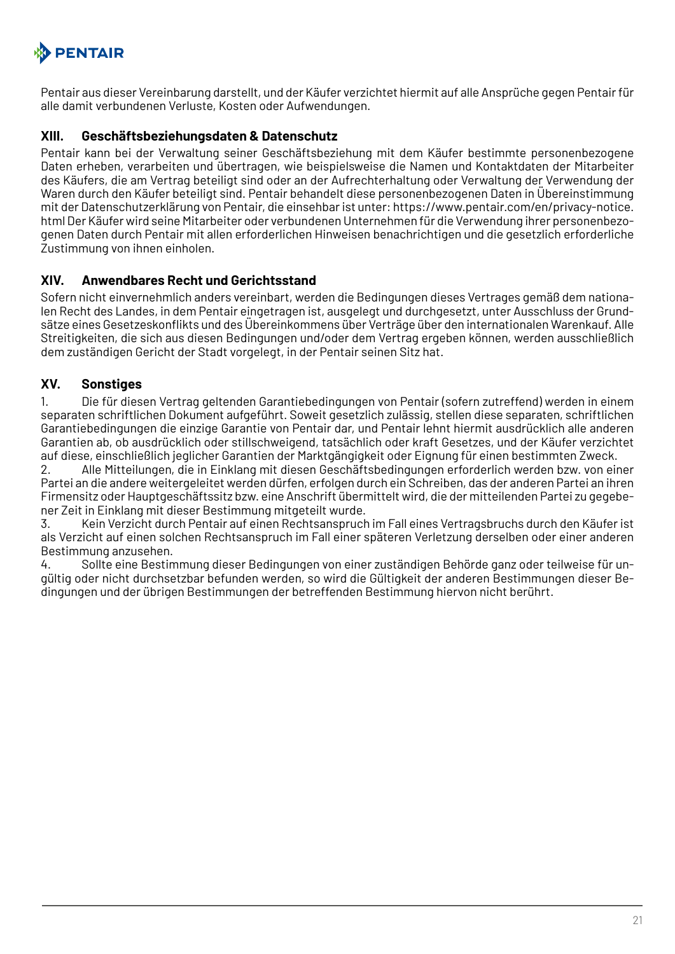# **PENTAIR**

Pentair aus dieser Vereinbarung darstellt, und der Käufer verzichtet hiermit auf alle Ansprüche gegen Pentair für alle damit verbundenen Verluste, Kosten oder Aufwendungen.

## **XIII. Geschäftsbeziehungsdaten & Datenschutz**

Pentair kann bei der Verwaltung seiner Geschäftsbeziehung mit dem Käufer bestimmte personenbezogene Daten erheben, verarbeiten und übertragen, wie beispielsweise die Namen und Kontaktdaten der Mitarbeiter des Käufers, die am Vertrag beteiligt sind oder an der Aufrechterhaltung oder Verwaltung der Verwendung der Waren durch den Käufer beteiligt sind. Pentair behandelt diese personenbezogenen Daten in Übereinstimmung mit der Datenschutzerklärung von Pentair, die einsehbar ist unter: https://www.pentair.com/en/privacy-notice. html Der Käufer wird seine Mitarbeiter oder verbundenen Unternehmen für die Verwendung ihrer personenbezogenen Daten durch Pentair mit allen erforderlichen Hinweisen benachrichtigen und die gesetzlich erforderliche Zustimmung von ihnen einholen.

## **XIV. Anwendbares Recht und Gerichtsstand**

Sofern nicht einvernehmlich anders vereinbart, werden die Bedingungen dieses Vertrages gemäß dem nationalen Recht des Landes, in dem Pentair eingetragen ist, ausgelegt und durchgesetzt, unter Ausschluss der Grundsätze eines Gesetzeskonflikts und des Übereinkommens über Verträge über den internationalen Warenkauf. Alle Streitigkeiten, die sich aus diesen Bedingungen und/oder dem Vertrag ergeben können, werden ausschließlich dem zuständigen Gericht der Stadt vorgelegt, in der Pentair seinen Sitz hat.

## **XV. Sonstiges**

1. Die für diesen Vertrag geltenden Garantiebedingungen von Pentair (sofern zutreffend) werden in einem separaten schriftlichen Dokument aufgeführt. Soweit gesetzlich zulässig, stellen diese separaten, schriftlichen Garantiebedingungen die einzige Garantie von Pentair dar, und Pentair lehnt hiermit ausdrücklich alle anderen Garantien ab, ob ausdrücklich oder stillschweigend, tatsächlich oder kraft Gesetzes, und der Käufer verzichtet auf diese, einschließlich jeglicher Garantien der Marktgängigkeit oder Eignung für einen bestimmten Zweck.

2. Alle Mitteilungen, die in Einklang mit diesen Geschäftsbedingungen erforderlich werden bzw. von einer Partei an die andere weitergeleitet werden dürfen, erfolgen durch ein Schreiben, das der anderen Partei an ihren Firmensitz oder Hauptgeschäftssitz bzw. eine Anschrift übermittelt wird, die der mitteilenden Partei zu gegebener Zeit in Einklang mit dieser Bestimmung mitgeteilt wurde.

3. Kein Verzicht durch Pentair auf einen Rechtsanspruch im Fall eines Vertragsbruchs durch den Käufer ist als Verzicht auf einen solchen Rechtsanspruch im Fall einer späteren Verletzung derselben oder einer anderen Bestimmung anzusehen.

4. Sollte eine Bestimmung dieser Bedingungen von einer zuständigen Behörde ganz oder teilweise für ungültig oder nicht durchsetzbar befunden werden, so wird die Gültigkeit der anderen Bestimmungen dieser Bedingungen und der übrigen Bestimmungen der betreffenden Bestimmung hiervon nicht berührt.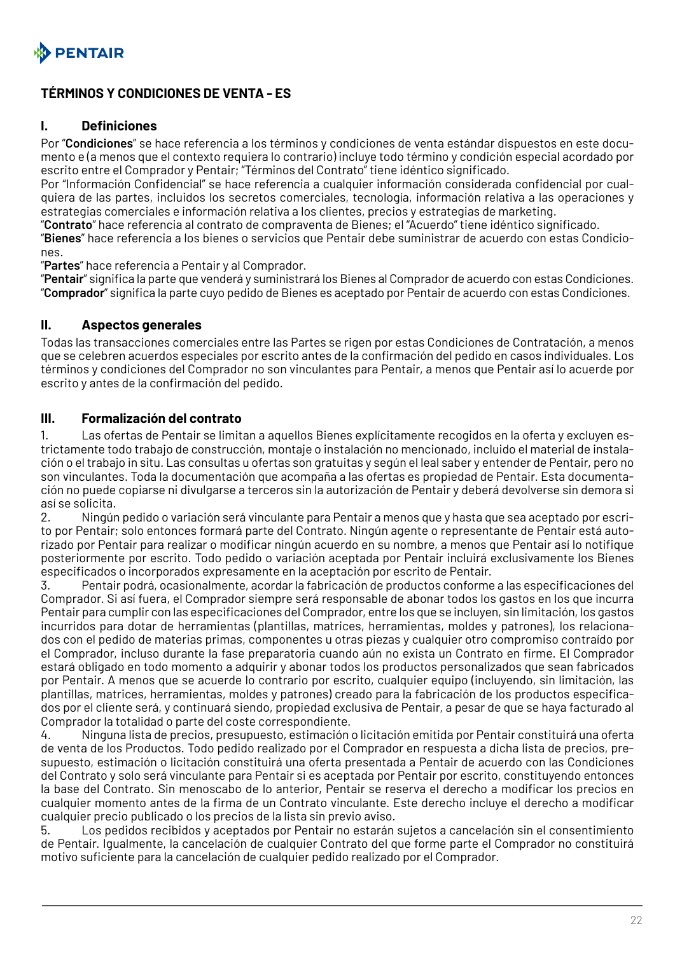<span id="page-21-0"></span>

## **TÉRMINOS Y CONDICIONES DE VENTA - ES**

#### **I. Definiciones**

Por "**Condiciones**" se hace referencia a los términos y condiciones de venta estándar dispuestos en este documento e (a menos que el contexto requiera lo contrario) incluye todo término y condición especial acordado por escrito entre el Comprador y Pentair; "Términos del Contrato" tiene idéntico significado.

Por "Información Confidencial" se hace referencia a cualquier información considerada confidencial por cualquiera de las partes, incluidos los secretos comerciales, tecnología, información relativa a las operaciones y estrategias comerciales e información relativa a los clientes, precios y estrategias de marketing.

"**Contrato**" hace referencia al contrato de compraventa de Bienes; el "Acuerdo" tiene idéntico significado.

"**Bienes**" hace referencia a los bienes o servicios que Pentair debe suministrar de acuerdo con estas Condiciones.

"**Partes**" hace referencia a Pentair y al Comprador.

"**Pentair**" significa la parte que venderá y suministrará los Bienes al Comprador de acuerdo con estas Condiciones. "**Comprador**" significa la parte cuyo pedido de Bienes es aceptado por Pentair de acuerdo con estas Condiciones.

#### **II. Aspectos generales**

Todas las transacciones comerciales entre las Partes se rigen por estas Condiciones de Contratación, a menos que se celebren acuerdos especiales por escrito antes de la confirmación del pedido en casos individuales. Los términos y condiciones del Comprador no son vinculantes para Pentair, a menos que Pentair así lo acuerde por escrito y antes de la confirmación del pedido.

#### **III. Formalización del contrato**

1. Las ofertas de Pentair se limitan a aquellos Bienes explícitamente recogidos en la oferta y excluyen estrictamente todo trabajo de construcción, montaje o instalación no mencionado, incluido el material de instalación o el trabajo in situ. Las consultas u ofertas son gratuitas y según el leal saber y entender de Pentair, pero no son vinculantes. Toda la documentación que acompaña a las ofertas es propiedad de Pentair. Esta documentación no puede copiarse ni divulgarse a terceros sin la autorización de Pentair y deberá devolverse sin demora si así se solicita.

2. Ningún pedido o variación será vinculante para Pentair a menos que y hasta que sea aceptado por escrito por Pentair; solo entonces formará parte del Contrato. Ningún agente o representante de Pentair está autorizado por Pentair para realizar o modificar ningún acuerdo en su nombre, a menos que Pentair así lo notifique posteriormente por escrito. Todo pedido o variación aceptada por Pentair incluirá exclusivamente los Bienes especificados o incorporados expresamente en la aceptación por escrito de Pentair.

3. Pentair podrá, ocasionalmente, acordar la fabricación de productos conforme a las especificaciones del Comprador. Si así fuera, el Comprador siempre será responsable de abonar todos los gastos en los que incurra Pentair para cumplir con las especificaciones del Comprador, entre los que se incluyen, sin limitación, los gastos incurridos para dotar de herramientas (plantillas, matrices, herramientas, moldes y patrones), los relacionados con el pedido de materias primas, componentes u otras piezas y cualquier otro compromiso contraído por el Comprador, incluso durante la fase preparatoria cuando aún no exista un Contrato en firme. El Comprador estará obligado en todo momento a adquirir y abonar todos los productos personalizados que sean fabricados por Pentair. A menos que se acuerde lo contrario por escrito, cualquier equipo (incluyendo, sin limitación, las plantillas, matrices, herramientas, moldes y patrones) creado para la fabricación de los productos especificados por el cliente será, y continuará siendo, propiedad exclusiva de Pentair, a pesar de que se haya facturado al Comprador la totalidad o parte del coste correspondiente.

4. Ninguna lista de precios, presupuesto, estimación o licitación emitida por Pentair constituirá una oferta de venta de los Productos. Todo pedido realizado por el Comprador en respuesta a dicha lista de precios, presupuesto, estimación o licitación constituirá una oferta presentada a Pentair de acuerdo con las Condiciones del Contrato y solo será vinculante para Pentair si es aceptada por Pentair por escrito, constituyendo entonces la base del Contrato. Sin menoscabo de lo anterior, Pentair se reserva el derecho a modificar los precios en cualquier momento antes de la firma de un Contrato vinculante. Este derecho incluye el derecho a modificar cualquier precio publicado o los precios de la lista sin previo aviso.

5. Los pedidos recibidos y aceptados por Pentair no estarán sujetos a cancelación sin el consentimiento de Pentair. Igualmente, la cancelación de cualquier Contrato del que forme parte el Comprador no constituirá motivo suficiente para la cancelación de cualquier pedido realizado por el Comprador.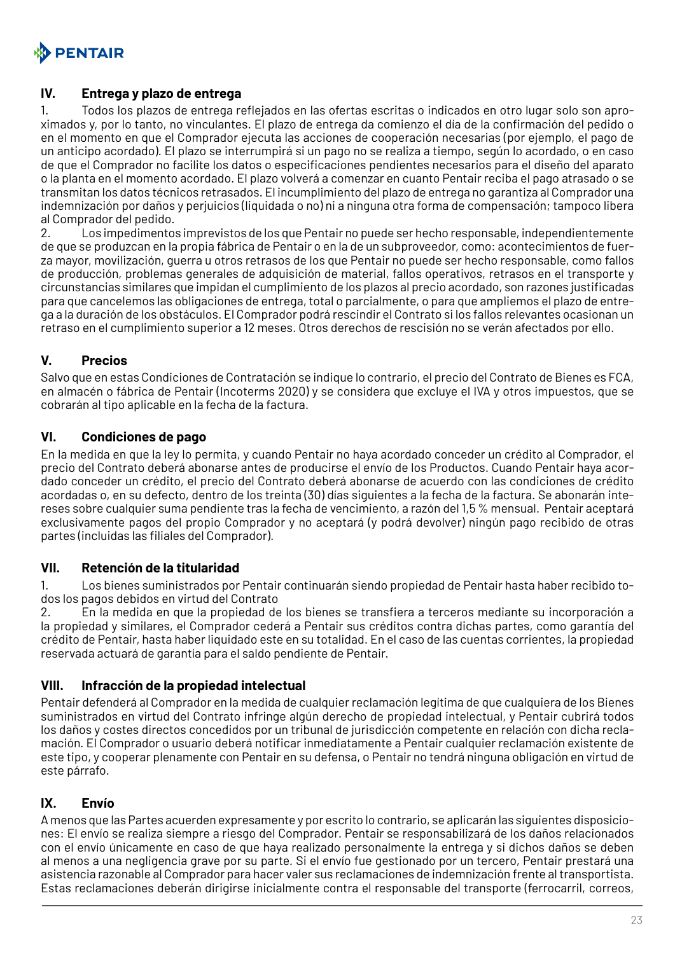

#### **IV. Entrega y plazo de entrega**

1. Todos los plazos de entrega reflejados en las ofertas escritas o indicados en otro lugar solo son aproximados y, por lo tanto, no vinculantes. El plazo de entrega da comienzo el día de la confirmación del pedido o en el momento en que el Comprador ejecuta las acciones de cooperación necesarias (por ejemplo, el pago de un anticipo acordado). El plazo se interrumpirá si un pago no se realiza a tiempo, según lo acordado, o en caso de que el Comprador no facilite los datos o especificaciones pendientes necesarios para el diseño del aparato o la planta en el momento acordado. El plazo volverá a comenzar en cuanto Pentair reciba el pago atrasado o se transmitan los datos técnicos retrasados. El incumplimiento del plazo de entrega no garantiza al Comprador una indemnización por daños y perjuicios (liquidada o no) ni a ninguna otra forma de compensación; tampoco libera al Comprador del pedido.

2. Los impedimentos imprevistos de los que Pentair no puede ser hecho responsable, independientemente de que se produzcan en la propia fábrica de Pentair o en la de un subproveedor, como: acontecimientos de fuerza mayor, movilización, guerra u otros retrasos de los que Pentair no puede ser hecho responsable, como fallos de producción, problemas generales de adquisición de material, fallos operativos, retrasos en el transporte y circunstancias similares que impidan el cumplimiento de los plazos al precio acordado, son razones justificadas para que cancelemos las obligaciones de entrega, total o parcialmente, o para que ampliemos el plazo de entrega a la duración de los obstáculos. El Comprador podrá rescindir el Contrato si los fallos relevantes ocasionan un retraso en el cumplimiento superior a 12 meses. Otros derechos de rescisión no se verán afectados por ello.

## **V. Precios**

Salvo que en estas Condiciones de Contratación se indique lo contrario, el precio del Contrato de Bienes es FCA, en almacén o fábrica de Pentair (Incoterms 2020) y se considera que excluye el IVA y otros impuestos, que se cobrarán al tipo aplicable en la fecha de la factura.

#### **VI. Condiciones de pago**

En la medida en que la ley lo permita, y cuando Pentair no haya acordado conceder un crédito al Comprador, el precio del Contrato deberá abonarse antes de producirse el envío de los Productos. Cuando Pentair haya acordado conceder un crédito, el precio del Contrato deberá abonarse de acuerdo con las condiciones de crédito acordadas o, en su defecto, dentro de los treinta (30) días siguientes a la fecha de la factura. Se abonarán intereses sobre cualquier suma pendiente tras la fecha de vencimiento, a razón del 1,5 % mensual. Pentair aceptará exclusivamente pagos del propio Comprador y no aceptará (y podrá devolver) ningún pago recibido de otras partes (incluidas las filiales del Comprador).

#### **VII. Retención de la titularidad**

1. Los bienes suministrados por Pentair continuarán siendo propiedad de Pentair hasta haber recibido todos los pagos debidos en virtud del Contrato

2. En la medida en que la propiedad de los bienes se transfiera a terceros mediante su incorporación a la propiedad y similares, el Comprador cederá a Pentair sus créditos contra dichas partes, como garantía del crédito de Pentair, hasta haber liquidado este en su totalidad. En el caso de las cuentas corrientes, la propiedad reservada actuará de garantía para el saldo pendiente de Pentair.

#### **VIII. Infracción de la propiedad intelectual**

Pentair defenderá al Comprador en la medida de cualquier reclamación legítima de que cualquiera de los Bienes suministrados en virtud del Contrato infringe algún derecho de propiedad intelectual, y Pentair cubrirá todos los daños y costes directos concedidos por un tribunal de jurisdicción competente en relación con dicha reclamación. El Comprador o usuario deberá notificar inmediatamente a Pentair cualquier reclamación existente de este tipo, y cooperar plenamente con Pentair en su defensa, o Pentair no tendrá ninguna obligación en virtud de este párrafo.

#### **IX. Envío**

A menos que las Partes acuerden expresamente y por escrito lo contrario, se aplicarán las siguientes disposiciones: El envío se realiza siempre a riesgo del Comprador. Pentair se responsabilizará de los daños relacionados con el envío únicamente en caso de que haya realizado personalmente la entrega y si dichos daños se deben al menos a una negligencia grave por su parte. Si el envío fue gestionado por un tercero, Pentair prestará una asistencia razonable al Comprador para hacer valer sus reclamaciones de indemnización frente al transportista. Estas reclamaciones deberán dirigirse inicialmente contra el responsable del transporte (ferrocarril, correos,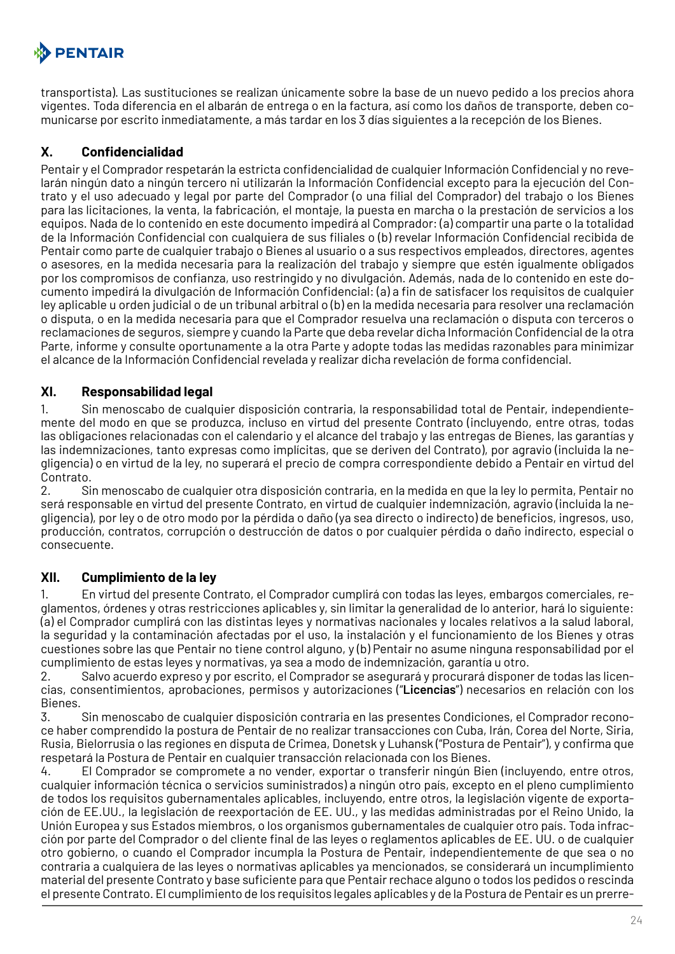# **A** PENTAIR

transportista). Las sustituciones se realizan únicamente sobre la base de un nuevo pedido a los precios ahora vigentes. Toda diferencia en el albarán de entrega o en la factura, así como los daños de transporte, deben comunicarse por escrito inmediatamente, a más tardar en los 3 días siguientes a la recepción de los Bienes.

# **X. Confidencialidad**

Pentair y el Comprador respetarán la estricta confidencialidad de cualquier Información Confidencial y no revelarán ningún dato a ningún tercero ni utilizarán la Información Confidencial excepto para la ejecución del Contrato y el uso adecuado y legal por parte del Comprador (o una filial del Comprador) del trabajo o los Bienes para las licitaciones, la venta, la fabricación, el montaje, la puesta en marcha o la prestación de servicios a los equipos. Nada de lo contenido en este documento impedirá al Comprador: (a) compartir una parte o la totalidad de la Información Confidencial con cualquiera de sus filiales o (b) revelar Información Confidencial recibida de Pentair como parte de cualquier trabajo o Bienes al usuario o a sus respectivos empleados, directores, agentes o asesores, en la medida necesaria para la realización del trabajo y siempre que estén igualmente obligados por los compromisos de confianza, uso restringido y no divulgación. Además, nada de lo contenido en este documento impedirá la divulgación de Información Confidencial: (a) a fin de satisfacer los requisitos de cualquier ley aplicable u orden judicial o de un tribunal arbitral o (b) en la medida necesaria para resolver una reclamación o disputa, o en la medida necesaria para que el Comprador resuelva una reclamación o disputa con terceros o reclamaciones de seguros, siempre y cuando la Parte que deba revelar dicha Información Confidencial de la otra Parte, informe y consulte oportunamente a la otra Parte y adopte todas las medidas razonables para minimizar el alcance de la Información Confidencial revelada y realizar dicha revelación de forma confidencial.

## **XI. Responsabilidad legal**

1. Sin menoscabo de cualquier disposición contraria, la responsabilidad total de Pentair, independientemente del modo en que se produzca, incluso en virtud del presente Contrato (incluyendo, entre otras, todas las obligaciones relacionadas con el calendario y el alcance del trabajo y las entregas de Bienes, las garantías y las indemnizaciones, tanto expresas como implícitas, que se deriven del Contrato), por agravio (incluida la negligencia) o en virtud de la ley, no superará el precio de compra correspondiente debido a Pentair en virtud del Contrato.

2. Sin menoscabo de cualquier otra disposición contraria, en la medida en que la ley lo permita, Pentair no será responsable en virtud del presente Contrato, en virtud de cualquier indemnización, agravio (incluida la negligencia), por ley o de otro modo por la pérdida o daño (ya sea directo o indirecto) de beneficios, ingresos, uso, producción, contratos, corrupción o destrucción de datos o por cualquier pérdida o daño indirecto, especial o consecuente.

## **XII. Cumplimiento de la ley**

1. En virtud del presente Contrato, el Comprador cumplirá con todas las leyes, embargos comerciales, reglamentos, órdenes y otras restricciones aplicables y, sin limitar la generalidad de lo anterior, hará lo siguiente: (a) el Comprador cumplirá con las distintas leyes y normativas nacionales y locales relativos a la salud laboral, la seguridad y la contaminación afectadas por el uso, la instalación y el funcionamiento de los Bienes y otras cuestiones sobre las que Pentair no tiene control alguno, y (b) Pentair no asume ninguna responsabilidad por el cumplimiento de estas leyes y normativas, ya sea a modo de indemnización, garantía u otro.

2. Salvo acuerdo expreso y por escrito, el Comprador se asegurará y procurará disponer de todas las licencias, consentimientos, aprobaciones, permisos y autorizaciones ("**Licencias**") necesarios en relación con los Bienes.

3. Sin menoscabo de cualquier disposición contraria en las presentes Condiciones, el Comprador reconoce haber comprendido la postura de Pentair de no realizar transacciones con Cuba, Irán, Corea del Norte, Siria, Rusia, Bielorrusia o las regiones en disputa de Crimea, Donetsk y Luhansk ("Postura de Pentair"), y confirma que respetará la Postura de Pentair en cualquier transacción relacionada con los Bienes.

4. El Comprador se compromete a no vender, exportar o transferir ningún Bien (incluyendo, entre otros, cualquier información técnica o servicios suministrados) a ningún otro país, excepto en el pleno cumplimiento de todos los requisitos gubernamentales aplicables, incluyendo, entre otros, la legislación vigente de exportación de EE.UU., la legislación de reexportación de EE. UU., y las medidas administradas por el Reino Unido, la Unión Europea y sus Estados miembros, o los organismos gubernamentales de cualquier otro país. Toda infracción por parte del Comprador o del cliente final de las leyes o reglamentos aplicables de EE. UU. o de cualquier otro gobierno, o cuando el Comprador incumpla la Postura de Pentair, independientemente de que sea o no contraria a cualquiera de las leyes o normativas aplicables ya mencionados, se considerará un incumplimiento material del presente Contrato y base suficiente para que Pentair rechace alguno o todos los pedidos o rescinda el presente Contrato. El cumplimiento de los requisitos legales aplicables y de la Postura de Pentair es un prerre-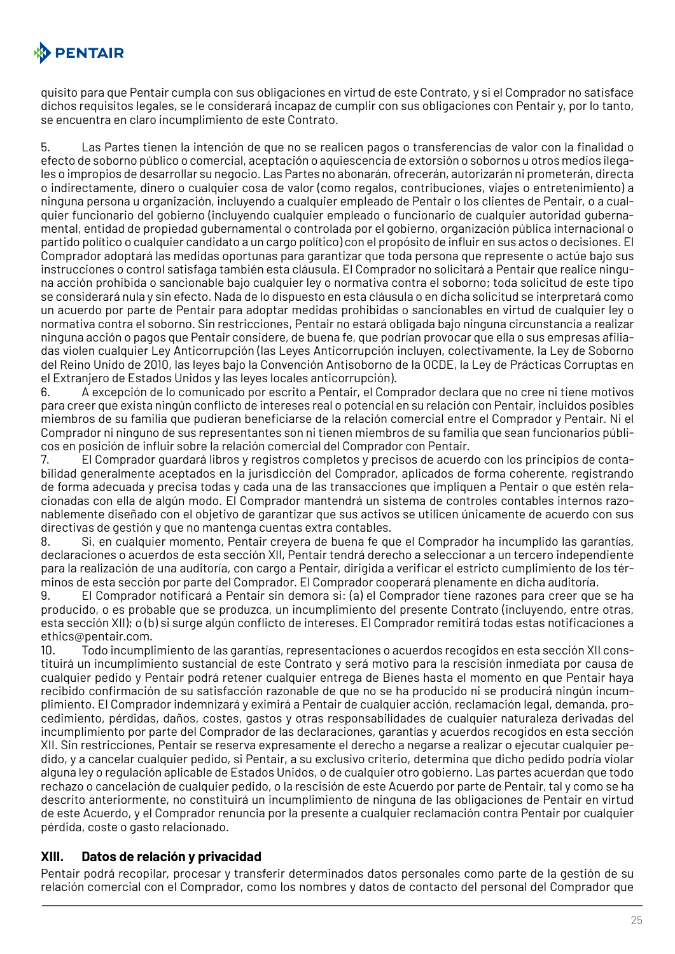

quisito para que Pentair cumpla con sus obligaciones en virtud de este Contrato, y si el Comprador no satisface dichos requisitos legales, se le considerará incapaz de cumplir con sus obligaciones con Pentair y, por lo tanto, se encuentra en claro incumplimiento de este Contrato.

5. Las Partes tienen la intención de que no se realicen pagos o transferencias de valor con la finalidad o efecto de soborno público o comercial, aceptación o aquiescencia de extorsión o sobornos u otros medios ilegales o impropios de desarrollar su negocio. Las Partes no abonarán, ofrecerán, autorizarán ni prometerán, directa o indirectamente, dinero o cualquier cosa de valor (como regalos, contribuciones, viajes o entretenimiento) a ninguna persona u organización, incluyendo a cualquier empleado de Pentair o los clientes de Pentair, o a cualquier funcionario del gobierno (incluyendo cualquier empleado o funcionario de cualquier autoridad gubernamental, entidad de propiedad gubernamental o controlada por el gobierno, organización pública internacional o partido político o cualquier candidato a un cargo político) con el propósito de influir en sus actos o decisiones. El Comprador adoptará las medidas oportunas para garantizar que toda persona que represente o actúe bajo sus instrucciones o control satisfaga también esta cláusula. El Comprador no solicitará a Pentair que realice ninguna acción prohibida o sancionable bajo cualquier ley o normativa contra el soborno; toda solicitud de este tipo se considerará nula y sin efecto. Nada de lo dispuesto en esta cláusula o en dicha solicitud se interpretará como un acuerdo por parte de Pentair para adoptar medidas prohibidas o sancionables en virtud de cualquier ley o normativa contra el soborno. Sin restricciones, Pentair no estará obligada bajo ninguna circunstancia a realizar ninguna acción o pagos que Pentair considere, de buena fe, que podrían provocar que ella o sus empresas afiliadas violen cualquier Ley Anticorrupción (las Leyes Anticorrupción incluyen, colectivamente, la Ley de Soborno del Reino Unido de 2010, las leyes bajo la Convención Antisoborno de la OCDE, la Ley de Prácticas Corruptas en el Extranjero de Estados Unidos y las leyes locales anticorrupción).

6. A excepción de lo comunicado por escrito a Pentair, el Comprador declara que no cree ni tiene motivos para creer que exista ningún conflicto de intereses real o potencial en su relación con Pentair, incluidos posibles miembros de su familia que pudieran beneficiarse de la relación comercial entre el Comprador y Pentair. Ni el Comprador ni ninguno de sus representantes son ni tienen miembros de su familia que sean funcionarios públicos en posición de influir sobre la relación comercial del Comprador con Pentair.

7. El Comprador guardará libros y registros completos y precisos de acuerdo con los principios de contabilidad generalmente aceptados en la jurisdicción del Comprador, aplicados de forma coherente, registrando de forma adecuada y precisa todas y cada una de las transacciones que impliquen a Pentair o que estén relacionadas con ella de algún modo. El Comprador mantendrá un sistema de controles contables internos razonablemente diseñado con el objetivo de garantizar que sus activos se utilicen únicamente de acuerdo con sus directivas de gestión y que no mantenga cuentas extra contables.

8. Si, en cualquier momento, Pentair creyera de buena fe que el Comprador ha incumplido las garantías, declaraciones o acuerdos de esta sección XII, Pentair tendrá derecho a seleccionar a un tercero independiente para la realización de una auditoría, con cargo a Pentair, dirigida a verificar el estricto cumplimiento de los términos de esta sección por parte del Comprador. El Comprador cooperará plenamente en dicha auditoría.

9. El Comprador notificará a Pentair sin demora si: (a) el Comprador tiene razones para creer que se ha producido, o es probable que se produzca, un incumplimiento del presente Contrato (incluyendo, entre otras, esta sección XII); o (b) si surge algún conflicto de intereses. El Comprador remitirá todas estas notificaciones a ethics@pentair.com.

10. Todo incumplimiento de las garantías, representaciones o acuerdos recogidos en esta sección XII constituirá un incumplimiento sustancial de este Contrato y será motivo para la rescisión inmediata por causa de cualquier pedido y Pentair podrá retener cualquier entrega de Bienes hasta el momento en que Pentair haya recibido confirmación de su satisfacción razonable de que no se ha producido ni se producirá ningún incumplimiento. El Comprador indemnizará y eximirá a Pentair de cualquier acción, reclamación legal, demanda, procedimiento, pérdidas, daños, costes, gastos y otras responsabilidades de cualquier naturaleza derivadas del incumplimiento por parte del Comprador de las declaraciones, garantías y acuerdos recogidos en esta sección XII. Sin restricciones, Pentair se reserva expresamente el derecho a negarse a realizar o ejecutar cualquier pedido, y a cancelar cualquier pedido, si Pentair, a su exclusivo criterio, determina que dicho pedido podría violar alguna ley o regulación aplicable de Estados Unidos, o de cualquier otro gobierno. Las partes acuerdan que todo rechazo o cancelación de cualquier pedido, o la rescisión de este Acuerdo por parte de Pentair, tal y como se ha descrito anteriormente, no constituirá un incumplimiento de ninguna de las obligaciones de Pentair en virtud de este Acuerdo, y el Comprador renuncia por la presente a cualquier reclamación contra Pentair por cualquier pérdida, coste o gasto relacionado.

## **XIII. Datos de relación y privacidad**

Pentair podrá recopilar, procesar y transferir determinados datos personales como parte de la gestión de su relación comercial con el Comprador, como los nombres y datos de contacto del personal del Comprador que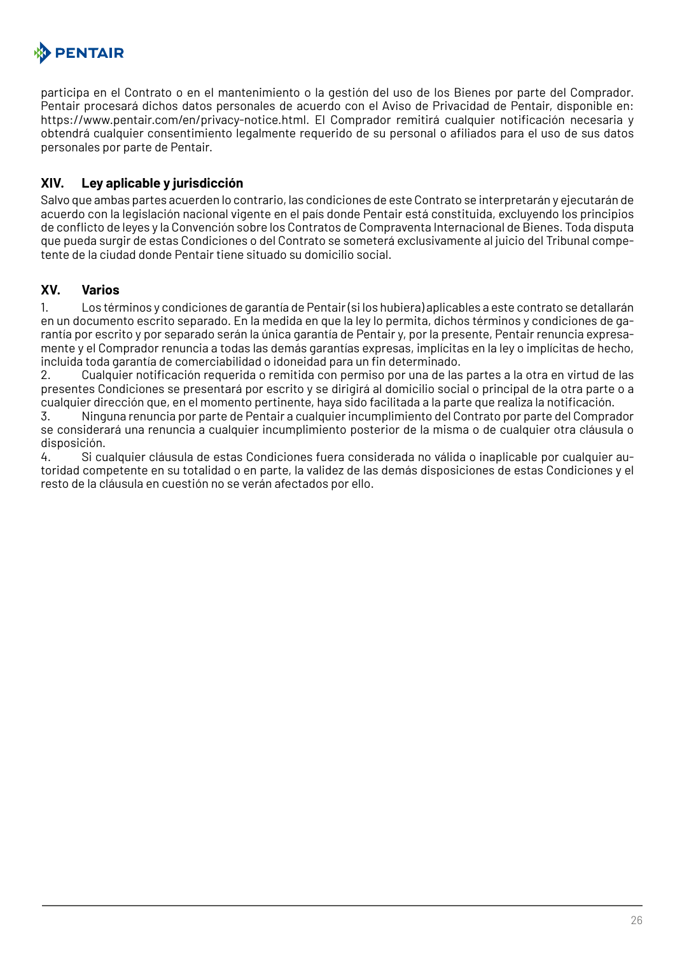

participa en el Contrato o en el mantenimiento o la gestión del uso de los Bienes por parte del Comprador. Pentair procesará dichos datos personales de acuerdo con el Aviso de Privacidad de Pentair, disponible en: https://www.pentair.com/en/privacy-notice.html. El Comprador remitirá cualquier notificación necesaria y obtendrá cualquier consentimiento legalmente requerido de su personal o afiliados para el uso de sus datos personales por parte de Pentair.

#### **XIV. Ley aplicable y jurisdicción**

Salvo que ambas partes acuerden lo contrario, las condiciones de este Contrato se interpretarán y ejecutarán de acuerdo con la legislación nacional vigente en el país donde Pentair está constituida, excluyendo los principios de conflicto de leyes y la Convención sobre los Contratos de Compraventa Internacional de Bienes. Toda disputa que pueda surgir de estas Condiciones o del Contrato se someterá exclusivamente al juicio del Tribunal competente de la ciudad donde Pentair tiene situado su domicilio social.

#### **XV. Varios**

1. Los términos y condiciones de garantía de Pentair (si los hubiera) aplicables a este contrato se detallarán en un documento escrito separado. En la medida en que la ley lo permita, dichos términos y condiciones de garantía por escrito y por separado serán la única garantía de Pentair y, por la presente, Pentair renuncia expresamente y el Comprador renuncia a todas las demás garantías expresas, implícitas en la ley o implícitas de hecho, incluida toda garantía de comerciabilidad o idoneidad para un fin determinado.

2. Cualquier notificación requerida o remitida con permiso por una de las partes a la otra en virtud de las presentes Condiciones se presentará por escrito y se dirigirá al domicilio social o principal de la otra parte o a cualquier dirección que, en el momento pertinente, haya sido facilitada a la parte que realiza la notificación.

3. Ninguna renuncia por parte de Pentair a cualquier incumplimiento del Contrato por parte del Comprador se considerará una renuncia a cualquier incumplimiento posterior de la misma o de cualquier otra cláusula o disposición.

4. Si cualquier cláusula de estas Condiciones fuera considerada no válida o inaplicable por cualquier autoridad competente en su totalidad o en parte, la validez de las demás disposiciones de estas Condiciones y el resto de la cláusula en cuestión no se verán afectados por ello.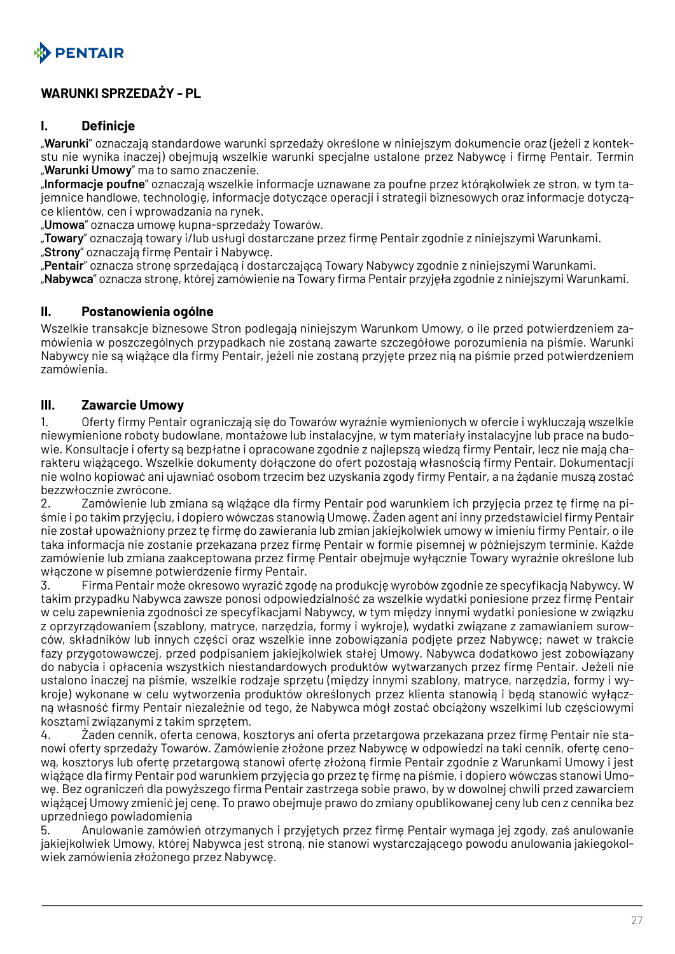<span id="page-26-0"></span>

## **WARUNKI SPRZEDAŻY - PL**

#### **I. Definicje**

"**Warunki**" oznaczają standardowe warunki sprzedaży określone w niniejszym dokumencie oraz (jeżeli z kontekstu nie wynika inaczej) obejmują wszelkie warunki specjalne ustalone przez Nabywcę i firmę Pentair. Termin "**Warunki Umowy**" ma to samo znaczenie.

"**Informacje poufne**" oznaczają wszelkie informacje uznawane za poufne przez którąkolwiek ze stron, w tym tajemnice handlowe, technologię, informacje dotyczące operacji i strategii biznesowych oraz informacje dotyczące klientów, cen i wprowadzania na rynek.

"**Umowa**" oznacza umowę kupna-sprzedaży Towarów.

"**Towary**" oznaczają towary i/lub usługi dostarczane przez firmę Pentair zgodnie z niniejszymi Warunkami. "**Strony**" oznaczają firmę Pentair i Nabywcę.

"**Pentair**" oznacza stronę sprzedającą i dostarczającą Towary Nabywcy zgodnie z niniejszymi Warunkami. "**Nabywca**" oznacza stronę, której zamówienie na Towary firma Pentair przyjęła zgodnie z niniejszymi Warunkami.

#### **II. Postanowienia ogólne**

Wszelkie transakcje biznesowe Stron podlegają niniejszym Warunkom Umowy, o ile przed potwierdzeniem zamówienia w poszczególnych przypadkach nie zostaną zawarte szczegółowe porozumienia na piśmie. Warunki Nabywcy nie są wiążące dla firmy Pentair, jeżeli nie zostaną przyjęte przez nią na piśmie przed potwierdzeniem zamówienia.

#### **III. Zawarcie Umowy**

1. Oferty firmy Pentair ograniczają się do Towarów wyraźnie wymienionych w ofercie i wykluczają wszelkie niewymienione roboty budowlane, montażowe lub instalacyjne, w tym materiały instalacyjne lub prace na budowie. Konsultacje i oferty są bezpłatne i opracowane zgodnie z najlepszą wiedzą firmy Pentair, lecz nie mają charakteru wiążącego. Wszelkie dokumenty dołączone do ofert pozostają własnością firmy Pentair. Dokumentacji nie wolno kopiować ani ujawniać osobom trzecim bez uzyskania zgody firmy Pentair, a na żądanie muszą zostać bezzwłocznie zwrócone.

2. Zamówienie lub zmiana są wiążące dla firmy Pentair pod warunkiem ich przyjęcia przez tę firmę na piśmie i po takim przyjęciu, i dopiero wówczas stanowią Umowę. Żaden agent ani inny przedstawiciel firmy Pentair nie został upoważniony przez tę firmę do zawierania lub zmian jakiejkolwiek umowy w imieniu firmy Pentair, o ile taka informacja nie zostanie przekazana przez firmę Pentair w formie pisemnej w późniejszym terminie. Każde zamówienie lub zmiana zaakceptowana przez firmę Pentair obejmuje wyłącznie Towary wyraźnie określone lub włączone w pisemne potwierdzenie firmy Pentair.

3. Firma Pentair może okresowo wyrazić zgodę na produkcję wyrobów zgodnie ze specyfikacją Nabywcy. W takim przypadku Nabywca zawsze ponosi odpowiedzialność za wszelkie wydatki poniesione przez firmę Pentair w celu zapewnienia zgodności ze specyfikacjami Nabywcy, w tym między innymi wydatki poniesione w związku z oprzyrządowaniem (szablony, matryce, narzędzia, formy i wykroje), wydatki związane z zamawianiem surowców, składników lub innych części oraz wszelkie inne zobowiązania podjęte przez Nabywcę; nawet w trakcie fazy przygotowawczej, przed podpisaniem jakiejkolwiek stałej Umowy. Nabywca dodatkowo jest zobowiązany do nabycia i opłacenia wszystkich niestandardowych produktów wytwarzanych przez firmę Pentair. Jeżeli nie ustalono inaczej na piśmie, wszelkie rodzaje sprzętu (między innymi szablony, matryce, narzędzia, formy i wykroje) wykonane w celu wytworzenia produktów określonych przez klienta stanowią i będą stanowić wyłączną własność firmy Pentair niezależnie od tego, że Nabywca mógł zostać obciążony wszelkimi lub częściowymi kosztami związanymi z takim sprzętem.

4. Żaden cennik, oferta cenowa, kosztorys ani oferta przetargowa przekazana przez firmę Pentair nie stanowi oferty sprzedaży Towarów. Zamówienie złożone przez Nabywcę w odpowiedzi na taki cennik, ofertę cenową, kosztorys lub ofertę przetargową stanowi ofertę złożoną firmie Pentair zgodnie z Warunkami Umowy i jest wiążące dla firmy Pentair pod warunkiem przyjęcia go przez tę firmę na piśmie, i dopiero wówczas stanowi Umowę. Bez ograniczeń dla powyższego firma Pentair zastrzega sobie prawo, by w dowolnej chwili przed zawarciem wiążącej Umowy zmienić jej cenę. To prawo obejmuje prawo do zmiany opublikowanej ceny lub cen z cennika bez uprzedniego powiadomienia

5. Anulowanie zamówień otrzymanych i przyjętych przez firmę Pentair wymaga jej zgody, zaś anulowanie jakiejkolwiek Umowy, której Nabywca jest stroną, nie stanowi wystarczającego powodu anulowania jakiegokolwiek zamówienia złożonego przez Nabywcę.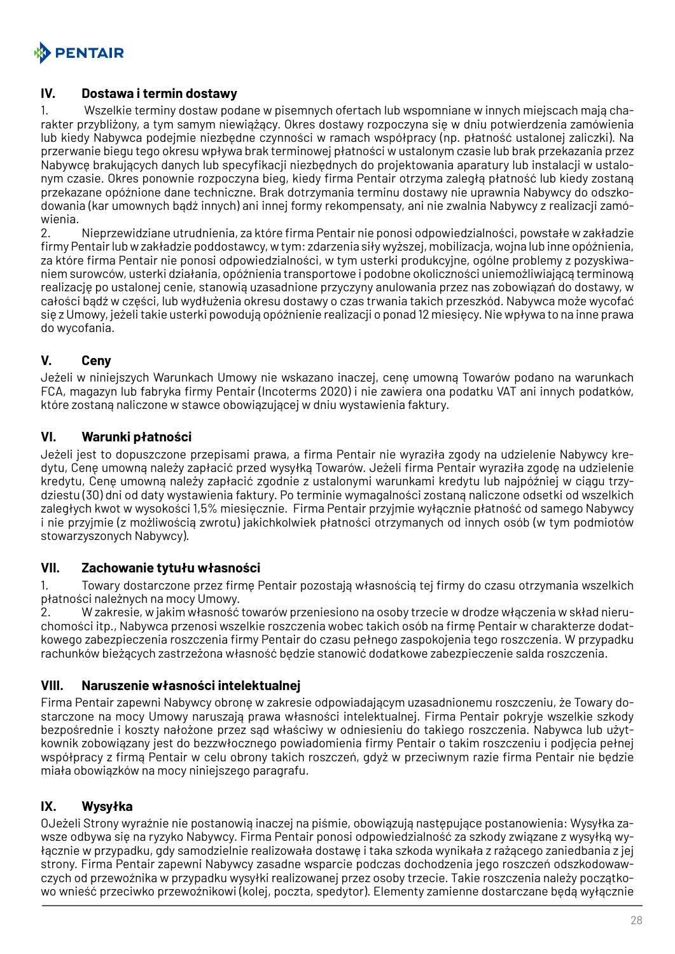

#### **IV. Dostawa i termin dostawy**

1. Wszelkie terminy dostaw podane w pisemnych ofertach lub wspomniane w innych miejscach mają charakter przybliżony, a tym samym niewiążący. Okres dostawy rozpoczyna się w dniu potwierdzenia zamówienia lub kiedy Nabywca podejmie niezbędne czynności w ramach współpracy (np. płatność ustalonej zaliczki). Na przerwanie biegu tego okresu wpływa brak terminowej płatności w ustalonym czasie lub brak przekazania przez Nabywcę brakujących danych lub specyfikacji niezbędnych do projektowania aparatury lub instalacji w ustalonym czasie. Okres ponownie rozpoczyna bieg, kiedy firma Pentair otrzyma zaległą płatność lub kiedy zostaną przekazane opóźnione dane techniczne. Brak dotrzymania terminu dostawy nie uprawnia Nabywcy do odszkodowania (kar umownych bądź innych) ani innej formy rekompensaty, ani nie zwalnia Nabywcy z realizacji zamówienia.

2. Nieprzewidziane utrudnienia, za które firma Pentair nie ponosi odpowiedzialności, powstałe w zakładzie firmy Pentair lub w zakładzie poddostawcy, w tym: zdarzenia siły wyższej, mobilizacja, wojna lub inne opóźnienia, za które firma Pentair nie ponosi odpowiedzialności, w tym usterki produkcyjne, ogólne problemy z pozyskiwaniem surowców, usterki działania, opóźnienia transportowe i podobne okoliczności uniemożliwiającą terminową realizację po ustalonej cenie, stanowią uzasadnione przyczyny anulowania przez nas zobowiązań do dostawy, w całości bądź w części, lub wydłużenia okresu dostawy o czas trwania takich przeszkód. Nabywca może wycofać się z Umowy, jeżeli takie usterki powodują opóźnienie realizacji o ponad 12 miesięcy. Nie wpływa to na inne prawa do wycofania.

## **V. Ceny**

Jeżeli w niniejszych Warunkach Umowy nie wskazano inaczej, cenę umowną Towarów podano na warunkach FCA, magazyn lub fabryka firmy Pentair (Incoterms 2020) i nie zawiera ona podatku VAT ani innych podatków, które zostaną naliczone w stawce obowiązującej w dniu wystawienia faktury.

#### **VI. Warunki płatności**

Jeżeli jest to dopuszczone przepisami prawa, a firma Pentair nie wyraziła zgody na udzielenie Nabywcy kredytu, Cenę umowną należy zapłacić przed wysyłką Towarów. Jeżeli firma Pentair wyraziła zgodę na udzielenie kredytu, Cenę umowną należy zapłacić zgodnie z ustalonymi warunkami kredytu lub najpóźniej w ciągu trzydziestu (30) dni od daty wystawienia faktury. Po terminie wymagalności zostaną naliczone odsetki od wszelkich zaległych kwot w wysokości 1,5% miesięcznie. Firma Pentair przyjmie wyłącznie płatność od samego Nabywcy i nie przyjmie (z możliwością zwrotu) jakichkolwiek płatności otrzymanych od innych osób (w tym podmiotów stowarzyszonych Nabywcy).

#### **VII. Zachowanie tytułu własności**

1. Towary dostarczone przez firmę Pentair pozostają własnością tej firmy do czasu otrzymania wszelkich płatności należnych na mocy Umowy.

2. W zakresie, w jakim własność towarów przeniesiono na osoby trzecie w drodze włączenia w skład nieruchomości itp., Nabywca przenosi wszelkie roszczenia wobec takich osób na firmę Pentair w charakterze dodatkowego zabezpieczenia roszczenia firmy Pentair do czasu pełnego zaspokojenia tego roszczenia. W przypadku rachunków bieżących zastrzeżona własność będzie stanowić dodatkowe zabezpieczenie salda roszczenia.

#### **VIII. Naruszenie własności intelektualnej**

Firma Pentair zapewni Nabywcy obronę w zakresie odpowiadającym uzasadnionemu roszczeniu, że Towary dostarczone na mocy Umowy naruszają prawa własności intelektualnej. Firma Pentair pokryje wszelkie szkody bezpośrednie i koszty nałożone przez sąd właściwy w odniesieniu do takiego roszczenia. Nabywca lub użytkownik zobowiązany jest do bezzwłocznego powiadomienia firmy Pentair o takim roszczeniu i podjęcia pełnej współpracy z firmą Pentair w celu obrony takich roszczeń, gdyż w przeciwnym razie firma Pentair nie będzie miała obowiązków na mocy niniejszego paragrafu.

## **IX. Wysyłka**

OJeżeli Strony wyraźnie nie postanowią inaczej na piśmie, obowiązują następujące postanowienia: Wysyłka zawsze odbywa się na ryzyko Nabywcy. Firma Pentair ponosi odpowiedzialność za szkody związane z wysyłką wyłącznie w przypadku, gdy samodzielnie realizowała dostawę i taka szkoda wynikała z rażącego zaniedbania z jej strony. Firma Pentair zapewni Nabywcy zasadne wsparcie podczas dochodzenia jego roszczeń odszkodowawczych od przewoźnika w przypadku wysyłki realizowanej przez osoby trzecie. Takie roszczenia należy początkowo wnieść przeciwko przewoźnikowi (kolej, poczta, spedytor). Elementy zamienne dostarczane będą wyłącznie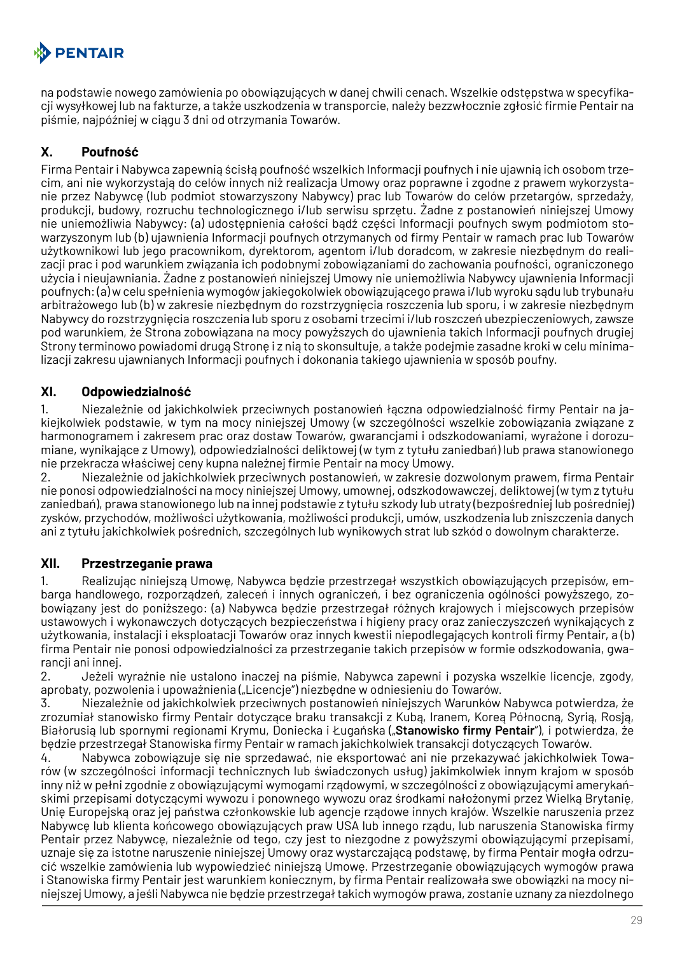# **A** PENTAIR

na podstawie nowego zamówienia po obowiązujących w danej chwili cenach. Wszelkie odstępstwa w specyfikacji wysyłkowej lub na fakturze, a także uszkodzenia w transporcie, należy bezzwłocznie zgłosić firmie Pentair na piśmie, najpóźniej w ciągu 3 dni od otrzymania Towarów.

# **X. Poufność**

Firma Pentair i Nabywca zapewnią ścisłą poufność wszelkich Informacji poufnych i nie ujawnią ich osobom trzecim, ani nie wykorzystają do celów innych niż realizacja Umowy oraz poprawne i zgodne z prawem wykorzystanie przez Nabywcę (lub podmiot stowarzyszony Nabywcy) prac lub Towarów do celów przetargów, sprzedaży, produkcji, budowy, rozruchu technologicznego i/lub serwisu sprzętu. Żadne z postanowień niniejszej Umowy nie uniemożliwia Nabywcy: (a) udostępnienia całości bądź części Informacji poufnych swym podmiotom stowarzyszonym lub (b) ujawnienia Informacji poufnych otrzymanych od firmy Pentair w ramach prac lub Towarów użytkownikowi lub jego pracownikom, dyrektorom, agentom i/lub doradcom, w zakresie niezbędnym do realizacji prac i pod warunkiem związania ich podobnymi zobowiązaniami do zachowania poufności, ograniczonego użycia i nieujawniania. Żadne z postanowień niniejszej Umowy nie uniemożliwia Nabywcy ujawnienia Informacji poufnych: (a) w celu spełnienia wymogów jakiegokolwiek obowiązującego prawa i/lub wyroku sądu lub trybunału arbitrażowego lub (b) w zakresie niezbędnym do rozstrzygnięcia roszczenia lub sporu, i w zakresie niezbędnym Nabywcy do rozstrzygnięcia roszczenia lub sporu z osobami trzecimi i/lub roszczeń ubezpieczeniowych, zawsze pod warunkiem, że Strona zobowiązana na mocy powyższych do ujawnienia takich Informacji poufnych drugiej Strony terminowo powiadomi drugą Stronę i z nią to skonsultuje, a także podejmie zasadne kroki w celu minimalizacji zakresu ujawnianych Informacji poufnych i dokonania takiego ujawnienia w sposób poufny.

## **XI. Odpowiedzialność**

1. Niezależnie od jakichkolwiek przeciwnych postanowień łączna odpowiedzialność firmy Pentair na jakiejkolwiek podstawie, w tym na mocy niniejszej Umowy (w szczególności wszelkie zobowiązania związane z harmonogramem i zakresem prac oraz dostaw Towarów, gwarancjami i odszkodowaniami, wyrażone i dorozumiane, wynikające z Umowy), odpowiedzialności deliktowej (w tym z tytułu zaniedbań) lub prawa stanowionego nie przekracza właściwej ceny kupna należnej firmie Pentair na mocy Umowy.

2. Niezależnie od jakichkolwiek przeciwnych postanowień, w zakresie dozwolonym prawem, firma Pentair nie ponosi odpowiedzialności na mocy niniejszej Umowy, umownej, odszkodowawczej, deliktowej (w tym z tytułu zaniedbań), prawa stanowionego lub na innej podstawie z tytułu szkody lub utraty (bezpośredniej lub pośredniej) zysków, przychodów, możliwości użytkowania, możliwości produkcji, umów, uszkodzenia lub zniszczenia danych ani z tytułu jakichkolwiek pośrednich, szczególnych lub wynikowych strat lub szkód o dowolnym charakterze.

## **XII. Przestrzeganie prawa**

1. Realizując niniejszą Umowę, Nabywca będzie przestrzegał wszystkich obowiązujących przepisów, embarga handlowego, rozporządzeń, zaleceń i innych ograniczeń, i bez ograniczenia ogólności powyższego, zobowiązany jest do poniższego: (a) Nabywca będzie przestrzegał różnych krajowych i miejscowych przepisów ustawowych i wykonawczych dotyczących bezpieczeństwa i higieny pracy oraz zanieczyszczeń wynikających z użytkowania, instalacji i eksploatacji Towarów oraz innych kwestii niepodlegających kontroli firmy Pentair, a (b) firma Pentair nie ponosi odpowiedzialności za przestrzeganie takich przepisów w formie odszkodowania, gwarancji ani innej.

2. Jeżeli wyraźnie nie ustalono inaczej na piśmie, Nabywca zapewni i pozyska wszelkie licencje, zgody, aprobaty, pozwolenia i upoważnienia ("Licencje") niezbędne w odniesieniu do Towarów.

3. Niezależnie od jakichkolwiek przeciwnych postanowień niniejszych Warunków Nabywca potwierdza, że zrozumiał stanowisko firmy Pentair dotyczące braku transakcji z Kubą, Iranem, Koreą Północną, Syrią, Rosją, Białorusią lub spornymi regionami Krymu, Doniecka i Ługańska ("**Stanowisko firmy Pentair**"), i potwierdza, że będzie przestrzegał Stanowiska firmy Pentair w ramach jakichkolwiek transakcji dotyczących Towarów.

4. Nabywca zobowiązuje się nie sprzedawać, nie eksportować ani nie przekazywać jakichkolwiek Towarów (w szczególności informacji technicznych lub świadczonych usług) jakimkolwiek innym krajom w sposób inny niż w pełni zgodnie z obowiązującymi wymogami rządowymi, w szczególności z obowiązującymi amerykańskimi przepisami dotyczącymi wywozu i ponownego wywozu oraz środkami nałożonymi przez Wielką Brytanię, Unię Europejską oraz jej państwa członkowskie lub agencje rządowe innych krajów. Wszelkie naruszenia przez Nabywcę lub klienta końcowego obowiązujących praw USA lub innego rządu, lub naruszenia Stanowiska firmy Pentair przez Nabywcę, niezależnie od tego, czy jest to niezgodne z powyższymi obowiązującymi przepisami, uznaje się za istotne naruszenie niniejszej Umowy oraz wystarczającą podstawę, by firma Pentair mogła odrzucić wszelkie zamówienia lub wypowiedzieć niniejszą Umowę. Przestrzeganie obowiązujących wymogów prawa i Stanowiska firmy Pentair jest warunkiem koniecznym, by firma Pentair realizowała swe obowiązki na mocy niniejszej Umowy, a jeśli Nabywca nie będzie przestrzegał takich wymogów prawa, zostanie uznany za niezdolnego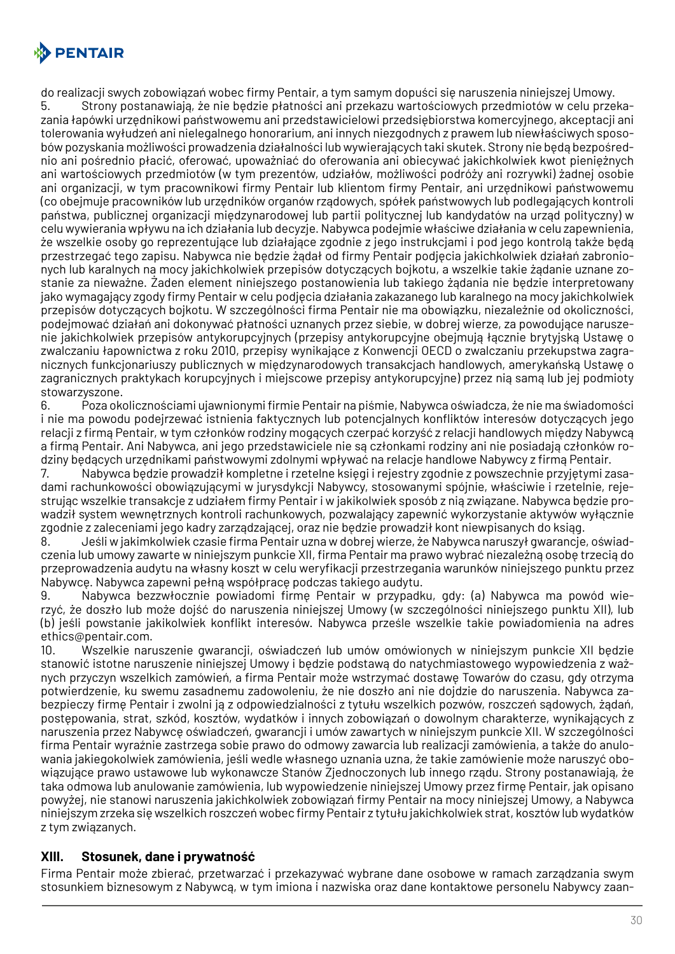

do realizacji swych zobowiązań wobec firmy Pentair, a tym samym dopuści się naruszenia niniejszej Umowy.

5. Strony postanawiają, że nie będzie płatności ani przekazu wartościowych przedmiotów w celu przekazania łapówki urzędnikowi państwowemu ani przedstawicielowi przedsiębiorstwa komercyjnego, akceptacji ani tolerowania wyłudzeń ani nielegalnego honorarium, ani innych niezgodnych z prawem lub niewłaściwych sposobów pozyskania możliwości prowadzenia działalności lub wywierających taki skutek. Strony nie będą bezpośrednio ani pośrednio płacić, oferować, upoważniać do oferowania ani obiecywać jakichkolwiek kwot pieniężnych ani wartościowych przedmiotów (w tym prezentów, udziałów, możliwości podróży ani rozrywki) żadnej osobie ani organizacji, w tym pracownikowi firmy Pentair lub klientom firmy Pentair, ani urzędnikowi państwowemu (co obejmuje pracowników lub urzędników organów rządowych, spółek państwowych lub podlegających kontroli państwa, publicznej organizacji międzynarodowej lub partii politycznej lub kandydatów na urząd polityczny) w celu wywierania wpływu na ich działania lub decyzje. Nabywca podejmie właściwe działania w celu zapewnienia, że wszelkie osoby go reprezentujące lub działające zgodnie z jego instrukcjami i pod jego kontrolą także będą przestrzegać tego zapisu. Nabywca nie będzie żądał od firmy Pentair podjęcia jakichkolwiek działań zabronionych lub karalnych na mocy jakichkolwiek przepisów dotyczących bojkotu, a wszelkie takie żądanie uznane zostanie za nieważne. Żaden element niniejszego postanowienia lub takiego żądania nie będzie interpretowany jako wymagający zgody firmy Pentair w celu podjęcia działania zakazanego lub karalnego na mocy jakichkolwiek przepisów dotyczących bojkotu. W szczególności firma Pentair nie ma obowiązku, niezależnie od okoliczności, podejmować działań ani dokonywać płatności uznanych przez siebie, w dobrej wierze, za powodujące naruszenie jakichkolwiek przepisów antykorupcyjnych (przepisy antykorupcyjne obejmują łącznie brytyjską Ustawę o zwalczaniu łapownictwa z roku 2010, przepisy wynikające z Konwencji OECD o zwalczaniu przekupstwa zagranicznych funkcjonariuszy publicznych w międzynarodowych transakcjach handlowych, amerykańską Ustawę o zagranicznych praktykach korupcyjnych i miejscowe przepisy antykorupcyjne) przez nią samą lub jej podmioty stowarzyszone.

6. Poza okolicznościami ujawnionymi firmie Pentair na piśmie, Nabywca oświadcza, że nie ma świadomości i nie ma powodu podejrzewać istnienia faktycznych lub potencjalnych konfliktów interesów dotyczących jego relacji z firmą Pentair, w tym członków rodziny mogących czerpać korzyść z relacji handlowych między Nabywcą a firmą Pentair. Ani Nabywca, ani jego przedstawiciele nie są członkami rodziny ani nie posiadają członków rodziny będących urzędnikami państwowymi zdolnymi wpływać na relacje handlowe Nabywcy z firmą Pentair.

7. Nabywca będzie prowadził kompletne i rzetelne księgi i rejestry zgodnie z powszechnie przyjętymi zasadami rachunkowości obowiązującymi w jurysdykcji Nabywcy, stosowanymi spójnie, właściwie i rzetelnie, rejestrując wszelkie transakcje z udziałem firmy Pentair i w jakikolwiek sposób z nią związane. Nabywca będzie prowadził system wewnętrznych kontroli rachunkowych, pozwalający zapewnić wykorzystanie aktywów wyłącznie zgodnie z zaleceniami jego kadry zarządzającej, oraz nie będzie prowadził kont niewpisanych do ksiąg.

8. Jeśli w jakimkolwiek czasie firma Pentair uzna w dobrej wierze, że Nabywca naruszył gwarancje, oświadczenia lub umowy zawarte w niniejszym punkcie XII, firma Pentair ma prawo wybrać niezależną osobę trzecią do przeprowadzenia audytu na własny koszt w celu weryfikacji przestrzegania warunków niniejszego punktu przez Nabywcę. Nabywca zapewni pełną współpracę podczas takiego audytu.

9. Nabywca bezzwłocznie powiadomi firmę Pentair w przypadku, gdy: (a) Nabywca ma powód wierzyć, że doszło lub może dojść do naruszenia niniejszej Umowy (w szczególności niniejszego punktu XII), lub (b) jeśli powstanie jakikolwiek konflikt interesów. Nabywca prześle wszelkie takie powiadomienia na adres ethics@pentair.com.

10. Wszelkie naruszenie gwarancji, oświadczeń lub umów omówionych w niniejszym punkcie XII będzie stanowić istotne naruszenie niniejszej Umowy i będzie podstawą do natychmiastowego wypowiedzenia z ważnych przyczyn wszelkich zamówień, a firma Pentair może wstrzymać dostawę Towarów do czasu, gdy otrzyma potwierdzenie, ku swemu zasadnemu zadowoleniu, że nie doszło ani nie dojdzie do naruszenia. Nabywca zabezpieczy firmę Pentair i zwolni ją z odpowiedzialności z tytułu wszelkich pozwów, roszczeń sądowych, żądań, postępowania, strat, szkód, kosztów, wydatków i innych zobowiązań o dowolnym charakterze, wynikających z naruszenia przez Nabywcę oświadczeń, gwarancji i umów zawartych w niniejszym punkcie XII. W szczególności firma Pentair wyraźnie zastrzega sobie prawo do odmowy zawarcia lub realizacji zamówienia, a także do anulowania jakiegokolwiek zamówienia, jeśli wedle własnego uznania uzna, że takie zamówienie może naruszyć obowiązujące prawo ustawowe lub wykonawcze Stanów Zjednoczonych lub innego rządu. Strony postanawiają, że taka odmowa lub anulowanie zamówienia, lub wypowiedzenie niniejszej Umowy przez firmę Pentair, jak opisano powyżej, nie stanowi naruszenia jakichkolwiek zobowiązań firmy Pentair na mocy niniejszej Umowy, a Nabywca niniejszym zrzeka się wszelkich roszczeń wobec firmy Pentair z tytułu jakichkolwiek strat, kosztów lub wydatków z tym związanych.

#### **XIII. Stosunek, dane i prywatność**

Firma Pentair może zbierać, przetwarzać i przekazywać wybrane dane osobowe w ramach zarządzania swym stosunkiem biznesowym z Nabywcą, w tym imiona i nazwiska oraz dane kontaktowe personelu Nabywcy zaan-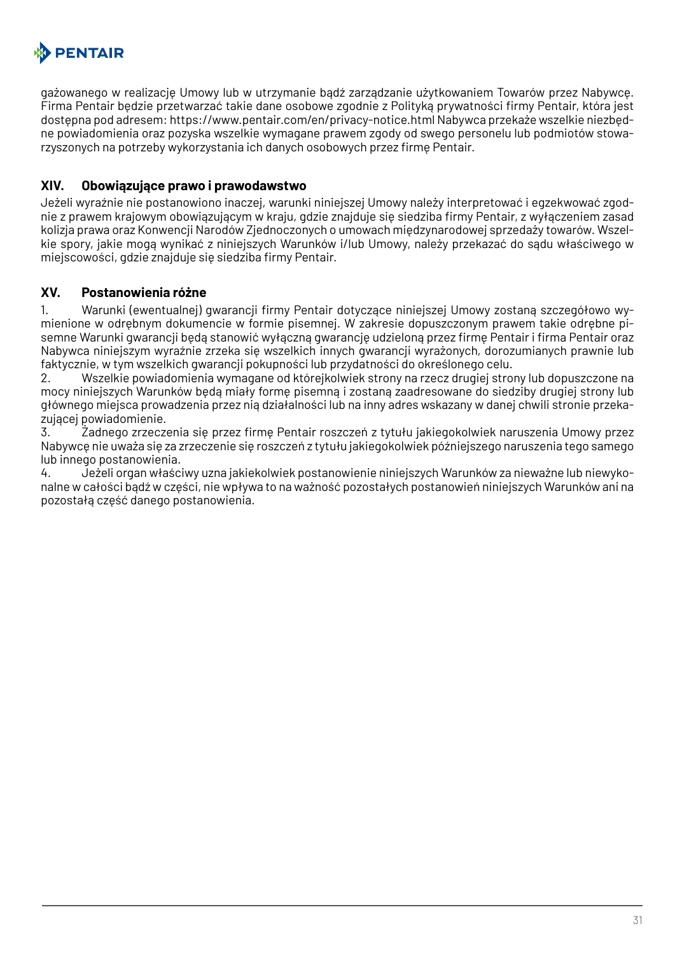

gażowanego w realizację Umowy lub w utrzymanie bądź zarządzanie użytkowaniem Towarów przez Nabywcę. Firma Pentair będzie przetwarzać takie dane osobowe zgodnie z Polityką prywatności firmy Pentair, która jest dostępna pod adresem: https://www.pentair.com/en/privacy-notice.html Nabywca przekaże wszelkie niezbędne powiadomienia oraz pozyska wszelkie wymagane prawem zgody od swego personelu lub podmiotów stowarzyszonych na potrzeby wykorzystania ich danych osobowych przez firmę Pentair.

#### **XIV. Obowiązujące prawo i prawodawstwo**

Jeżeli wyraźnie nie postanowiono inaczej, warunki niniejszej Umowy należy interpretować i egzekwować zgodnie z prawem krajowym obowiązującym w kraju, gdzie znajduje się siedziba firmy Pentair, z wyłączeniem zasad kolizja prawa oraz Konwencji Narodów Zjednoczonych o umowach międzynarodowej sprzedaży towarów. Wszelkie spory, jakie mogą wynikać z niniejszych Warunków i/lub Umowy, należy przekazać do sądu właściwego w miejscowości, gdzie znajduje się siedziba firmy Pentair.

#### **XV. Postanowienia różne**

1. Warunki (ewentualnej) gwarancji firmy Pentair dotyczące niniejszej Umowy zostaną szczegółowo wymienione w odrębnym dokumencie w formie pisemnej. W zakresie dopuszczonym prawem takie odrębne pisemne Warunki gwarancji będą stanowić wyłączną gwarancję udzieloną przez firmę Pentair i firma Pentair oraz Nabywca niniejszym wyraźnie zrzeka się wszelkich innych gwarancji wyrażonych, dorozumianych prawnie lub faktycznie, w tym wszelkich gwarancji pokupności lub przydatności do określonego celu.

2. Wszelkie powiadomienia wymagane od którejkolwiek strony na rzecz drugiej strony lub dopuszczone na mocy niniejszych Warunków będą miały formę pisemną i zostaną zaadresowane do siedziby drugiej strony lub głównego miejsca prowadzenia przez nią działalności lub na inny adres wskazany w danej chwili stronie przekazującej powiadomienie.

3. Żadnego zrzeczenia się przez firmę Pentair roszczeń z tytułu jakiegokolwiek naruszenia Umowy przez Nabywcę nie uważa się za zrzeczenie się roszczeń z tytułu jakiegokolwiek późniejszego naruszenia tego samego lub innego postanowienia.

4. Jeżeli organ właściwy uzna jakiekolwiek postanowienie niniejszych Warunków za nieważne lub niewykonalne w całości bądź w części, nie wpływa to na ważność pozostałych postanowień niniejszych Warunków ani na pozostałą część danego postanowienia.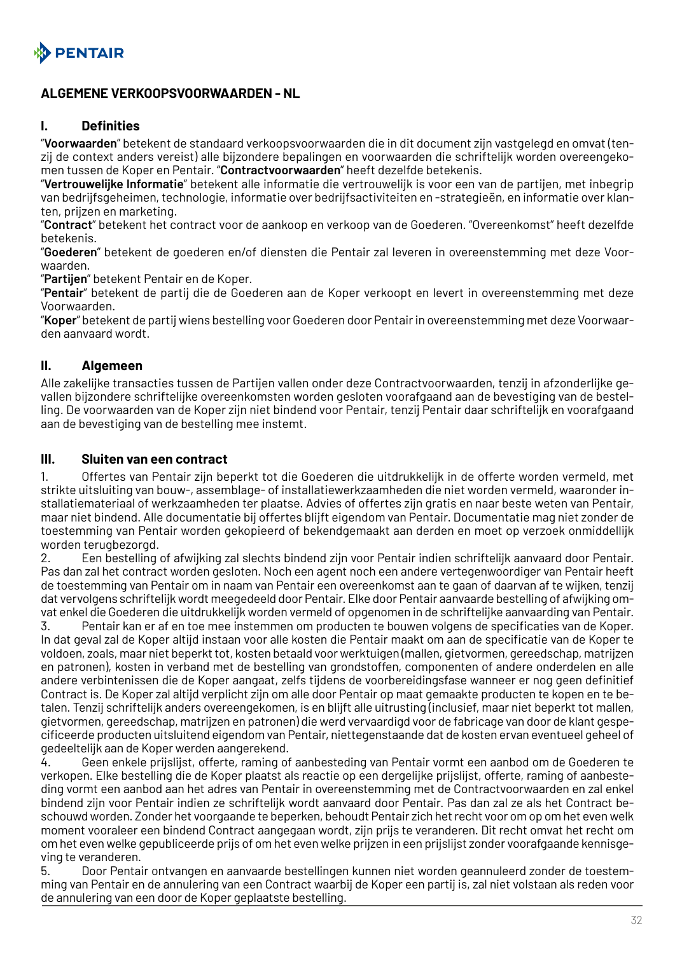<span id="page-31-0"></span>

## **ALGEMENE VERKOOPSVOORWAARDEN - NL**

#### **I. Definities**

"**Voorwaarden**" betekent de standaard verkoopsvoorwaarden die in dit document zijn vastgelegd en omvat (tenzij de context anders vereist) alle bijzondere bepalingen en voorwaarden die schriftelijk worden overeengekomen tussen de Koper en Pentair. "**Contractvoorwaarden**" heeft dezelfde betekenis.

"**Vertrouwelijke Informatie**" betekent alle informatie die vertrouwelijk is voor een van de partijen, met inbegrip van bedrijfsgeheimen, technologie, informatie over bedrijfsactiviteiten en -strategieën, en informatie over klanten, prijzen en marketing.

"**Contract**" betekent het contract voor de aankoop en verkoop van de Goederen. "Overeenkomst" heeft dezelfde betekenis.

"**Goederen**" betekent de goederen en/of diensten die Pentair zal leveren in overeenstemming met deze Voorwaarden.

"**Partijen**" betekent Pentair en de Koper.

"**Pentair**" betekent de partij die de Goederen aan de Koper verkoopt en levert in overeenstemming met deze Voorwaarden.

"**Koper**" betekent de partij wiens bestelling voor Goederen door Pentair in overeenstemming met deze Voorwaarden aanvaard wordt.

#### **II. Algemeen**

Alle zakelijke transacties tussen de Partijen vallen onder deze Contractvoorwaarden, tenzij in afzonderlijke gevallen bijzondere schriftelijke overeenkomsten worden gesloten voorafgaand aan de bevestiging van de bestelling. De voorwaarden van de Koper zijn niet bindend voor Pentair, tenzij Pentair daar schriftelijk en voorafgaand aan de bevestiging van de bestelling mee instemt.

#### **III. Sluiten van een contract**

1. Offertes van Pentair zijn beperkt tot die Goederen die uitdrukkelijk in de offerte worden vermeld, met strikte uitsluiting van bouw-, assemblage- of installatiewerkzaamheden die niet worden vermeld, waaronder installatiemateriaal of werkzaamheden ter plaatse. Advies of offertes zijn gratis en naar beste weten van Pentair, maar niet bindend. Alle documentatie bij offertes blijft eigendom van Pentair. Documentatie mag niet zonder de toestemming van Pentair worden gekopieerd of bekendgemaakt aan derden en moet op verzoek onmiddellijk worden terugbezorgd.

2. Een bestelling of afwijking zal slechts bindend zijn voor Pentair indien schriftelijk aanvaard door Pentair. Pas dan zal het contract worden gesloten. Noch een agent noch een andere vertegenwoordiger van Pentair heeft de toestemming van Pentair om in naam van Pentair een overeenkomst aan te gaan of daarvan af te wijken, tenzij dat vervolgens schriftelijk wordt meegedeeld door Pentair. Elke door Pentair aanvaarde bestelling of afwijking omvat enkel die Goederen die uitdrukkelijk worden vermeld of opgenomen in de schriftelijke aanvaarding van Pentair.

3. Pentair kan er af en toe mee instemmen om producten te bouwen volgens de specificaties van de Koper. In dat geval zal de Koper altijd instaan voor alle kosten die Pentair maakt om aan de specificatie van de Koper te voldoen, zoals, maar niet beperkt tot, kosten betaald voor werktuigen (mallen, gietvormen, gereedschap, matrijzen en patronen), kosten in verband met de bestelling van grondstoffen, componenten of andere onderdelen en alle andere verbintenissen die de Koper aangaat, zelfs tijdens de voorbereidingsfase wanneer er nog geen definitief Contract is. De Koper zal altijd verplicht zijn om alle door Pentair op maat gemaakte producten te kopen en te betalen. Tenzij schriftelijk anders overeengekomen, is en blijft alle uitrusting (inclusief, maar niet beperkt tot mallen, gietvormen, gereedschap, matrijzen en patronen) die werd vervaardigd voor de fabricage van door de klant gespecificeerde producten uitsluitend eigendom van Pentair, niettegenstaande dat de kosten ervan eventueel geheel of gedeeltelijk aan de Koper werden aangerekend.

4. Geen enkele prijslijst, offerte, raming of aanbesteding van Pentair vormt een aanbod om de Goederen te verkopen. Elke bestelling die de Koper plaatst als reactie op een dergelijke prijslijst, offerte, raming of aanbesteding vormt een aanbod aan het adres van Pentair in overeenstemming met de Contractvoorwaarden en zal enkel bindend zijn voor Pentair indien ze schriftelijk wordt aanvaard door Pentair. Pas dan zal ze als het Contract beschouwd worden. Zonder het voorgaande te beperken, behoudt Pentair zich het recht voor om op om het even welk moment vooraleer een bindend Contract aangegaan wordt, zijn prijs te veranderen. Dit recht omvat het recht om om het even welke gepubliceerde prijs of om het even welke prijzen in een prijslijst zonder voorafgaande kennisgeving te veranderen.

5. Door Pentair ontvangen en aanvaarde bestellingen kunnen niet worden geannuleerd zonder de toestemming van Pentair en de annulering van een Contract waarbij de Koper een partij is, zal niet volstaan als reden voor de annulering van een door de Koper geplaatste bestelling.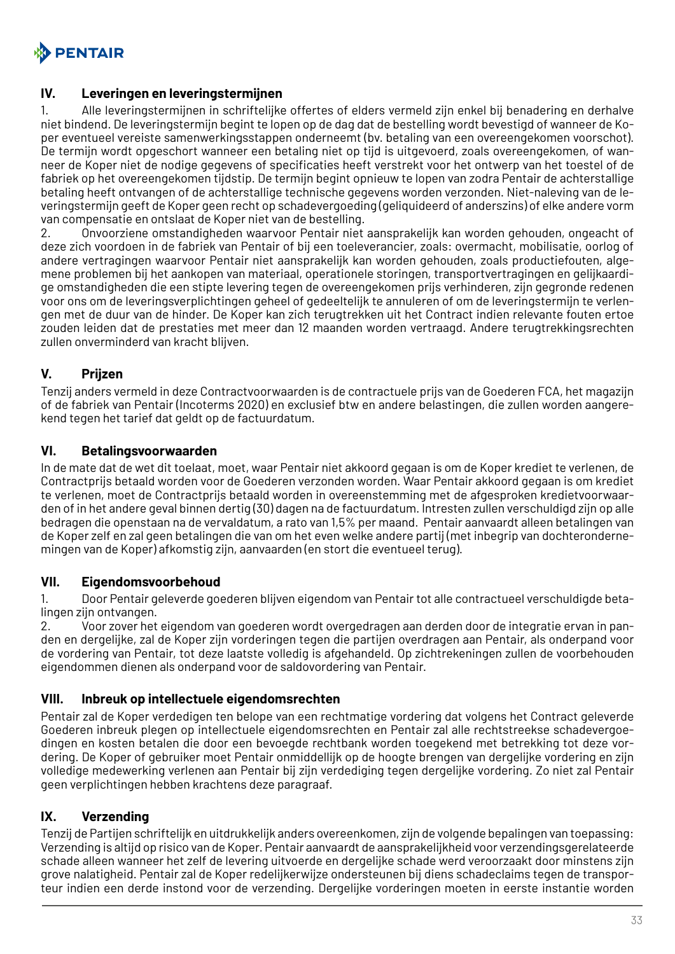

#### **IV. Leveringen en leveringstermijnen**

1. Alle leveringstermijnen in schriftelijke offertes of elders vermeld zijn enkel bij benadering en derhalve niet bindend. De leveringstermijn begint te lopen op de dag dat de bestelling wordt bevestigd of wanneer de Koper eventueel vereiste samenwerkingsstappen onderneemt (bv. betaling van een overeengekomen voorschot). De termijn wordt opgeschort wanneer een betaling niet op tijd is uitgevoerd, zoals overeengekomen, of wanneer de Koper niet de nodige gegevens of specificaties heeft verstrekt voor het ontwerp van het toestel of de fabriek op het overeengekomen tijdstip. De termijn begint opnieuw te lopen van zodra Pentair de achterstallige betaling heeft ontvangen of de achterstallige technische gegevens worden verzonden. Niet-naleving van de leveringstermijn geeft de Koper geen recht op schadevergoeding (geliquideerd of anderszins) of elke andere vorm van compensatie en ontslaat de Koper niet van de bestelling.

2. Onvoorziene omstandigheden waarvoor Pentair niet aansprakelijk kan worden gehouden, ongeacht of deze zich voordoen in de fabriek van Pentair of bij een toeleverancier, zoals: overmacht, mobilisatie, oorlog of andere vertragingen waarvoor Pentair niet aansprakelijk kan worden gehouden, zoals productiefouten, algemene problemen bij het aankopen van materiaal, operationele storingen, transportvertragingen en gelijkaardige omstandigheden die een stipte levering tegen de overeengekomen prijs verhinderen, zijn gegronde redenen voor ons om de leveringsverplichtingen geheel of gedeeltelijk te annuleren of om de leveringstermijn te verlengen met de duur van de hinder. De Koper kan zich terugtrekken uit het Contract indien relevante fouten ertoe zouden leiden dat de prestaties met meer dan 12 maanden worden vertraagd. Andere terugtrekkingsrechten zullen onverminderd van kracht blijven.

## **V. Prijzen**

Tenzij anders vermeld in deze Contractvoorwaarden is de contractuele prijs van de Goederen FCA, het magazijn of de fabriek van Pentair (Incoterms 2020) en exclusief btw en andere belastingen, die zullen worden aangerekend tegen het tarief dat geldt op de factuurdatum.

#### **VI. Betalingsvoorwaarden**

In de mate dat de wet dit toelaat, moet, waar Pentair niet akkoord gegaan is om de Koper krediet te verlenen, de Contractprijs betaald worden voor de Goederen verzonden worden. Waar Pentair akkoord gegaan is om krediet te verlenen, moet de Contractprijs betaald worden in overeenstemming met de afgesproken kredietvoorwaarden of in het andere geval binnen dertig (30) dagen na de factuurdatum. Intresten zullen verschuldigd zijn op alle bedragen die openstaan na de vervaldatum, a rato van 1,5% per maand. Pentair aanvaardt alleen betalingen van de Koper zelf en zal geen betalingen die van om het even welke andere partij (met inbegrip van dochterondernemingen van de Koper) afkomstig zijn, aanvaarden (en stort die eventueel terug).

#### **VII. Eigendomsvoorbehoud**

1. Door Pentair geleverde goederen blijven eigendom van Pentair tot alle contractueel verschuldigde betalingen zijn ontvangen.

2. Voor zover het eigendom van goederen wordt overgedragen aan derden door de integratie ervan in panden en dergelijke, zal de Koper zijn vorderingen tegen die partijen overdragen aan Pentair, als onderpand voor de vordering van Pentair, tot deze laatste volledig is afgehandeld. Op zichtrekeningen zullen de voorbehouden eigendommen dienen als onderpand voor de saldovordering van Pentair.

#### **VIII. Inbreuk op intellectuele eigendomsrechten**

Pentair zal de Koper verdedigen ten belope van een rechtmatige vordering dat volgens het Contract geleverde Goederen inbreuk plegen op intellectuele eigendomsrechten en Pentair zal alle rechtstreekse schadevergoedingen en kosten betalen die door een bevoegde rechtbank worden toegekend met betrekking tot deze vordering. De Koper of gebruiker moet Pentair onmiddellijk op de hoogte brengen van dergelijke vordering en zijn volledige medewerking verlenen aan Pentair bij zijn verdediging tegen dergelijke vordering. Zo niet zal Pentair geen verplichtingen hebben krachtens deze paragraaf.

## **IX. Verzending**

Tenzij de Partijen schriftelijk en uitdrukkelijk anders overeenkomen, zijn de volgende bepalingen van toepassing: Verzending is altijd op risico van de Koper. Pentair aanvaardt de aansprakelijkheid voor verzendingsgerelateerde schade alleen wanneer het zelf de levering uitvoerde en dergelijke schade werd veroorzaakt door minstens zijn grove nalatigheid. Pentair zal de Koper redelijkerwijze ondersteunen bij diens schadeclaims tegen de transporteur indien een derde instond voor de verzending. Dergelijke vorderingen moeten in eerste instantie worden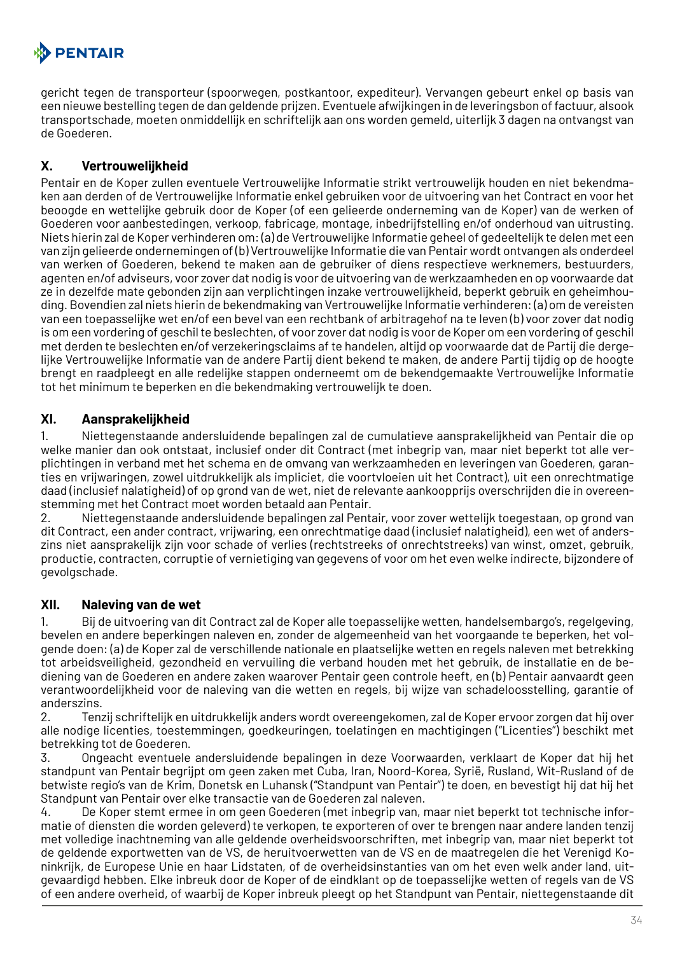

gericht tegen de transporteur (spoorwegen, postkantoor, expediteur). Vervangen gebeurt enkel op basis van een nieuwe bestelling tegen de dan geldende prijzen. Eventuele afwijkingen in de leveringsbon of factuur, alsook transportschade, moeten onmiddellijk en schriftelijk aan ons worden gemeld, uiterlijk 3 dagen na ontvangst van de Goederen.

## **X. Vertrouwelijkheid**

Pentair en de Koper zullen eventuele Vertrouwelijke Informatie strikt vertrouwelijk houden en niet bekendmaken aan derden of de Vertrouwelijke Informatie enkel gebruiken voor de uitvoering van het Contract en voor het beoogde en wettelijke gebruik door de Koper (of een gelieerde onderneming van de Koper) van de werken of Goederen voor aanbestedingen, verkoop, fabricage, montage, inbedrijfstelling en/of onderhoud van uitrusting. Niets hierin zal de Koper verhinderen om: (a) de Vertrouwelijke Informatie geheel of gedeeltelijk te delen met een van zijn gelieerde ondernemingen of (b) Vertrouwelijke Informatie die van Pentair wordt ontvangen als onderdeel van werken of Goederen, bekend te maken aan de gebruiker of diens respectieve werknemers, bestuurders, agenten en/of adviseurs, voor zover dat nodig is voor de uitvoering van de werkzaamheden en op voorwaarde dat ze in dezelfde mate gebonden zijn aan verplichtingen inzake vertrouwelijkheid, beperkt gebruik en geheimhouding. Bovendien zal niets hierin de bekendmaking van Vertrouwelijke Informatie verhinderen: (a) om de vereisten van een toepasselijke wet en/of een bevel van een rechtbank of arbitragehof na te leven (b) voor zover dat nodig is om een vordering of geschil te beslechten, of voor zover dat nodig is voor de Koper om een vordering of geschil met derden te beslechten en/of verzekeringsclaims af te handelen, altijd op voorwaarde dat de Partij die dergelijke Vertrouwelijke Informatie van de andere Partij dient bekend te maken, de andere Partij tijdig op de hoogte brengt en raadpleegt en alle redelijke stappen onderneemt om de bekendgemaakte Vertrouwelijke Informatie tot het minimum te beperken en die bekendmaking vertrouwelijk te doen.

## **XI. Aansprakelijkheid**

1. Niettegenstaande andersluidende bepalingen zal de cumulatieve aansprakelijkheid van Pentair die op welke manier dan ook ontstaat, inclusief onder dit Contract (met inbegrip van, maar niet beperkt tot alle verplichtingen in verband met het schema en de omvang van werkzaamheden en leveringen van Goederen, garanties en vrijwaringen, zowel uitdrukkelijk als impliciet, die voortvloeien uit het Contract), uit een onrechtmatige daad (inclusief nalatigheid) of op grond van de wet, niet de relevante aankoopprijs overschrijden die in overeenstemming met het Contract moet worden betaald aan Pentair.

2. Niettegenstaande andersluidende bepalingen zal Pentair, voor zover wettelijk toegestaan, op grond van dit Contract, een ander contract, vrijwaring, een onrechtmatige daad (inclusief nalatigheid), een wet of anderszins niet aansprakelijk zijn voor schade of verlies (rechtstreeks of onrechtstreeks) van winst, omzet, gebruik, productie, contracten, corruptie of vernietiging van gegevens of voor om het even welke indirecte, bijzondere of gevolgschade.

## **XII. Naleving van de wet**

1. Bij de uitvoering van dit Contract zal de Koper alle toepasselijke wetten, handelsembargo's, regelgeving, bevelen en andere beperkingen naleven en, zonder de algemeenheid van het voorgaande te beperken, het volgende doen: (a) de Koper zal de verschillende nationale en plaatselijke wetten en regels naleven met betrekking tot arbeidsveiligheid, gezondheid en vervuiling die verband houden met het gebruik, de installatie en de bediening van de Goederen en andere zaken waarover Pentair geen controle heeft, en (b) Pentair aanvaardt geen verantwoordelijkheid voor de naleving van die wetten en regels, bij wijze van schadeloosstelling, garantie of anderszins.

2. Tenzij schriftelijk en uitdrukkelijk anders wordt overeengekomen, zal de Koper ervoor zorgen dat hij over alle nodige licenties, toestemmingen, goedkeuringen, toelatingen en machtigingen ("Licenties") beschikt met betrekking tot de Goederen.

3. Ongeacht eventuele andersluidende bepalingen in deze Voorwaarden, verklaart de Koper dat hij het standpunt van Pentair begrijpt om geen zaken met Cuba, Iran, Noord-Korea, Syrië, Rusland, Wit-Rusland of de betwiste regio's van de Krim, Donetsk en Luhansk ("Standpunt van Pentair") te doen, en bevestigt hij dat hij het Standpunt van Pentair over elke transactie van de Goederen zal naleven.

4. De Koper stemt ermee in om geen Goederen (met inbegrip van, maar niet beperkt tot technische informatie of diensten die worden geleverd) te verkopen, te exporteren of over te brengen naar andere landen tenzij met volledige inachtneming van alle geldende overheidsvoorschriften, met inbegrip van, maar niet beperkt tot de geldende exportwetten van de VS, de heruitvoerwetten van de VS en de maatregelen die het Verenigd Koninkrijk, de Europese Unie en haar Lidstaten, of de overheidsinstanties van om het even welk ander land, uitgevaardigd hebben. Elke inbreuk door de Koper of de eindklant op de toepasselijke wetten of regels van de VS of een andere overheid, of waarbij de Koper inbreuk pleegt op het Standpunt van Pentair, niettegenstaande dit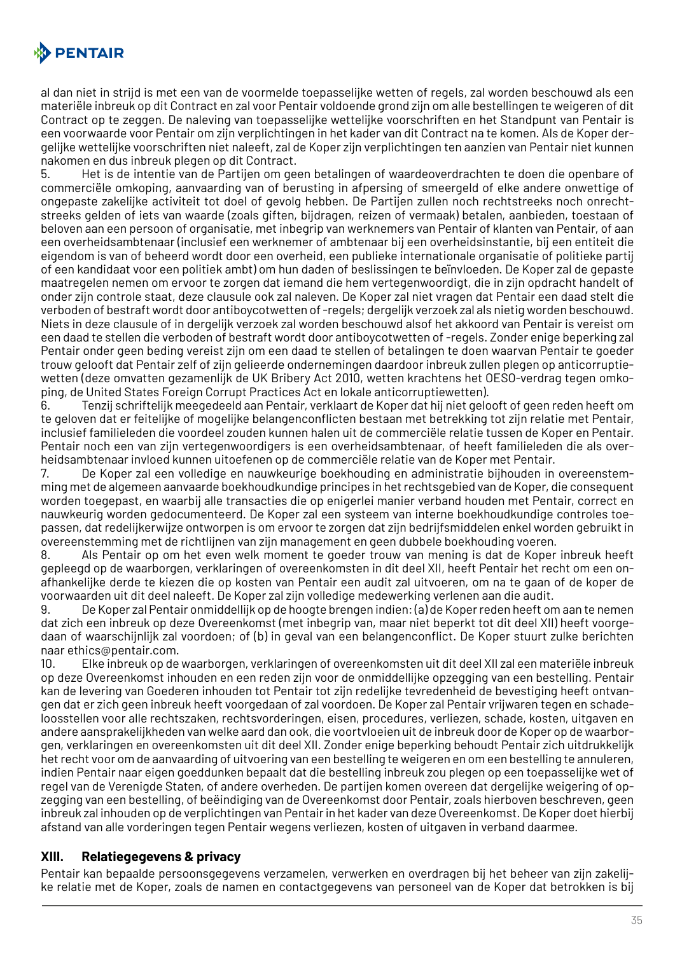

al dan niet in strijd is met een van de voormelde toepasselijke wetten of regels, zal worden beschouwd als een materiële inbreuk op dit Contract en zal voor Pentair voldoende grond zijn om alle bestellingen te weigeren of dit Contract op te zeggen. De naleving van toepasselijke wettelijke voorschriften en het Standpunt van Pentair is een voorwaarde voor Pentair om zijn verplichtingen in het kader van dit Contract na te komen. Als de Koper dergelijke wettelijke voorschriften niet naleeft, zal de Koper zijn verplichtingen ten aanzien van Pentair niet kunnen nakomen en dus inbreuk plegen op dit Contract.

5. Het is de intentie van de Partijen om geen betalingen of waardeoverdrachten te doen die openbare of commerciële omkoping, aanvaarding van of berusting in afpersing of smeergeld of elke andere onwettige of ongepaste zakelijke activiteit tot doel of gevolg hebben. De Partijen zullen noch rechtstreeks noch onrechtstreeks gelden of iets van waarde (zoals giften, bijdragen, reizen of vermaak) betalen, aanbieden, toestaan of beloven aan een persoon of organisatie, met inbegrip van werknemers van Pentair of klanten van Pentair, of aan een overheidsambtenaar (inclusief een werknemer of ambtenaar bij een overheidsinstantie, bij een entiteit die eigendom is van of beheerd wordt door een overheid, een publieke internationale organisatie of politieke partij of een kandidaat voor een politiek ambt) om hun daden of beslissingen te beïnvloeden. De Koper zal de gepaste maatregelen nemen om ervoor te zorgen dat iemand die hem vertegenwoordigt, die in zijn opdracht handelt of onder zijn controle staat, deze clausule ook zal naleven. De Koper zal niet vragen dat Pentair een daad stelt die verboden of bestraft wordt door antiboycotwetten of -regels; dergelijk verzoek zal als nietig worden beschouwd. Niets in deze clausule of in dergelijk verzoek zal worden beschouwd alsof het akkoord van Pentair is vereist om een daad te stellen die verboden of bestraft wordt door antiboycotwetten of -regels. Zonder enige beperking zal Pentair onder geen beding vereist zijn om een daad te stellen of betalingen te doen waarvan Pentair te goeder trouw gelooft dat Pentair zelf of zijn gelieerde ondernemingen daardoor inbreuk zullen plegen op anticorruptiewetten (deze omvatten gezamenlijk de UK Bribery Act 2010, wetten krachtens het OESO-verdrag tegen omkoping, de United States Foreign Corrupt Practices Act en lokale anticorruptiewetten).

6. Tenzij schriftelijk meegedeeld aan Pentair, verklaart de Koper dat hij niet gelooft of geen reden heeft om te geloven dat er feitelijke of mogelijke belangenconflicten bestaan met betrekking tot zijn relatie met Pentair, inclusief familieleden die voordeel zouden kunnen halen uit de commerciële relatie tussen de Koper en Pentair. Pentair noch een van zijn vertegenwoordigers is een overheidsambtenaar, of heeft familieleden die als overheidsambtenaar invloed kunnen uitoefenen op de commerciële relatie van de Koper met Pentair.

7. De Koper zal een volledige en nauwkeurige boekhouding en administratie bijhouden in overeenstemming met de algemeen aanvaarde boekhoudkundige principes in het rechtsgebied van de Koper, die consequent worden toegepast, en waarbij alle transacties die op enigerlei manier verband houden met Pentair, correct en nauwkeurig worden gedocumenteerd. De Koper zal een systeem van interne boekhoudkundige controles toepassen, dat redelijkerwijze ontworpen is om ervoor te zorgen dat zijn bedrijfsmiddelen enkel worden gebruikt in overeenstemming met de richtlijnen van zijn management en geen dubbele boekhouding voeren.

8. Als Pentair op om het even welk moment te goeder trouw van mening is dat de Koper inbreuk heeft gepleegd op de waarborgen, verklaringen of overeenkomsten in dit deel XII, heeft Pentair het recht om een onafhankelijke derde te kiezen die op kosten van Pentair een audit zal uitvoeren, om na te gaan of de koper de voorwaarden uit dit deel naleeft. De Koper zal zijn volledige medewerking verlenen aan die audit.

9. De Koper zal Pentair onmiddellijk op de hoogte brengen indien: (a) de Koper reden heeft om aan te nemen dat zich een inbreuk op deze Overeenkomst (met inbegrip van, maar niet beperkt tot dit deel XII) heeft voorgedaan of waarschijnlijk zal voordoen; of (b) in geval van een belangenconflict. De Koper stuurt zulke berichten naar ethics@pentair.com.

10. Elke inbreuk op de waarborgen, verklaringen of overeenkomsten uit dit deel XII zal een materiële inbreuk op deze Overeenkomst inhouden en een reden zijn voor de onmiddellijke opzegging van een bestelling. Pentair kan de levering van Goederen inhouden tot Pentair tot zijn redelijke tevredenheid de bevestiging heeft ontvangen dat er zich geen inbreuk heeft voorgedaan of zal voordoen. De Koper zal Pentair vrijwaren tegen en schadeloosstellen voor alle rechtszaken, rechtsvorderingen, eisen, procedures, verliezen, schade, kosten, uitgaven en andere aansprakelijkheden van welke aard dan ook, die voortvloeien uit de inbreuk door de Koper op de waarborgen, verklaringen en overeenkomsten uit dit deel XII. Zonder enige beperking behoudt Pentair zich uitdrukkelijk het recht voor om de aanvaarding of uitvoering van een bestelling te weigeren en om een bestelling te annuleren, indien Pentair naar eigen goeddunken bepaalt dat die bestelling inbreuk zou plegen op een toepasselijke wet of regel van de Verenigde Staten, of andere overheden. De partijen komen overeen dat dergelijke weigering of opzegging van een bestelling, of beëindiging van de Overeenkomst door Pentair, zoals hierboven beschreven, geen inbreuk zal inhouden op de verplichtingen van Pentair in het kader van deze Overeenkomst. De Koper doet hierbij afstand van alle vorderingen tegen Pentair wegens verliezen, kosten of uitgaven in verband daarmee.

#### **XIII. Relatiegegevens & privacy**

Pentair kan bepaalde persoonsgegevens verzamelen, verwerken en overdragen bij het beheer van zijn zakelijke relatie met de Koper, zoals de namen en contactgegevens van personeel van de Koper dat betrokken is bij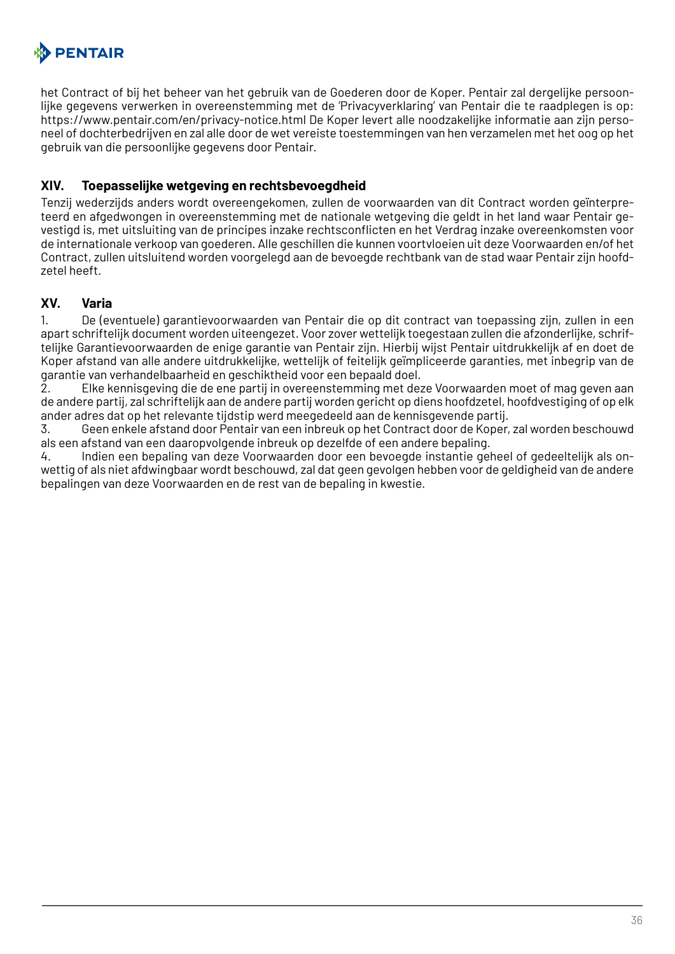

het Contract of bij het beheer van het gebruik van de Goederen door de Koper. Pentair zal dergelijke persoonlijke gegevens verwerken in overeenstemming met de 'Privacyverklaring' van Pentair die te raadplegen is op: https://www.pentair.com/en/privacy-notice.html De Koper levert alle noodzakelijke informatie aan zijn personeel of dochterbedrijven en zal alle door de wet vereiste toestemmingen van hen verzamelen met het oog op het gebruik van die persoonlijke gegevens door Pentair.

#### **XIV. Toepasselijke wetgeving en rechtsbevoegdheid**

Tenzij wederzijds anders wordt overeengekomen, zullen de voorwaarden van dit Contract worden geïnterpreteerd en afgedwongen in overeenstemming met de nationale wetgeving die geldt in het land waar Pentair gevestigd is, met uitsluiting van de principes inzake rechtsconflicten en het Verdrag inzake overeenkomsten voor de internationale verkoop van goederen. Alle geschillen die kunnen voortvloeien uit deze Voorwaarden en/of het Contract, zullen uitsluitend worden voorgelegd aan de bevoegde rechtbank van de stad waar Pentair zijn hoofdzetel heeft.

#### **XV. Varia**

1. De (eventuele) garantievoorwaarden van Pentair die op dit contract van toepassing zijn, zullen in een apart schriftelijk document worden uiteengezet. Voor zover wettelijk toegestaan zullen die afzonderlijke, schriftelijke Garantievoorwaarden de enige garantie van Pentair zijn. Hierbij wijst Pentair uitdrukkelijk af en doet de Koper afstand van alle andere uitdrukkelijke, wettelijk of feitelijk geïmpliceerde garanties, met inbegrip van de garantie van verhandelbaarheid en geschiktheid voor een bepaald doel.

2. Elke kennisgeving die de ene partij in overeenstemming met deze Voorwaarden moet of mag geven aan de andere partij, zal schriftelijk aan de andere partij worden gericht op diens hoofdzetel, hoofdvestiging of op elk ander adres dat op het relevante tijdstip werd meegedeeld aan de kennisgevende partij.

3. Geen enkele afstand door Pentair van een inbreuk op het Contract door de Koper, zal worden beschouwd als een afstand van een daaropvolgende inbreuk op dezelfde of een andere bepaling.

4. Indien een bepaling van deze Voorwaarden door een bevoegde instantie geheel of gedeeltelijk als onwettig of als niet afdwingbaar wordt beschouwd, zal dat geen gevolgen hebben voor de geldigheid van de andere bepalingen van deze Voorwaarden en de rest van de bepaling in kwestie.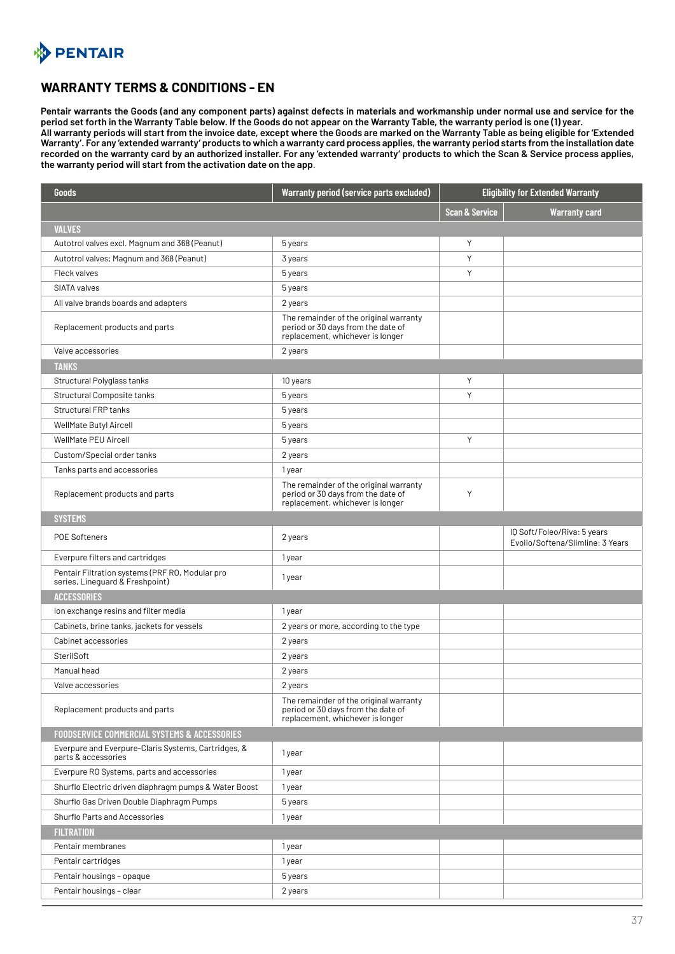# <span id="page-36-0"></span>**A** PENTAIR

#### **WARRANTY TERMS & CONDITIONS - EN**

**Pentair warrants the Goods (and any component parts) against defects in materials and workmanship under normal use and service for the period set forth in the Warranty Table below. If the Goods do not appear on the Warranty Table, the warranty period is one (1) year. All warranty periods will start from the invoice date, except where the Goods are marked on the Warranty Table as being eligible for 'Extended Warranty'. For any 'extended warranty' products to which a warranty card process applies, the warranty period starts from the installation date recorded on the warranty card by an authorized installer. For any 'extended warranty' products to which the Scan & Service process applies, the warranty period will start from the activation date on the app**.

| Goods                                                                              | <b>Warranty period (service parts excluded)</b>                                                                  | <b>Eligibility for Extended Warranty</b> |                                                                 |
|------------------------------------------------------------------------------------|------------------------------------------------------------------------------------------------------------------|------------------------------------------|-----------------------------------------------------------------|
|                                                                                    |                                                                                                                  | <b>Scan &amp; Service</b>                | <b>Warranty card</b>                                            |
| <b>VALVES</b>                                                                      |                                                                                                                  |                                          |                                                                 |
| Autotrol valves excl. Magnum and 368 (Peanut)                                      | 5 years                                                                                                          | Υ                                        |                                                                 |
| Autotrol valves; Magnum and 368 (Peanut)                                           | 3 years                                                                                                          | Y                                        |                                                                 |
| Fleck valves                                                                       | 5 years                                                                                                          | Y                                        |                                                                 |
| SIATA valves                                                                       | 5 years                                                                                                          |                                          |                                                                 |
| All valve brands boards and adapters                                               | 2 years                                                                                                          |                                          |                                                                 |
| Replacement products and parts                                                     | The remainder of the original warranty<br>period or 30 days from the date of<br>replacement, whichever is longer |                                          |                                                                 |
| Valve accessories                                                                  | 2 years                                                                                                          |                                          |                                                                 |
| <b>TANKS</b>                                                                       |                                                                                                                  |                                          |                                                                 |
| Structural Polyglass tanks                                                         | 10 years                                                                                                         | Y                                        |                                                                 |
| Structural Composite tanks                                                         | 5 years                                                                                                          | Y                                        |                                                                 |
| <b>Structural FRP tanks</b>                                                        | 5 years                                                                                                          |                                          |                                                                 |
| WellMate Butyl Aircell                                                             | 5 years                                                                                                          |                                          |                                                                 |
| WellMate PEU Aircell                                                               | 5 years                                                                                                          | Y                                        |                                                                 |
| Custom/Special order tanks                                                         | 2 years                                                                                                          |                                          |                                                                 |
| Tanks parts and accessories                                                        | 1 year                                                                                                           |                                          |                                                                 |
| Replacement products and parts                                                     | The remainder of the original warranty<br>period or 30 days from the date of<br>replacement, whichever is longer | Y                                        |                                                                 |
| <b>SYSTEMS</b>                                                                     |                                                                                                                  |                                          |                                                                 |
| <b>POE Softeners</b>                                                               | 2 years                                                                                                          |                                          | IQ Soft/Foleo/Riva: 5 years<br>Evolio/Softena/Slimline: 3 Years |
| Everpure filters and cartridges                                                    | 1 year                                                                                                           |                                          |                                                                 |
| Pentair Filtration systems (PRF RO, Modular pro<br>series, Lineguard & Freshpoint) | 1 year                                                                                                           |                                          |                                                                 |
| <b>ACCESSORIES</b>                                                                 |                                                                                                                  |                                          |                                                                 |
| Ion exchange resins and filter media                                               | 1 year                                                                                                           |                                          |                                                                 |
| Cabinets, brine tanks, jackets for vessels                                         | 2 years or more, according to the type                                                                           |                                          |                                                                 |
| Cabinet accessories                                                                | 2 years                                                                                                          |                                          |                                                                 |
| SterilSoft                                                                         | 2 years                                                                                                          |                                          |                                                                 |
| Manual head                                                                        | 2 years                                                                                                          |                                          |                                                                 |
| Valve accessories                                                                  | 2 years                                                                                                          |                                          |                                                                 |
| Replacement products and parts                                                     | The remainder of the original warranty<br>period or 30 days from the date of<br>replacement, whichever is longer |                                          |                                                                 |
| <b>FOODSERVICE COMMERCIAL SYSTEMS &amp; ACCESSORIES</b>                            |                                                                                                                  |                                          |                                                                 |
| Everpure and Everpure-Claris Systems, Cartridges, &<br>parts & accessories         | 1 year                                                                                                           |                                          |                                                                 |
| Everpure RO Systems, parts and accessories                                         | 1 year                                                                                                           |                                          |                                                                 |
| Shurflo Electric driven diaphragm pumps & Water Boost                              | 1 year                                                                                                           |                                          |                                                                 |
| Shurflo Gas Driven Double Diaphragm Pumps                                          | 5 years                                                                                                          |                                          |                                                                 |
| Shurflo Parts and Accessories                                                      | 1 year                                                                                                           |                                          |                                                                 |
| <b>FILTRATION</b>                                                                  |                                                                                                                  |                                          |                                                                 |
| Pentair membranes                                                                  | 1 year                                                                                                           |                                          |                                                                 |
| Pentair cartridges                                                                 | 1 year                                                                                                           |                                          |                                                                 |
| Pentair housings - opaque                                                          | 5 years                                                                                                          |                                          |                                                                 |
| Pentair housings - clear                                                           | 2 years                                                                                                          |                                          |                                                                 |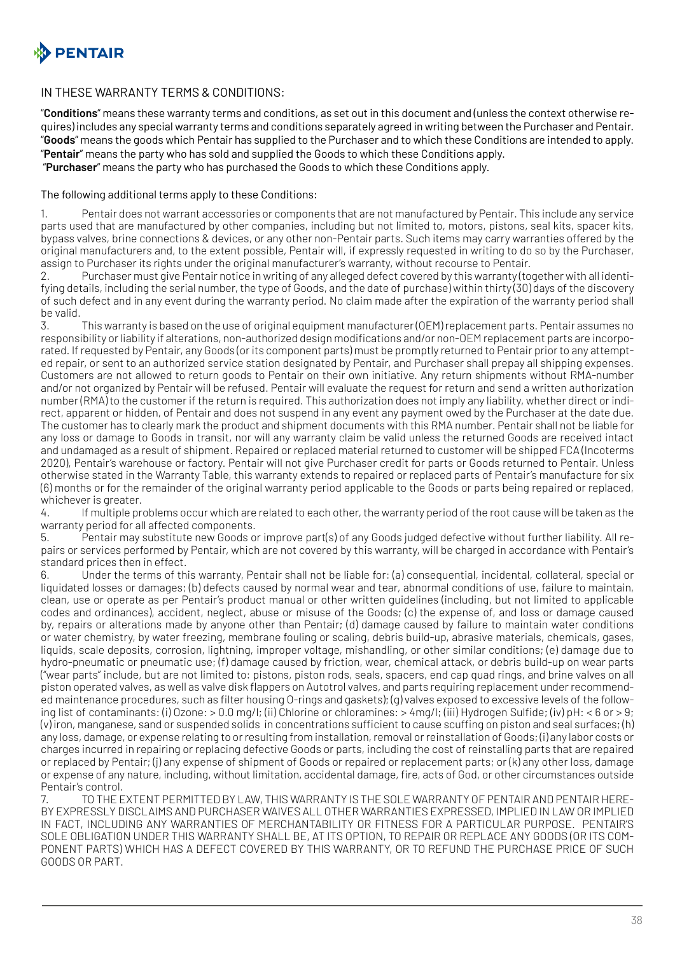

#### IN THESE WARRANTY TERMS & CONDITIONS:

"**Conditions**" means these warranty terms and conditions, as set out in this document and (unless the context otherwise requires) includes any special warranty terms and conditions separately agreed in writing between the Purchaser and Pentair. "**Goods**" means the goods which Pentair has supplied to the Purchaser and to which these Conditions are intended to apply. "**Pentair**" means the party who has sold and supplied the Goods to which these Conditions apply.

"**Purchaser**" means the party who has purchased the Goods to which these Conditions apply.

#### The following additional terms apply to these Conditions:

1. Pentair does not warrant accessories or components that are not manufactured by Pentair. This include any service parts used that are manufactured by other companies, including but not limited to, motors, pistons, seal kits, spacer kits, bypass valves, brine connections & devices, or any other non-Pentair parts. Such items may carry warranties offered by the original manufacturers and, to the extent possible, Pentair will, if expressly requested in writing to do so by the Purchaser, assign to Purchaser its rights under the original manufacturer's warranty, without recourse to Pentair.

2. Purchaser must give Pentair notice in writing of any alleged defect covered by this warranty (together with all identifying details, including the serial number, the type of Goods, and the date of purchase) within thirty (30) days of the discovery of such defect and in any event during the warranty period. No claim made after the expiration of the warranty period shall be valid.<br>3.

This warranty is based on the use of original equipment manufacturer (OEM) replacement parts. Pentair assumes no responsibility or liability if alterations, non-authorized design modifications and/or non-OEM replacement parts are incorporated. If requested by Pentair, any Goods (or its component parts) must be promptly returned to Pentair prior to any attempted repair, or sent to an authorized service station designated by Pentair, and Purchaser shall prepay all shipping expenses. Customers are not allowed to return goods to Pentair on their own initiative. Any return shipments without RMA-number and/or not organized by Pentair will be refused. Pentair will evaluate the request for return and send a written authorization number (RMA) to the customer if the return is required. This authorization does not imply any liability, whether direct or indirect, apparent or hidden, of Pentair and does not suspend in any event any payment owed by the Purchaser at the date due. The customer has to clearly mark the product and shipment documents with this RMA number. Pentair shall not be liable for any loss or damage to Goods in transit, nor will any warranty claim be valid unless the returned Goods are received intact and undamaged as a result of shipment. Repaired or replaced material returned to customer will be shipped FCA (Incoterms 2020), Pentair's warehouse or factory. Pentair will not give Purchaser credit for parts or Goods returned to Pentair. Unless otherwise stated in the Warranty Table, this warranty extends to repaired or replaced parts of Pentair's manufacture for six (6) months or for the remainder of the original warranty period applicable to the Goods or parts being repaired or replaced, whichever is greater.

4. If multiple problems occur which are related to each other, the warranty period of the root cause will be taken as the warranty period for all affected components.

5. Pentair may substitute new Goods or improve part(s) of any Goods judged defective without further liability. All repairs or services performed by Pentair, which are not covered by this warranty, will be charged in accordance with Pentair's standard prices then in effect.

Under the terms of this warranty, Pentair shall not be liable for: (a) consequential, incidental, collateral, special or liquidated losses or damages; (b) defects caused by normal wear and tear, abnormal conditions of use, failure to maintain, clean, use or operate as per Pentair's product manual or other written guidelines (including, but not limited to applicable codes and ordinances), accident, neglect, abuse or misuse of the Goods; (c) the expense of, and loss or damage caused by, repairs or alterations made by anyone other than Pentair; (d) damage caused by failure to maintain water conditions or water chemistry, by water freezing, membrane fouling or scaling, debris build-up, abrasive materials, chemicals, gases, liquids, scale deposits, corrosion, lightning, improper voltage, mishandling, or other similar conditions; (e) damage due to hydro-pneumatic or pneumatic use; (f) damage caused by friction, wear, chemical attack, or debris build-up on wear parts ("wear parts" include, but are not limited to: pistons, piston rods, seals, spacers, end cap quad rings, and brine valves on all piston operated valves, as well as valve disk flappers on Autotrol valves, and parts requiring replacement under recommended maintenance procedures, such as filter housing O-rings and gaskets); (g) valves exposed to excessive levels of the following list of contaminants: (i) Ozone: > 0.0 mg/l; (ii) Chlorine or chloramines: > 4mg/l; (iii) Hydrogen Sulfide; (iv) pH: < 6 or > 9; (v) iron, manganese, sand or suspended solids in concentrations sufficient to cause scuffing on piston and seal surfaces; (h) any loss, damage, or expense relating to or resulting from installation, removal or reinstallation of Goods; (i) any labor costs or charges incurred in repairing or replacing defective Goods or parts, including the cost of reinstalling parts that are repaired or replaced by Pentair; (j) any expense of shipment of Goods or repaired or replacement parts; or (k) any other loss, damage or expense of any nature, including, without limitation, accidental damage, fire, acts of God, or other circumstances outside Pentair's control.

7. TO THE EXTENT PERMITTED BY LAW, THIS WARRANTY IS THE SOLE WARRANTY OF PENTAIR AND PENTAIR HERE-BY EXPRESSLY DISCLAIMS AND PURCHASER WAIVES ALL OTHER WARRANTIES EXPRESSED, IMPLIED IN LAW OR IMPLIED IN FACT, INCLUDING ANY WARRANTIES OF MERCHANTABILITY OR FITNESS FOR A PARTICULAR PURPOSE. PENTAIR'S SOLE OBLIGATION UNDER THIS WARRANTY SHALL BE, AT ITS OPTION, TO REPAIR OR REPLACE ANY GOODS (OR ITS COM-PONENT PARTS) WHICH HAS A DEFECT COVERED BY THIS WARRANTY, OR TO REFUND THE PURCHASE PRICE OF SUCH GOODS OR PART.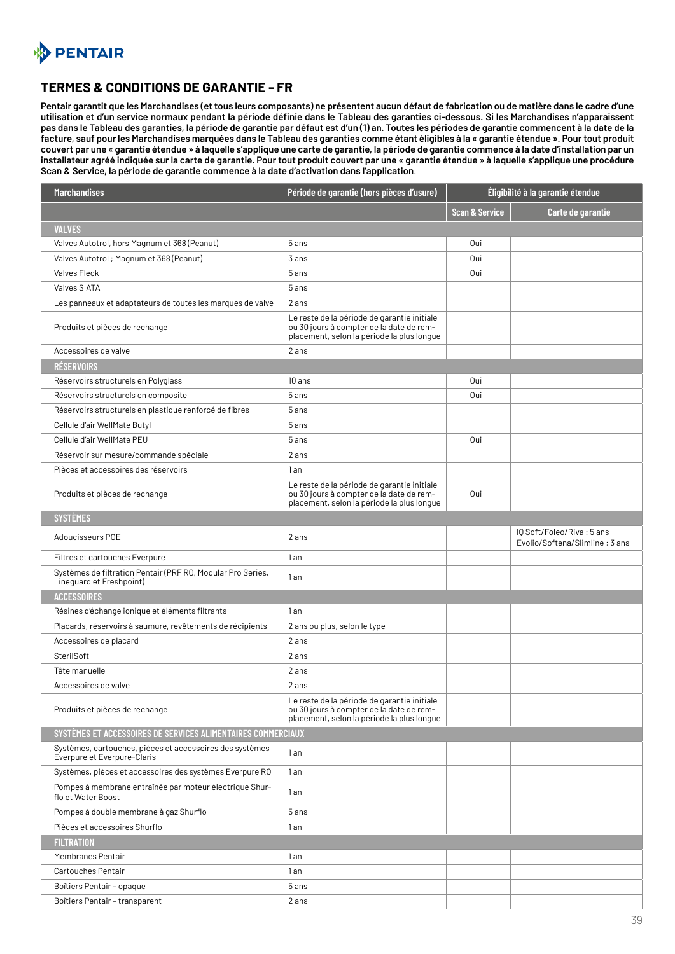<span id="page-38-0"></span>

## **TERMES & CONDITIONS DE GARANTIE - FR**

**Pentair garantit que les Marchandises (et tous leurs composants) ne présentent aucun défaut de fabrication ou de matière dans le cadre d'une utilisation et d'un service normaux pendant la période définie dans le Tableau des garanties ci-dessous. Si les Marchandises n'apparaissent pas dans le Tableau des garanties, la période de garantie par défaut est d'un (1) an. Toutes les périodes de garantie commencent à la date de la facture, sauf pour les Marchandises marquées dans le Tableau des garanties comme étant éligibles à la « garantie étendue ». Pour tout produit couvert par une « garantie étendue » à laquelle s'applique une carte de garantie, la période de garantie commence à la date d'installation par un installateur agréé indiquée sur la carte de garantie. Pour tout produit couvert par une « garantie étendue » à laquelle s'applique une procédure Scan & Service, la période de garantie commence à la date d'activation dans l'application**.

| <b>Marchandises</b>                                                                     | Période de garantie (hors pièces d'usure)                                                                                             | Éligibilité à la garantie étendue |                                                             |
|-----------------------------------------------------------------------------------------|---------------------------------------------------------------------------------------------------------------------------------------|-----------------------------------|-------------------------------------------------------------|
|                                                                                         |                                                                                                                                       | <b>Scan &amp; Service</b>         | Carte de garantie                                           |
| <b>VALVES</b>                                                                           |                                                                                                                                       |                                   |                                                             |
| Valves Autotrol, hors Magnum et 368 (Peanut)                                            | 5 ans                                                                                                                                 | 0ui                               |                                                             |
| Valves Autotrol ; Magnum et 368 (Peanut)                                                | 3 ans                                                                                                                                 | 0ui                               |                                                             |
| <b>Valves Fleck</b>                                                                     | 5 ans                                                                                                                                 | 0ui                               |                                                             |
| <b>Valves SIATA</b>                                                                     | 5 ans                                                                                                                                 |                                   |                                                             |
| Les panneaux et adaptateurs de toutes les marques de valve                              | 2 ans                                                                                                                                 |                                   |                                                             |
| Produits et pièces de rechange                                                          | Le reste de la période de garantie initiale<br>ou 30 jours à compter de la date de rem-<br>placement, selon la période la plus longue |                                   |                                                             |
| Accessoires de valve                                                                    | 2 ans                                                                                                                                 |                                   |                                                             |
| <b>RÉSERVOIRS</b>                                                                       |                                                                                                                                       |                                   |                                                             |
| Réservoirs structurels en Polyglass                                                     | 10 ans                                                                                                                                | 0ui                               |                                                             |
| Réservoirs structurels en composite                                                     | 5 ans                                                                                                                                 | 0ui                               |                                                             |
| Réservoirs structurels en plastique renforcé de fibres                                  | 5 ans                                                                                                                                 |                                   |                                                             |
| Cellule d'air WellMate Butyl                                                            | 5 ans                                                                                                                                 |                                   |                                                             |
| Cellule d'air WellMate PEU                                                              | 5 ans                                                                                                                                 | 0ui                               |                                                             |
| Réservoir sur mesure/commande spéciale                                                  | 2 ans                                                                                                                                 |                                   |                                                             |
| Pièces et accessoires des réservoirs                                                    | 1 an                                                                                                                                  |                                   |                                                             |
| Produits et pièces de rechange                                                          | Le reste de la période de garantie initiale<br>ou 30 jours à compter de la date de rem-<br>placement, selon la période la plus longue | Oui                               |                                                             |
| <b>SYSTÈMES</b>                                                                         |                                                                                                                                       |                                   |                                                             |
| Adoucisseurs POE                                                                        | 2 ans                                                                                                                                 |                                   | IQ Soft/Foleo/Riva: 5 ans<br>Evolio/Softena/Slimline: 3 ans |
| Filtres et cartouches Everpure                                                          | 1 an                                                                                                                                  |                                   |                                                             |
| Systèmes de filtration Pentair (PRF RO, Modular Pro Series,<br>Lineguard et Freshpoint) | 1 an                                                                                                                                  |                                   |                                                             |
| <b>ACCESSOIRES</b>                                                                      |                                                                                                                                       |                                   |                                                             |
| Résines d'échange ionique et éléments filtrants                                         | 1an                                                                                                                                   |                                   |                                                             |
| Placards, réservoirs à saumure, revêtements de récipients                               | 2 ans ou plus, selon le type                                                                                                          |                                   |                                                             |
| Accessoires de placard                                                                  | 2 ans                                                                                                                                 |                                   |                                                             |
| SterilSoft                                                                              | 2 ans                                                                                                                                 |                                   |                                                             |
| Tête manuelle                                                                           | 2 ans                                                                                                                                 |                                   |                                                             |
| Accessoires de valve                                                                    | 2 ans                                                                                                                                 |                                   |                                                             |
| Produits et pièces de rechange                                                          | Le reste de la période de garantie initiale<br>ou 30 jours à compter de la date de rem-<br>placement, selon la période la plus longue |                                   |                                                             |
| SYSTÈMES ET ACCESSOIRES DE SERVICES ALIMENTAIRES COMMERCIAUX                            |                                                                                                                                       |                                   |                                                             |
| Systèmes, cartouches, pièces et accessoires des systèmes<br>Everpure et Everpure-Claris | 1an                                                                                                                                   |                                   |                                                             |
| Systèmes, pièces et accessoires des systèmes Everpure RO                                | 1 an                                                                                                                                  |                                   |                                                             |
| Pompes à membrane entraînée par moteur électrique Shur-<br>flo et Water Boost           | 1 an                                                                                                                                  |                                   |                                                             |
| Pompes à double membrane à gaz Shurflo                                                  | 5 ans                                                                                                                                 |                                   |                                                             |
| Pièces et accessoires Shurflo                                                           | 1 an                                                                                                                                  |                                   |                                                             |
| <b>FILTRATION</b>                                                                       |                                                                                                                                       |                                   |                                                             |
| Membranes Pentair                                                                       | 1 an                                                                                                                                  |                                   |                                                             |
| Cartouches Pentair                                                                      | 1an                                                                                                                                   |                                   |                                                             |
| Boîtiers Pentair - opaque                                                               | 5 ans                                                                                                                                 |                                   |                                                             |
| Boîtiers Pentair - transparent                                                          | 2 ans                                                                                                                                 |                                   |                                                             |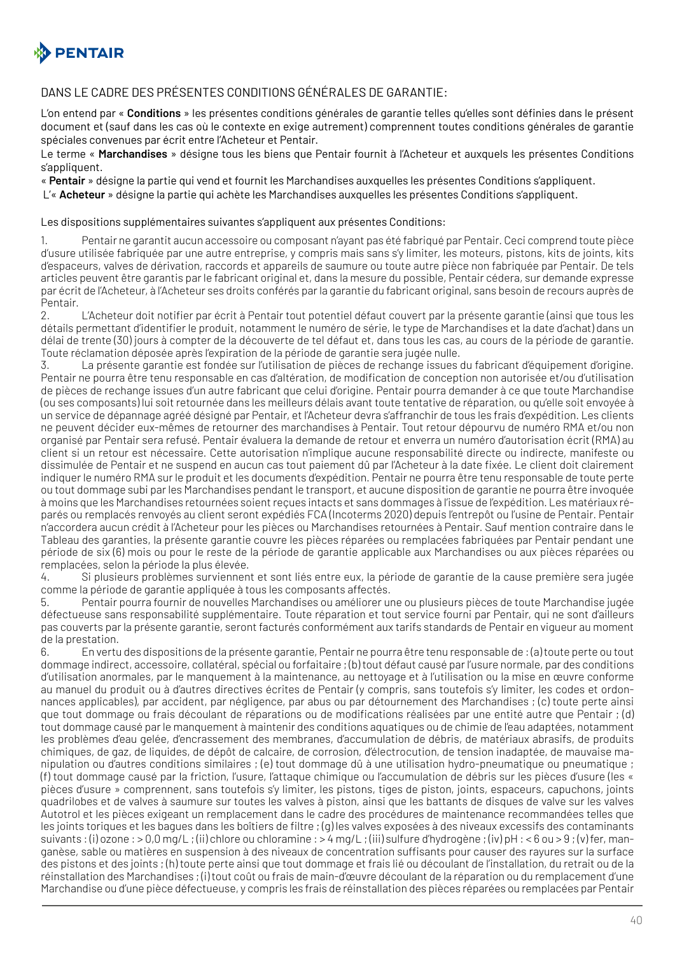

#### DANS LE CADRE DES PRÉSENTES CONDITIONS GÉNÉRALES DE GARANTIE:

L'on entend par « **Conditions** » les présentes conditions générales de garantie telles qu'elles sont définies dans le présent document et (sauf dans les cas où le contexte en exige autrement) comprennent toutes conditions générales de garantie spéciales convenues par écrit entre l'Acheteur et Pentair.

Le terme « **Marchandises** » désigne tous les biens que Pentair fournit à l'Acheteur et auxquels les présentes Conditions s'appliquent.

« **Pentair** » désigne la partie qui vend et fournit les Marchandises auxquelles les présentes Conditions s'appliquent.

L'« **Acheteur** » désigne la partie qui achète les Marchandises auxquelles les présentes Conditions s'appliquent.

#### Les dispositions supplémentaires suivantes s'appliquent aux présentes Conditions:

1. Pentair ne garantit aucun accessoire ou composant n'ayant pas été fabriqué par Pentair. Ceci comprend toute pièce d'usure utilisée fabriquée par une autre entreprise, y compris mais sans s'y limiter, les moteurs, pistons, kits de joints, kits d'espaceurs, valves de dérivation, raccords et appareils de saumure ou toute autre pièce non fabriquée par Pentair. De tels articles peuvent être garantis par le fabricant original et, dans la mesure du possible, Pentair cédera, sur demande expresse par écrit de l'Acheteur, à l'Acheteur ses droits conférés par la garantie du fabricant original, sans besoin de recours auprès de Pentair.<br>2.

L'Acheteur doit notifier par écrit à Pentair tout potentiel défaut couvert par la présente garantie (ainsi que tous les détails permettant d'identifier le produit, notamment le numéro de série, le type de Marchandises et la date d'achat) dans un délai de trente (30) jours à compter de la découverte de tel défaut et, dans tous les cas, au cours de la période de garantie. Toute réclamation déposée après l'expiration de la période de garantie sera jugée nulle.

3. La présente garantie est fondée sur l'utilisation de pièces de rechange issues du fabricant d'équipement d'origine. Pentair ne pourra être tenu responsable en cas d'altération, de modification de conception non autorisée et/ou d'utilisation de pièces de rechange issues d'un autre fabricant que celui d'origine. Pentair pourra demander à ce que toute Marchandise (ou ses composants) lui soit retournée dans les meilleurs délais avant toute tentative de réparation, ou qu'elle soit envoyée à un service de dépannage agréé désigné par Pentair, et l'Acheteur devra s'affranchir de tous les frais d'expédition. Les clients ne peuvent décider eux-mêmes de retourner des marchandises à Pentair. Tout retour dépourvu de numéro RMA et/ou non organisé par Pentair sera refusé. Pentair évaluera la demande de retour et enverra un numéro d'autorisation écrit (RMA) au client si un retour est nécessaire. Cette autorisation n'implique aucune responsabilité directe ou indirecte, manifeste ou dissimulée de Pentair et ne suspend en aucun cas tout paiement dû par l'Acheteur à la date fixée. Le client doit clairement indiquer le numéro RMA sur le produit et les documents d'expédition. Pentair ne pourra être tenu responsable de toute perte ou tout dommage subi par les Marchandises pendant le transport, et aucune disposition de garantie ne pourra être invoquée à moins que les Marchandises retournées soient reçues intacts et sans dommages à l'issue de l'expédition. Les matériaux réparés ou remplacés renvoyés au client seront expédiés FCA (Incoterms 2020) depuis l'entrepôt ou l'usine de Pentair. Pentair n'accordera aucun crédit à l'Acheteur pour les pièces ou Marchandises retournées à Pentair. Sauf mention contraire dans le Tableau des garanties, la présente garantie couvre les pièces réparées ou remplacées fabriquées par Pentair pendant une période de six (6) mois ou pour le reste de la période de garantie applicable aux Marchandises ou aux pièces réparées ou remplacées, selon la période la plus élevée.

4. Si plusieurs problèmes surviennent et sont liés entre eux, la période de garantie de la cause première sera jugée comme la période de garantie appliquée à tous les composants affectés.

5. Pentair pourra fournir de nouvelles Marchandises ou améliorer une ou plusieurs pièces de toute Marchandise jugée défectueuse sans responsabilité supplémentaire. Toute réparation et tout service fourni par Pentair, qui ne sont d'ailleurs pas couverts par la présente garantie, seront facturés conformément aux tarifs standards de Pentair en vigueur au moment de la prestation.

6. En vertu des dispositions de la présente garantie, Pentair ne pourra être tenu responsable de : (a) toute perte ou tout dommage indirect, accessoire, collatéral, spécial ou forfaitaire ; (b) tout défaut causé par l'usure normale, par des conditions d'utilisation anormales, par le manquement à la maintenance, au nettoyage et à l'utilisation ou la mise en œuvre conforme au manuel du produit ou à d'autres directives écrites de Pentair (y compris, sans toutefois s'y limiter, les codes et ordonnances applicables), par accident, par négligence, par abus ou par détournement des Marchandises ; (c) toute perte ainsi que tout dommage ou frais découlant de réparations ou de modifications réalisées par une entité autre que Pentair ; (d) tout dommage causé par le manquement à maintenir des conditions aquatiques ou de chimie de l'eau adaptées, notamment les problèmes d'eau gelée, d'encrassement des membranes, d'accumulation de débris, de matériaux abrasifs, de produits chimiques, de gaz, de liquides, de dépôt de calcaire, de corrosion, d'électrocution, de tension inadaptée, de mauvaise manipulation ou d'autres conditions similaires ; (e) tout dommage dû à une utilisation hydro-pneumatique ou pneumatique ; (f) tout dommage causé par la friction, l'usure, l'attaque chimique ou l'accumulation de débris sur les pièces d'usure (les « pièces d'usure » comprennent, sans toutefois s'y limiter, les pistons, tiges de piston, joints, espaceurs, capuchons, joints quadrilobes et de valves à saumure sur toutes les valves à piston, ainsi que les battants de disques de valve sur les valves Autotrol et les pièces exigeant un remplacement dans le cadre des procédures de maintenance recommandées telles que les joints toriques et les bagues dans les boîtiers de filtre ; (g) les valves exposées à des niveaux excessifs des contaminants suivants : (i) ozone : > 0,0 mg/L ; (ii) chlore ou chloramine : > 4 mg/L ; (iii) sulfure d'hydrogène ; (iv) pH : < 6 ou > 9 ; (v) fer, manganèse, sable ou matières en suspension à des niveaux de concentration suffisants pour causer des rayures sur la surface des pistons et des joints ; (h) toute perte ainsi que tout dommage et frais lié ou découlant de l'installation, du retrait ou de la réinstallation des Marchandises ; (i) tout coût ou frais de main-d'œuvre découlant de la réparation ou du remplacement d'une Marchandise ou d'une pièce défectueuse, y compris les frais de réinstallation des pièces réparées ou remplacées par Pentair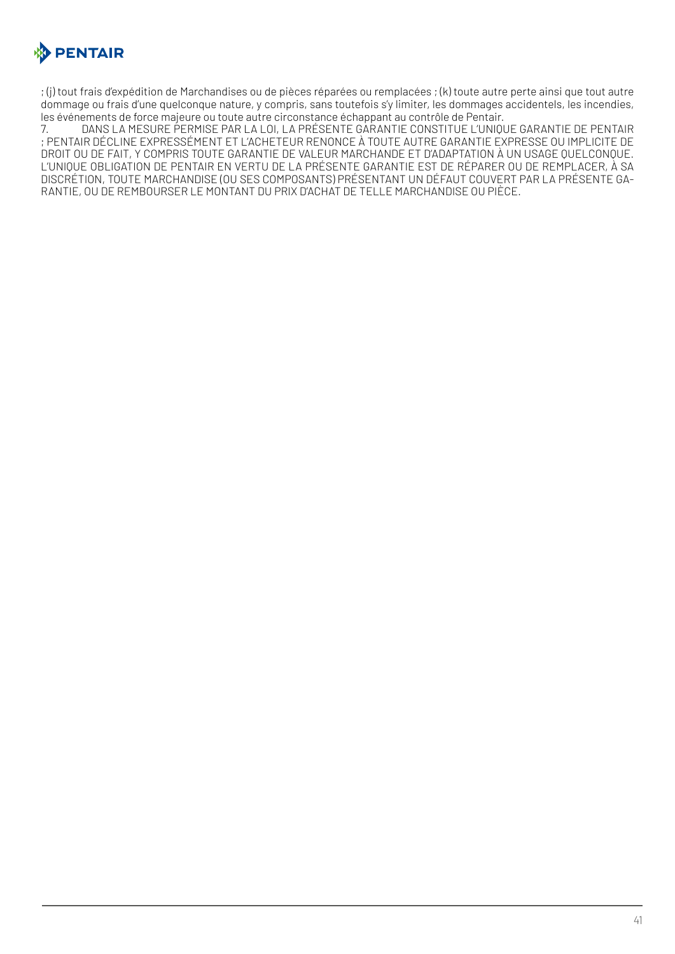

; (j) tout frais d'expédition de Marchandises ou de pièces réparées ou remplacées ; (k) toute autre perte ainsi que tout autre dommage ou frais d'une quelconque nature, y compris, sans toutefois s'y limiter, les dommages accidentels, les incendies, les événements de force majeure ou toute autre circonstance échappant au contrôle de Pentair.

7. DANS LA MESURE PERMISE PAR LA LOI, LA PRÉSENTE GARANTIE CONSTITUE L'UNIQUE GARANTIE DE PENTAIR ; PENTAIR DÉCLINE EXPRESSÉMENT ET L'ACHETEUR RENONCE À TOUTE AUTRE GARANTIE EXPRESSE OU IMPLICITE DE DROIT OU DE FAIT, Y COMPRIS TOUTE GARANTIE DE VALEUR MARCHANDE ET D'ADAPTATION À UN USAGE QUELCONQUE. L'UNIQUE OBLIGATION DE PENTAIR EN VERTU DE LA PRÉSENTE GARANTIE EST DE RÉPARER OU DE REMPLACER, À SA DISCRÉTION, TOUTE MARCHANDISE (OU SES COMPOSANTS) PRÉSENTANT UN DÉFAUT COUVERT PAR LA PRÉSENTE GA-RANTIE, OU DE REMBOURSER LE MONTANT DU PRIX D'ACHAT DE TELLE MARCHANDISE OU PIÈCE.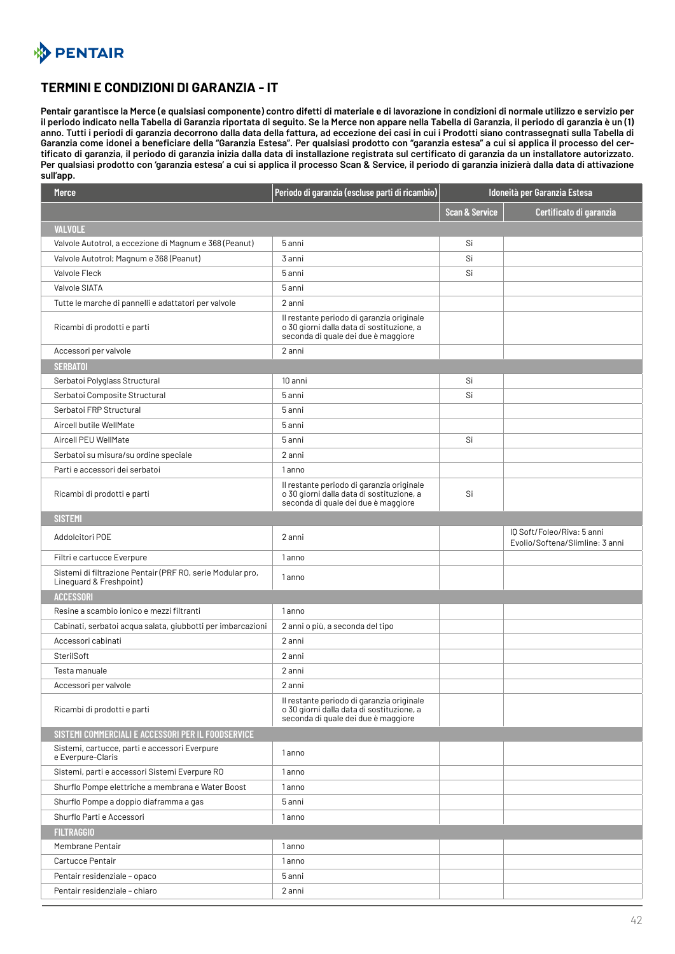<span id="page-41-0"></span>

## **TERMINI E CONDIZIONI DI GARANZIA - IT**

**Pentair garantisce la Merce (e qualsiasi componente) contro difetti di materiale e di lavorazione in condizioni di normale utilizzo e servizio per il periodo indicato nella Tabella di Garanzia riportata di seguito. Se la Merce non appare nella Tabella di Garanzia, il periodo di garanzia è un (1) anno. Tutti i periodi di garanzia decorrono dalla data della fattura, ad eccezione dei casi in cui i Prodotti siano contrassegnati sulla Tabella di Garanzia come idonei a beneficiare della "Garanzia Estesa". Per qualsiasi prodotto con "garanzia estesa" a cui si applica il processo del certificato di garanzia, il periodo di garanzia inizia dalla data di installazione registrata sul certificato di garanzia da un installatore autorizzato. Per qualsiasi prodotto con 'garanzia estesa' a cui si applica il processo Scan & Service, il periodo di garanzia inizierà dalla data di attivazione sull'app.** 

| <b>Merce</b>                                                                          | Periodo di garanzia (escluse parti di ricambio)                                                                               | Idoneità per Garanzia Estesa |                                                               |
|---------------------------------------------------------------------------------------|-------------------------------------------------------------------------------------------------------------------------------|------------------------------|---------------------------------------------------------------|
|                                                                                       |                                                                                                                               | <b>Scan &amp; Service</b>    | Certificato di garanzia                                       |
| <b>VALVOLE</b>                                                                        |                                                                                                                               |                              |                                                               |
| Valvole Autotrol, a eccezione di Magnum e 368 (Peanut)                                | 5 anni                                                                                                                        | Si                           |                                                               |
| Valvole Autotrol; Magnum e 368 (Peanut)                                               | 3 anni                                                                                                                        | Si                           |                                                               |
| Valvole Fleck                                                                         | 5 anni                                                                                                                        | Si                           |                                                               |
| Valvole SIATA                                                                         | 5 anni                                                                                                                        |                              |                                                               |
| Tutte le marche di pannelli e adattatori per valvole                                  | 2 anni                                                                                                                        |                              |                                                               |
| Ricambi di prodotti e parti                                                           | Il restante periodo di garanzia originale<br>o 30 giorni dalla data di sostituzione, a<br>seconda di quale dei due è maggiore |                              |                                                               |
| Accessori per valvole                                                                 | 2 anni                                                                                                                        |                              |                                                               |
| <b>SERBATOI</b>                                                                       |                                                                                                                               |                              |                                                               |
| Serbatoi Polyglass Structural                                                         | 10 anni                                                                                                                       | Si                           |                                                               |
| Serbatoi Composite Structural                                                         | 5 anni                                                                                                                        | Si                           |                                                               |
| Serbatoi FRP Structural                                                               | 5 anni                                                                                                                        |                              |                                                               |
| Aircell butile WellMate                                                               | 5 anni                                                                                                                        |                              |                                                               |
| Aircell PEU WellMate                                                                  | 5 anni                                                                                                                        | Si                           |                                                               |
| Serbatoi su misura/su ordine speciale                                                 | 2 anni                                                                                                                        |                              |                                                               |
| Parti e accessori dei serbatoi                                                        | 1 anno                                                                                                                        |                              |                                                               |
| Ricambi di prodotti e parti                                                           | Il restante periodo di garanzia originale<br>o 30 giorni dalla data di sostituzione, a<br>seconda di quale dei due è maggiore | Si                           |                                                               |
| <b>SISTEMI</b>                                                                        |                                                                                                                               |                              |                                                               |
| Addolcitori POE                                                                       | 2 anni                                                                                                                        |                              | IQ Soft/Foleo/Riva: 5 anni<br>Evolio/Softena/Slimline: 3 anni |
| Filtri e cartucce Everpure                                                            | 1 anno                                                                                                                        |                              |                                                               |
| Sistemi di filtrazione Pentair (PRF RO, serie Modular pro,<br>Lineguard & Freshpoint) | 1 anno                                                                                                                        |                              |                                                               |
| <b>ACCESSORI</b>                                                                      |                                                                                                                               |                              |                                                               |
| Resine a scambio ionico e mezzi filtranti                                             | 1 anno                                                                                                                        |                              |                                                               |
| Cabinati, serbatoi acqua salata, giubbotti per imbarcazioni                           | 2 anni o più, a seconda del tipo                                                                                              |                              |                                                               |
| Accessori cabinati                                                                    | 2 anni                                                                                                                        |                              |                                                               |
| SterilSoft                                                                            | 2 anni                                                                                                                        |                              |                                                               |
| Testa manuale                                                                         | 2 anni                                                                                                                        |                              |                                                               |
| Accessori per valvole                                                                 | 2 anni                                                                                                                        |                              |                                                               |
| Ricambi di prodotti e parti                                                           | Il restante periodo di garanzia originale<br>o 30 giorni dalla data di sostituzione, a<br>seconda di quale dei due è maggiore |                              |                                                               |
| SISTEMI COMMERCIALI E ACCESSORI PER IL FOODSERVICE                                    |                                                                                                                               |                              |                                                               |
| Sistemi, cartucce, parti e accessori Everpure<br>e Everpure-Claris                    | 1 anno                                                                                                                        |                              |                                                               |
| Sistemi, parti e accessori Sistemi Everpure RO                                        | 1 anno                                                                                                                        |                              |                                                               |
| Shurflo Pompe elettriche a membrana e Water Boost                                     | 1 anno                                                                                                                        |                              |                                                               |
| Shurflo Pompe a doppio diaframma a gas                                                | 5 anni                                                                                                                        |                              |                                                               |
| Shurflo Parti e Accessori                                                             | 1 anno                                                                                                                        |                              |                                                               |
| <b>FILTRAGGIO</b>                                                                     |                                                                                                                               |                              |                                                               |
| Membrane Pentair                                                                      | 1 anno                                                                                                                        |                              |                                                               |
| Cartucce Pentair                                                                      | 1 anno                                                                                                                        |                              |                                                               |
| Pentair residenziale - opaco                                                          | 5 anni                                                                                                                        |                              |                                                               |
| Pentair residenziale - chiaro                                                         | 2 anni                                                                                                                        |                              |                                                               |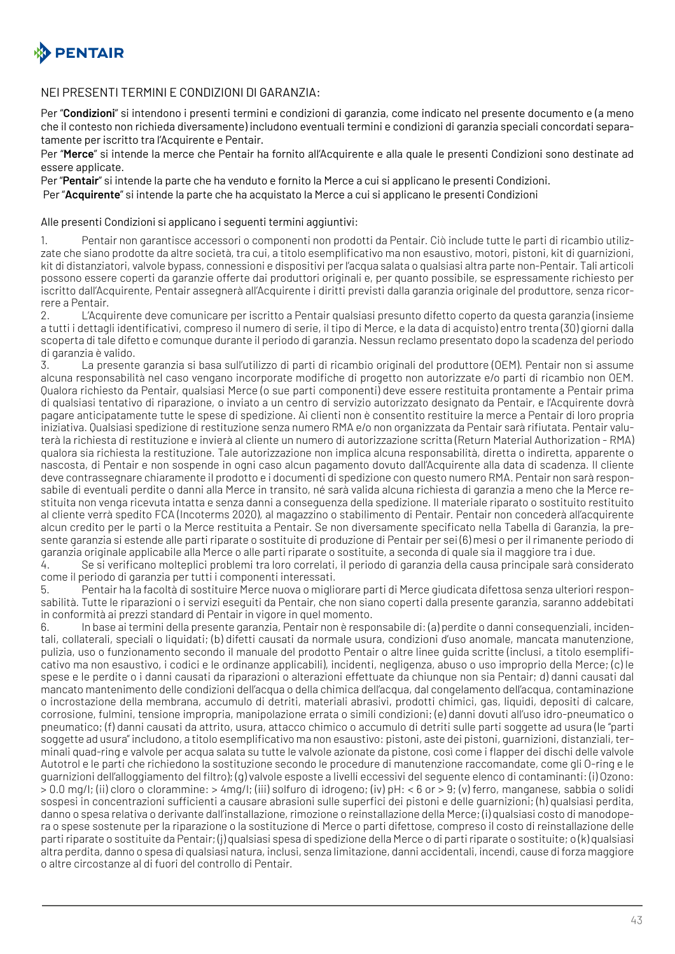

#### NEI PRESENTI TERMINI E CONDIZIONI DI GARANZIA:

Per "**Condizioni**" si intendono i presenti termini e condizioni di garanzia, come indicato nel presente documento e (a meno che il contesto non richieda diversamente) includono eventuali termini e condizioni di garanzia speciali concordati separatamente per iscritto tra l'Acquirente e Pentair.

Per "**Merce**" si intende la merce che Pentair ha fornito all'Acquirente e alla quale le presenti Condizioni sono destinate ad essere applicate.

Per "**Pentair**" si intende la parte che ha venduto e fornito la Merce a cui si applicano le presenti Condizioni.

Per "**Acquirente**" si intende la parte che ha acquistato la Merce a cui si applicano le presenti Condizioni

#### Alle presenti Condizioni si applicano i seguenti termini aggiuntivi:

1. Pentair non garantisce accessori o componenti non prodotti da Pentair. Ciò include tutte le parti di ricambio utilizzate che siano prodotte da altre società, tra cui, a titolo esemplificativo ma non esaustivo, motori, pistoni, kit di guarnizioni, kit di distanziatori, valvole bypass, connessioni e dispositivi per l'acqua salata o qualsiasi altra parte non-Pentair. Tali articoli possono essere coperti da garanzie offerte dai produttori originali e, per quanto possibile, se espressamente richiesto per iscritto dall'Acquirente, Pentair assegnerà all'Acquirente i diritti previsti dalla garanzia originale del produttore, senza ricorrere a Pentair.

2. L'Acquirente deve comunicare per iscritto a Pentair qualsiasi presunto difetto coperto da questa garanzia (insieme a tutti i dettagli identificativi, compreso il numero di serie, il tipo di Merce, e la data di acquisto) entro trenta (30) giorni dalla scoperta di tale difetto e comunque durante il periodo di garanzia. Nessun reclamo presentato dopo la scadenza del periodo di garanzia è valido.

3. La presente garanzia si basa sull'utilizzo di parti di ricambio originali del produttore (OEM). Pentair non si assume alcuna responsabilità nel caso vengano incorporate modifiche di progetto non autorizzate e/o parti di ricambio non OEM. Qualora richiesto da Pentair, qualsiasi Merce (o sue parti componenti) deve essere restituita prontamente a Pentair prima di qualsiasi tentativo di riparazione, o inviato a un centro di servizio autorizzato designato da Pentair, e l'Acquirente dovrà pagare anticipatamente tutte le spese di spedizione. Ai clienti non è consentito restituire la merce a Pentair di loro propria iniziativa. Qualsiasi spedizione di restituzione senza numero RMA e/o non organizzata da Pentair sarà rifiutata. Pentair valuterà la richiesta di restituzione e invierà al cliente un numero di autorizzazione scritta (Return Material Authorization - RMA) qualora sia richiesta la restituzione. Tale autorizzazione non implica alcuna responsabilità, diretta o indiretta, apparente o nascosta, di Pentair e non sospende in ogni caso alcun pagamento dovuto dall'Acquirente alla data di scadenza. Il cliente deve contrassegnare chiaramente il prodotto e i documenti di spedizione con questo numero RMA. Pentair non sarà responsabile di eventuali perdite o danni alla Merce in transito, né sarà valida alcuna richiesta di garanzia a meno che la Merce restituita non venga ricevuta intatta e senza danni a conseguenza della spedizione. Il materiale riparato o sostituito restituito al cliente verrà spedito FCA (Incoterms 2020), al magazzino o stabilimento di Pentair. Pentair non concederà all'acquirente alcun credito per le parti o la Merce restituita a Pentair. Se non diversamente specificato nella Tabella di Garanzia, la presente garanzia si estende alle parti riparate o sostituite di produzione di Pentair per sei (6) mesi o per il rimanente periodo di garanzia originale applicabile alla Merce o alle parti riparate o sostituite, a seconda di quale sia il maggiore tra i due.

4. Se si verificano molteplici problemi tra loro correlati, il periodo di garanzia della causa principale sarà considerato come il periodo di garanzia per tutti i componenti interessati.

5. Pentair ha la facoltà di sostituire Merce nuova o migliorare parti di Merce giudicata difettosa senza ulteriori responsabilità. Tutte le riparazioni o i servizi eseguiti da Pentair, che non siano coperti dalla presente garanzia, saranno addebitati in conformità ai prezzi standard di Pentair in vigore in quel momento.

6. In base ai termini della presente garanzia, Pentair non è responsabile di: (a) perdite o danni consequenziali, incidentali, collaterali, speciali o liquidati; (b) difetti causati da normale usura, condizioni d'uso anomale, mancata manutenzione, pulizia, uso o funzionamento secondo il manuale del prodotto Pentair o altre linee guida scritte (inclusi, a titolo esemplificativo ma non esaustivo, i codici e le ordinanze applicabili), incidenti, negligenza, abuso o uso improprio della Merce; (c) le spese e le perdite o i danni causati da riparazioni o alterazioni effettuate da chiunque non sia Pentair; d) danni causati dal mancato mantenimento delle condizioni dell'acqua o della chimica dell'acqua, dal congelamento dell'acqua, contaminazione o incrostazione della membrana, accumulo di detriti, materiali abrasivi, prodotti chimici, gas, liquidi, depositi di calcare, corrosione, fulmini, tensione impropria, manipolazione errata o simili condizioni; (e) danni dovuti all'uso idro-pneumatico o pneumatico; (f) danni causati da attrito, usura, attacco chimico o accumulo di detriti sulle parti soggette ad usura (le "parti soggette ad usura" includono, a titolo esemplificativo ma non esaustivo: pistoni, aste dei pistoni, guarnizioni, distanziali, terminali quad-ring e valvole per acqua salata su tutte le valvole azionate da pistone, così come i flapper dei dischi delle valvole Autotrol e le parti che richiedono la sostituzione secondo le procedure di manutenzione raccomandate, come gli O-ring e le guarnizioni dell'alloggiamento del filtro); (g) valvole esposte a livelli eccessivi del seguente elenco di contaminanti: (i) Ozono: > 0.0 mg/l; (ii) cloro o clorammine: > 4mg/l; (iii) solfuro di idrogeno; (iv) pH: < 6 or > 9; (v) ferro, manganese, sabbia o solidi sospesi in concentrazioni sufficienti a causare abrasioni sulle superfici dei pistoni e delle guarnizioni; (h) qualsiasi perdita, danno o spesa relativa o derivante dall'installazione, rimozione o reinstallazione della Merce; (i) qualsiasi costo di manodopera o spese sostenute per la riparazione o la sostituzione di Merce o parti difettose, compreso il costo di reinstallazione delle parti riparate o sostituite da Pentair; (j) qualsiasi spesa di spedizione della Merce o di parti riparate o sostituite; o (k) qualsiasi altra perdita, danno o spesa di qualsiasi natura, inclusi, senza limitazione, danni accidentali, incendi, cause di forza maggiore o altre circostanze al di fuori del controllo di Pentair.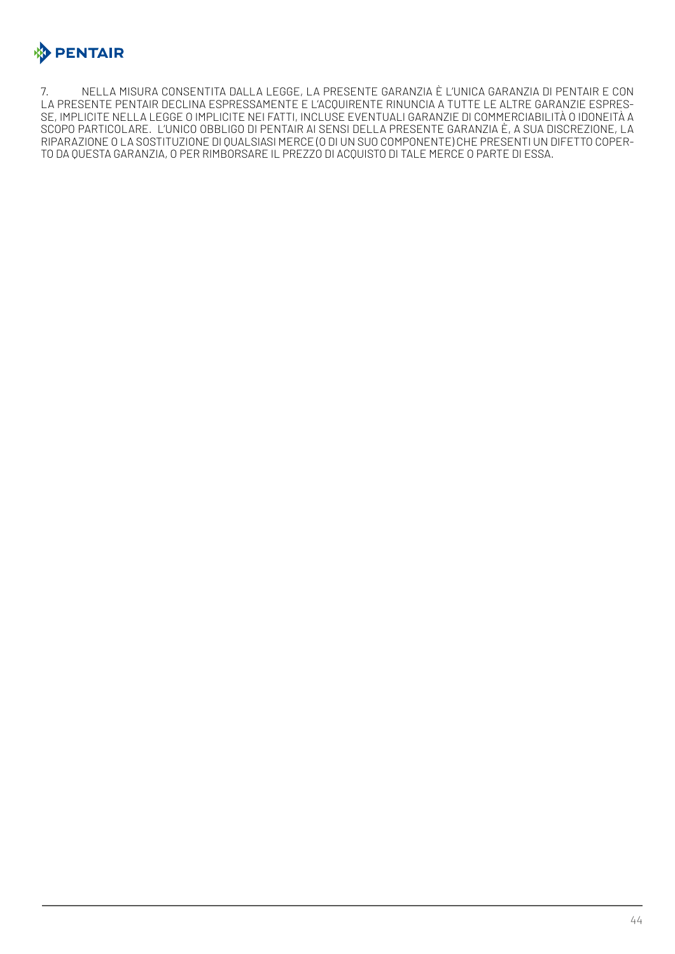

7. NELLA MISURA CONSENTITA DALLA LEGGE, LA PRESENTE GARANZIA È L'UNICA GARANZIA DI PENTAIR E CON LA PRESENTE PENTAIR DECLINA ESPRESSAMENTE E L'ACQUIRENTE RINUNCIA A TUTTE LE ALTRE GARANZIE ESPRES-SE, IMPLICITE NELLA LEGGE O IMPLICITE NEI FATTI, INCLUSE EVENTUALI GARANZIE DI COMMERCIABILITÀ O IDONEITÀ A SCOPO PARTICOLARE. L'UNICO OBBLIGO DI PENTAIR AI SENSI DELLA PRESENTE GARANZIA È, A SUA DISCREZIONE, LA RIPARAZIONE O LA SOSTITUZIONE DI QUALSIASI MERCE (O DI UN SUO COMPONENTE) CHE PRESENTI UN DIFETTO COPER-TO DA QUESTA GARANZIA, O PER RIMBORSARE IL PREZZO DI ACQUISTO DI TALE MERCE O PARTE DI ESSA.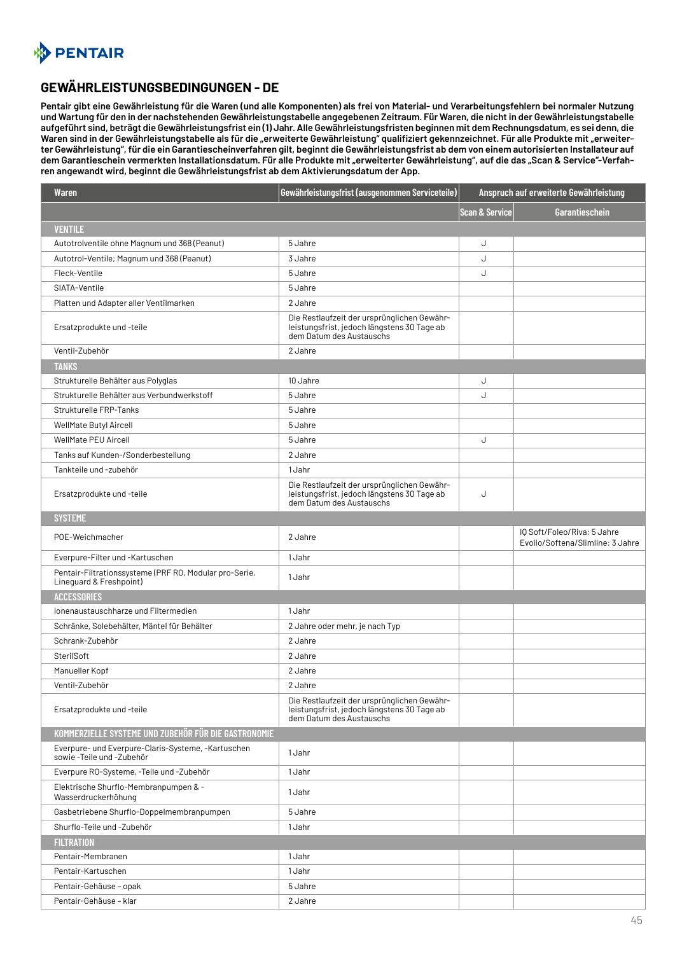<span id="page-44-0"></span>

#### **GEWÄHRLEISTUNGSBEDINGUNGEN - DE**

**Pentair gibt eine Gewährleistung für die Waren (und alle Komponenten) als frei von Material- und Verarbeitungsfehlern bei normaler Nutzung und Wartung für den in der nachstehenden Gewährleistungstabelle angegebenen Zeitraum. Für Waren, die nicht in der Gewährleistungstabelle aufgeführt sind, beträgt die Gewährleistungsfrist ein (1) Jahr. Alle Gewährleistungsfristen beginnen mit dem Rechnungsdatum, es sei denn, die**  Waren sind in der Gewährleistungstabelle als für die "erweiterte Gewährleistung" qualifiziert gekennzeichnet. Für alle Produkte mit "erweiter**ter Gewährleistung", für die ein Garantiescheinverfahren gilt, beginnt die Gewährleistungsfrist ab dem von einem autorisierten Installateur auf dem Garantieschein vermerkten Installationsdatum. Für alle Produkte mit "erweiterter Gewährleistung", auf die das "Scan & Service"-Verfahren angewandt wird, beginnt die Gewährleistungsfrist ab dem Aktivierungsdatum der App.**

| Waren                                                                             | Gewährleistungsfrist (ausgenommen Serviceteile)                                                                        |                           | Anspruch auf erweiterte Gewährleistung                          |
|-----------------------------------------------------------------------------------|------------------------------------------------------------------------------------------------------------------------|---------------------------|-----------------------------------------------------------------|
|                                                                                   |                                                                                                                        | <b>Scan &amp; Service</b> | Garantieschein                                                  |
| <b>VENTILE</b>                                                                    |                                                                                                                        |                           |                                                                 |
| Autotrolventile ohne Magnum und 368 (Peanut)                                      | 5 Jahre                                                                                                                | J                         |                                                                 |
| Autotrol-Ventile; Magnum und 368 (Peanut)                                         | 3 Jahre                                                                                                                | J                         |                                                                 |
| Fleck-Ventile                                                                     | 5 Jahre                                                                                                                | J                         |                                                                 |
| SIATA-Ventile                                                                     | 5 Jahre                                                                                                                |                           |                                                                 |
| Platten und Adapter aller Ventilmarken                                            | 2 Jahre                                                                                                                |                           |                                                                 |
| Ersatzprodukte und -teile                                                         | Die Restlaufzeit der ursprünglichen Gewähr-<br>leistungsfrist, jedoch längstens 30 Tage ab<br>dem Datum des Austauschs |                           |                                                                 |
| Ventil-Zubehör                                                                    | 2 Jahre                                                                                                                |                           |                                                                 |
| <b>TANKS</b>                                                                      |                                                                                                                        |                           |                                                                 |
| Strukturelle Behälter aus Polyglas                                                | 10 Jahre                                                                                                               | J                         |                                                                 |
| Strukturelle Behälter aus Verbundwerkstoff                                        | 5 Jahre                                                                                                                | J                         |                                                                 |
| Strukturelle FRP-Tanks                                                            | 5 Jahre                                                                                                                |                           |                                                                 |
| WellMate Butyl Aircell                                                            | 5 Jahre                                                                                                                |                           |                                                                 |
| <b>WellMate PEU Aircell</b>                                                       | 5 Jahre                                                                                                                | J                         |                                                                 |
| Tanks auf Kunden-/Sonderbestellung                                                | 2 Jahre                                                                                                                |                           |                                                                 |
| Tankteile und -zubehör                                                            | 1 Jahr                                                                                                                 |                           |                                                                 |
| Ersatzprodukte und -teile                                                         | Die Restlaufzeit der ursprünglichen Gewähr-<br>leistungsfrist, jedoch längstens 30 Tage ab<br>dem Datum des Austauschs | J                         |                                                                 |
| <b>SYSTEME</b>                                                                    |                                                                                                                        |                           |                                                                 |
| POE-Weichmacher                                                                   | 2 Jahre                                                                                                                |                           | IQ Soft/Foleo/Riva: 5 Jahre<br>Evolio/Softena/Slimline: 3 Jahre |
| Everpure-Filter und -Kartuschen                                                   | 1 Jahr                                                                                                                 |                           |                                                                 |
| Pentair-Filtrationssysteme (PRF RO, Modular pro-Serie,<br>Lineguard & Freshpoint) | 1 Jahr                                                                                                                 |                           |                                                                 |
| <b>ACCESSORIES</b>                                                                |                                                                                                                        |                           |                                                                 |
| Ionenaustauschharze und Filtermedien                                              | 1 Jahr                                                                                                                 |                           |                                                                 |
| Schränke, Solebehälter, Mäntel für Behälter                                       | 2 Jahre oder mehr, je nach Typ                                                                                         |                           |                                                                 |
| Schrank-Zubehör                                                                   | 2 Jahre                                                                                                                |                           |                                                                 |
| SterilSoft                                                                        | 2 Jahre                                                                                                                |                           |                                                                 |
| Manueller Kopf                                                                    | 2 Jahre                                                                                                                |                           |                                                                 |
| Ventil-Zubehör                                                                    | 2 Jahre                                                                                                                |                           |                                                                 |
| Ersatzprodukte und -teile                                                         | Die Restlaufzeit der ursprünglichen Gewähr-<br>leistungsfrist, jedoch längstens 30 Tage ab<br>dem Datum des Austauschs |                           |                                                                 |
| KOMMERZIELLE SYSTEME UND ZUBEHÖR FÜR DIE GASTRONOMIE                              |                                                                                                                        |                           |                                                                 |
| Everpure- und Everpure-Claris-Systeme, -Kartuschen<br>sowie - Teile und - Zubehör | 1 Jahr                                                                                                                 |                           |                                                                 |
| Everpure RO-Systeme, -Teile und -Zubehör                                          | 1 Jahr                                                                                                                 |                           |                                                                 |
| Elektrische Shurflo-Membranpumpen & -<br>Wasserdruckerhöhung                      | 1 Jahr                                                                                                                 |                           |                                                                 |
| Gasbetriebene Shurflo-Doppelmembranpumpen                                         | 5 Jahre                                                                                                                |                           |                                                                 |
| Shurflo-Teile und -Zubehör                                                        | 1 Jahr                                                                                                                 |                           |                                                                 |
| <b>FILTRATION</b>                                                                 |                                                                                                                        |                           |                                                                 |
| Pentair-Membranen                                                                 | 1 Jahr                                                                                                                 |                           |                                                                 |
| Pentair-Kartuschen                                                                | 1 Jahr                                                                                                                 |                           |                                                                 |
| Pentair-Gehäuse - opak                                                            | 5 Jahre                                                                                                                |                           |                                                                 |
| Pentair-Gehäuse - klar                                                            | 2 Jahre                                                                                                                |                           |                                                                 |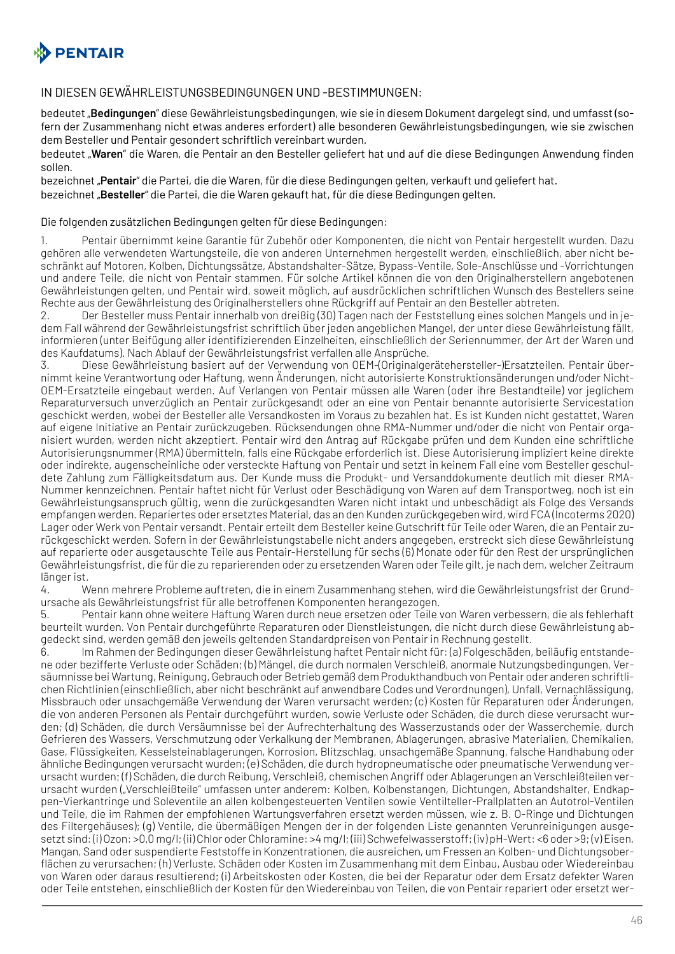

#### IN DIESEN GEWÄHRLEISTUNGSBEDINGUNGEN UND -BESTIMMUNGEN:

bedeutet "**Bedingungen**" diese Gewährleistungsbedingungen, wie sie in diesem Dokument dargelegt sind, und umfasst (sofern der Zusammenhang nicht etwas anderes erfordert) alle besonderen Gewährleistungsbedingungen, wie sie zwischen dem Besteller und Pentair gesondert schriftlich vereinbart wurden.

bedeutet "Waren" die Waren, die Pentair an den Besteller geliefert hat und auf die diese Bedingungen Anwendung finden sollen.

bezeichnet "**Pentair**" die Partei, die die Waren, für die diese Bedingungen gelten, verkauft und geliefert hat. bezeichnet "**Besteller**" die Partei, die die Waren gekauft hat, für die diese Bedingungen gelten.

#### Die folgenden zusätzlichen Bedingungen gelten für diese Bedingungen:

1. Pentair übernimmt keine Garantie für Zubehör oder Komponenten, die nicht von Pentair hergestellt wurden. Dazu gehören alle verwendeten Wartungsteile, die von anderen Unternehmen hergestellt werden, einschließlich, aber nicht beschränkt auf Motoren, Kolben, Dichtungssätze, Abstandshalter-Sätze, Bypass-Ventile, Sole-Anschlüsse und -Vorrichtungen und andere Teile, die nicht von Pentair stammen. Für solche Artikel können die von den Originalherstellern angebotenen Gewährleistungen gelten, und Pentair wird, soweit möglich, auf ausdrücklichen schriftlichen Wunsch des Bestellers seine Rechte aus der Gewährleistung des Originalherstellers ohne Rückgriff auf Pentair an den Besteller abtreten.

2. Der Besteller muss Pentair innerhalb von dreißig (30) Tagen nach der Feststellung eines solchen Mangels und in jedem Fall während der Gewährleistungsfrist schriftlich über jeden angeblichen Mangel, der unter diese Gewährleistung fällt, informieren (unter Beifügung aller identifizierenden Einzelheiten, einschließlich der Seriennummer, der Art der Waren und des Kaufdatums). Nach Ablauf der Gewährleistungsfrist verfallen alle Ansprüche.

3. Diese Gewährleistung basiert auf der Verwendung von OEM-(Originalgerätehersteller-)Ersatzteilen. Pentair übernimmt keine Verantwortung oder Haftung, wenn Änderungen, nicht autorisierte Konstruktionsänderungen und/oder Nicht-OEM-Ersatzteile eingebaut werden. Auf Verlangen von Pentair müssen alle Waren (oder ihre Bestandteile) vor jeglichem Reparaturversuch unverzüglich an Pentair zurückgesandt oder an eine von Pentair benannte autorisierte Servicestation geschickt werden, wobei der Besteller alle Versandkosten im Voraus zu bezahlen hat. Es ist Kunden nicht gestattet, Waren auf eigene Initiative an Pentair zurückzugeben. Rücksendungen ohne RMA-Nummer und/oder die nicht von Pentair organisiert wurden, werden nicht akzeptiert. Pentair wird den Antrag auf Rückgabe prüfen und dem Kunden eine schriftliche Autorisierungsnummer (RMA) übermitteln, falls eine Rückgabe erforderlich ist. Diese Autorisierung impliziert keine direkte oder indirekte, augenscheinliche oder versteckte Haftung von Pentair und setzt in keinem Fall eine vom Besteller geschuldete Zahlung zum Fälligkeitsdatum aus. Der Kunde muss die Produkt- und Versanddokumente deutlich mit dieser RMA-Nummer kennzeichnen. Pentair haftet nicht für Verlust oder Beschädigung von Waren auf dem Transportweg, noch ist ein Gewährleistungsanspruch gültig, wenn die zurückgesandten Waren nicht intakt und unbeschädigt als Folge des Versands empfangen werden. Repariertes oder ersetztes Material, das an den Kunden zurückgegeben wird, wird FCA (Incoterms 2020) Lager oder Werk von Pentair versandt. Pentair erteilt dem Besteller keine Gutschrift für Teile oder Waren, die an Pentair zurückgeschickt werden. Sofern in der Gewährleistungstabelle nicht anders angegeben, erstreckt sich diese Gewährleistung auf reparierte oder ausgetauschte Teile aus Pentair-Herstellung für sechs (6) Monate oder für den Rest der ursprünglichen Gewährleistungsfrist, die für die zu reparierenden oder zu ersetzenden Waren oder Teile gilt, je nach dem, welcher Zeitraum länger ist.

4. Wenn mehrere Probleme auftreten, die in einem Zusammenhang stehen, wird die Gewährleistungsfrist der Grundursache als Gewährleistungsfrist für alle betroffenen Komponenten herangezogen.

5. Pentair kann ohne weitere Haftung Waren durch neue ersetzen oder Teile von Waren verbessern, die als fehlerhaft beurteilt wurden. Von Pentair durchgeführte Reparaturen oder Dienstleistungen, die nicht durch diese Gewährleistung abgedeckt sind, werden gemäß den jeweils geltenden Standardpreisen von Pentair in Rechnung gestellt.

6. Im Rahmen der Bedingungen dieser Gewährleistung haftet Pentair nicht für: (a) Folgeschäden, beiläufig entstandene oder bezifferte Verluste oder Schäden; (b) Mängel, die durch normalen Verschleiß, anormale Nutzungsbedingungen, Versäumnisse bei Wartung, Reinigung, Gebrauch oder Betrieb gemäß dem Produkthandbuch von Pentair oder anderen schriftlichen Richtlinien (einschließlich, aber nicht beschränkt auf anwendbare Codes und Verordnungen), Unfall, Vernachlässigung, Missbrauch oder unsachgemäße Verwendung der Waren verursacht werden; (c) Kosten für Reparaturen oder Änderungen, die von anderen Personen als Pentair durchgeführt wurden, sowie Verluste oder Schäden, die durch diese verursacht wurden; (d) Schäden, die durch Versäumnisse bei der Aufrechterhaltung des Wasserzustands oder der Wasserchemie, durch Gefrieren des Wassers, Verschmutzung oder Verkalkung der Membranen, Ablagerungen, abrasive Materialien, Chemikalien, Gase, Flüssigkeiten, Kesselsteinablagerungen, Korrosion, Blitzschlag, unsachgemäße Spannung, falsche Handhabung oder ähnliche Bedingungen verursacht wurden; (e) Schäden, die durch hydropneumatische oder pneumatische Verwendung verursacht wurden; (f) Schäden, die durch Reibung, Verschleiß, chemischen Angriff oder Ablagerungen an Verschleißteilen verursacht wurden ("Verschleißteile" umfassen unter anderem: Kolben, Kolbenstangen, Dichtungen, Abstandshalter, Endkappen-Vierkantringe und Soleventile an allen kolbengesteuerten Ventilen sowie Ventilteller-Prallplatten an Autotrol-Ventilen und Teile, die im Rahmen der empfohlenen Wartungsverfahren ersetzt werden müssen, wie z. B. O-Ringe und Dichtungen des Filtergehäuses); (g) Ventile, die übermäßigen Mengen der in der folgenden Liste genannten Verunreinigungen ausgesetzt sind: (i) Ozon: >0,0 mg/l; (ii) Chlor oder Chloramine: >4 mg/l; (iii) Schwefelwasserstoff; (iv) pH-Wert: <6 oder >9; (v) Eisen, Mangan, Sand oder suspendierte Feststoffe in Konzentrationen, die ausreichen, um Fressen an Kolben- und Dichtungsoberflächen zu verursachen; (h) Verluste, Schäden oder Kosten im Zusammenhang mit dem Einbau, Ausbau oder Wiedereinbau von Waren oder daraus resultierend; (i) Arbeitskosten oder Kosten, die bei der Reparatur oder dem Ersatz defekter Waren oder Teile entstehen, einschließlich der Kosten für den Wiedereinbau von Teilen, die von Pentair repariert oder ersetzt wer-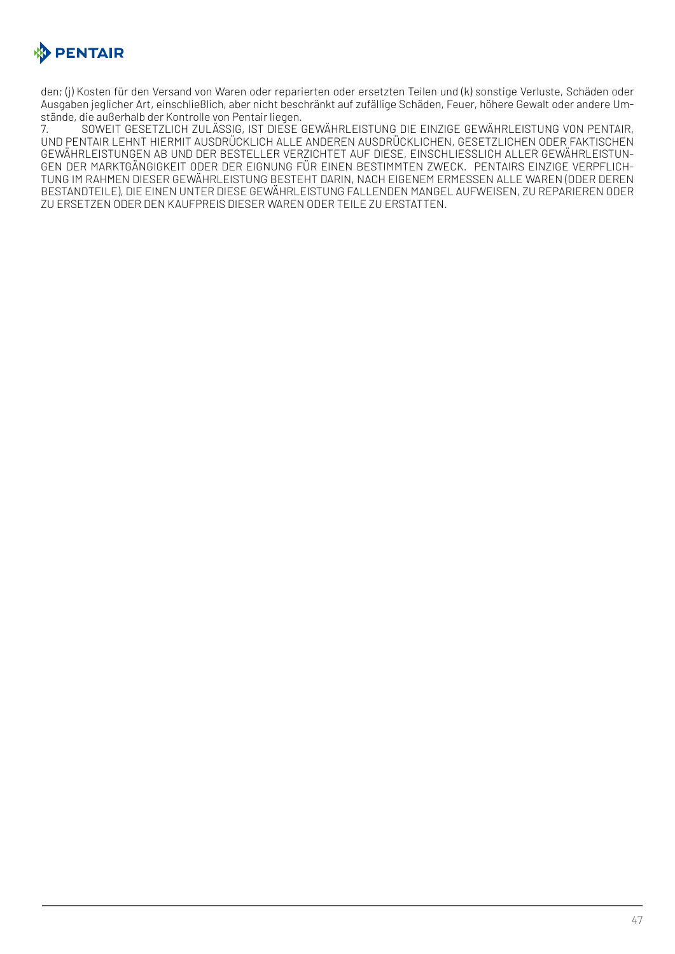

den; (j) Kosten für den Versand von Waren oder reparierten oder ersetzten Teilen und (k) sonstige Verluste, Schäden oder Ausgaben jeglicher Art, einschließlich, aber nicht beschränkt auf zufällige Schäden, Feuer, höhere Gewalt oder andere Umstände, die außerhalb der Kontrolle von Pentair liegen.

7. SOWEIT GESETZLICH ZULÄSSIG, IST DIESE GEWÄHRLEISTUNG DIE EINZIGE GEWÄHRLEISTUNG VON PENTAIR, UND PENTAIR LEHNT HIERMIT AUSDRÜCKLICH ALLE ANDEREN AUSDRÜCKLICHEN, GESETZLICHEN ODER FAKTISCHEN GEWÄHRLEISTUNGEN AB UND DER BESTELLER VERZICHTET AUF DIESE, EINSCHLIESSLICH ALLER GEWÄHRLEISTUN-GEN DER MARKTGÄNGIGKEIT ODER DER EIGNUNG FÜR EINEN BESTIMMTEN ZWECK. PENTAIRS EINZIGE VERPFLICH-TUNG IM RAHMEN DIESER GEWÄHRLEISTUNG BESTEHT DARIN, NACH EIGENEM ERMESSEN ALLE WAREN (ODER DEREN BESTANDTEILE), DIE EINEN UNTER DIESE GEWÄHRLEISTUNG FALLENDEN MANGEL AUFWEISEN, ZU REPARIEREN ODER ZU ERSETZEN ODER DEN KAUFPREIS DIESER WAREN ODER TEILE ZU ERSTATTEN.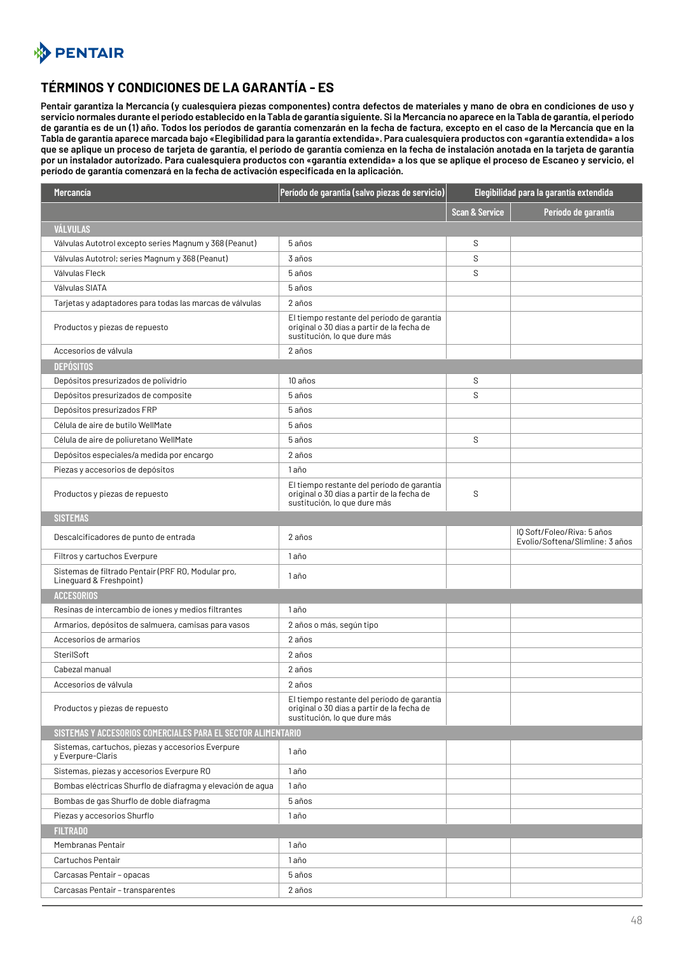<span id="page-47-0"></span>

## **TÉRMINOS Y CONDICIONES DE LA GARANTÍA - ES**

**Pentair garantiza la Mercancía (y cualesquiera piezas componentes) contra defectos de materiales y mano de obra en condiciones de uso y servicio normales durante el período establecido en la Tabla de garantía siguiente. Si la Mercancía no aparece en la Tabla de garantía, el período de garantía es de un (1) año. Todos los períodos de garantía comenzarán en la fecha de factura, excepto en el caso de la Mercancía que en la Tabla de garantía aparece marcada bajo «Elegibilidad para la garantía extendida». Para cualesquiera productos con «garantía extendida» a los que se aplique un proceso de tarjeta de garantía, el período de garantía comienza en la fecha de instalación anotada en la tarjeta de garantía por un instalador autorizado. Para cualesquiera productos con «garantía extendida» a los que se aplique el proceso de Escaneo y servicio, el período de garantía comenzará en la fecha de activación especificada en la aplicación.**

| <b>Mercancía</b>                                                              | Período de garantía (salvo piezas de servicio)                                                                           | Elegibilidad para la garantía extendida |                                                               |
|-------------------------------------------------------------------------------|--------------------------------------------------------------------------------------------------------------------------|-----------------------------------------|---------------------------------------------------------------|
|                                                                               |                                                                                                                          | <b>Scan &amp; Service</b>               | Período de garantía                                           |
| VÁLVULAS                                                                      |                                                                                                                          |                                         |                                                               |
| Válvulas Autotrol excepto series Magnum y 368 (Peanut)                        | 5 años                                                                                                                   | S                                       |                                                               |
| Válvulas Autotrol; series Magnum y 368 (Peanut)                               | 3 años                                                                                                                   | S                                       |                                                               |
| Válvulas Fleck                                                                | 5 años                                                                                                                   | S                                       |                                                               |
| Válvulas SIATA                                                                | 5 años                                                                                                                   |                                         |                                                               |
| Tarjetas y adaptadores para todas las marcas de válvulas                      | 2 años                                                                                                                   |                                         |                                                               |
| Productos y piezas de repuesto                                                | El tiempo restante del período de garantía<br>original o 30 días a partir de la fecha de<br>sustitución, lo que dure más |                                         |                                                               |
| Accesorios de válvula                                                         | 2 años                                                                                                                   |                                         |                                                               |
| <b>DEPÓSITOS</b>                                                              |                                                                                                                          |                                         |                                                               |
| Depósitos presurizados de polividrio                                          | 10 años                                                                                                                  | S                                       |                                                               |
| Depósitos presurizados de composite                                           | 5 años                                                                                                                   | S                                       |                                                               |
| Depósitos presurizados FRP                                                    | 5 años                                                                                                                   |                                         |                                                               |
| Célula de aire de butilo WellMate                                             | 5 años                                                                                                                   |                                         |                                                               |
| Célula de aire de poliuretano WellMate                                        | 5 años                                                                                                                   | S                                       |                                                               |
| Depósitos especiales/a medida por encargo                                     | 2 años                                                                                                                   |                                         |                                                               |
| Piezas y accesorios de depósitos                                              | 1año                                                                                                                     |                                         |                                                               |
| Productos y piezas de repuesto                                                | El tiempo restante del período de garantía<br>original o 30 días a partir de la fecha de<br>sustitución, lo que dure más | S                                       |                                                               |
| <b>SISTEMAS</b>                                                               |                                                                                                                          |                                         |                                                               |
| Descalcificadores de punto de entrada                                         | 2 años                                                                                                                   |                                         | IQ Soft/Foleo/Riva: 5 años<br>Evolio/Softena/Slimline: 3 años |
| Filtros y cartuchos Everpure                                                  | 1año                                                                                                                     |                                         |                                                               |
| Sistemas de filtrado Pentair (PRF RO, Modular pro,<br>Linequard & Freshpoint) | 1 año                                                                                                                    |                                         |                                                               |
| <b>ACCESORIOS</b>                                                             |                                                                                                                          |                                         |                                                               |
| Resinas de intercambio de iones y medios filtrantes                           | 1año                                                                                                                     |                                         |                                                               |
| Armarios, depósitos de salmuera, camisas para vasos                           | 2 años o más, según tipo                                                                                                 |                                         |                                                               |
| Accesorios de armarios                                                        | 2 años                                                                                                                   |                                         |                                                               |
| SterilSoft                                                                    | 2 años                                                                                                                   |                                         |                                                               |
| Cabezal manual                                                                | 2 años                                                                                                                   |                                         |                                                               |
| Accesorios de válvula                                                         | 2 años                                                                                                                   |                                         |                                                               |
| Productos y piezas de repuesto                                                | El tiempo restante del período de garantía<br>original o 30 días a partir de la fecha de<br>sustitución, lo que dure más |                                         |                                                               |
| SISTEMAS Y ACCESORIOS COMERCIALES PARA EL SECTOR ALIMENTARIO                  |                                                                                                                          |                                         |                                                               |
| Sistemas, cartuchos, piezas y accesorios Everpure<br>y Everpure-Claris        | 1año                                                                                                                     |                                         |                                                               |
| Sistemas, piezas y accesorios Everpure RO                                     | 1 año                                                                                                                    |                                         |                                                               |
| Bombas eléctricas Shurflo de diafragma y elevación de agua                    | 1 año                                                                                                                    |                                         |                                                               |
| Bombas de gas Shurflo de doble diafragma                                      | 5 años                                                                                                                   |                                         |                                                               |
| Piezas y accesorios Shurflo                                                   | 1 año                                                                                                                    |                                         |                                                               |
| <b>FILTRADO</b>                                                               |                                                                                                                          |                                         |                                                               |
| Membranas Pentair                                                             | 1año                                                                                                                     |                                         |                                                               |
| Cartuchos Pentair                                                             | 1 año                                                                                                                    |                                         |                                                               |
| Carcasas Pentair - opacas                                                     | 5 años                                                                                                                   |                                         |                                                               |
| Carcasas Pentair - transparentes                                              | 2 años                                                                                                                   |                                         |                                                               |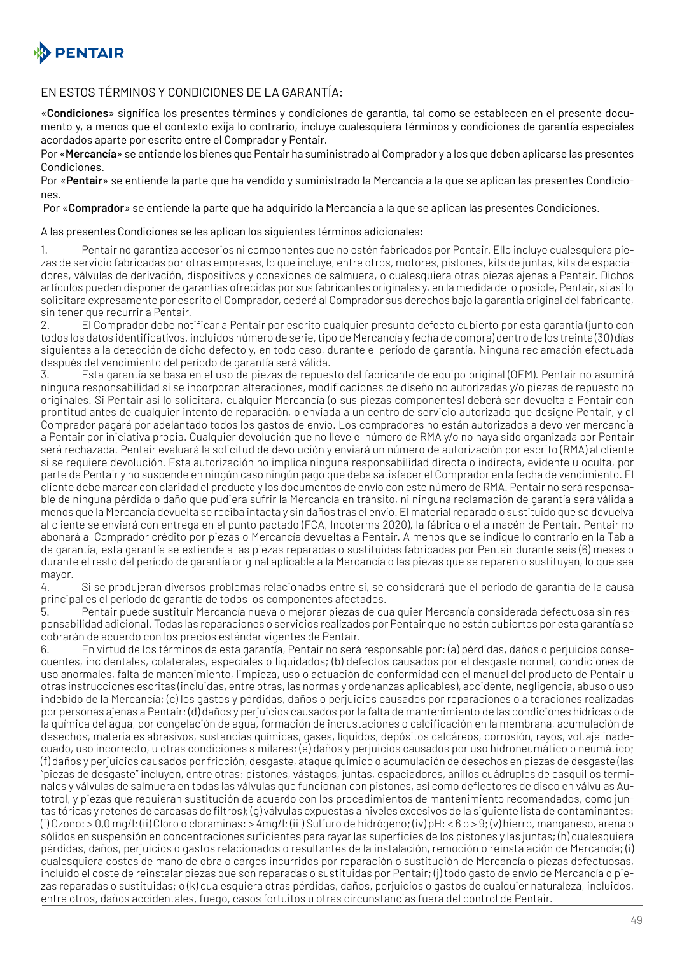

#### EN ESTOS TÉRMINOS Y CONDICIONES DE LA GARANTÍA:

«**Condiciones**» significa los presentes términos y condiciones de garantía, tal como se establecen en el presente documento y, a menos que el contexto exija lo contrario, incluye cualesquiera términos y condiciones de garantía especiales acordados aparte por escrito entre el Comprador y Pentair.

Por «**Mercancía**» se entiende los bienes que Pentair ha suministrado al Comprador y a los que deben aplicarse las presentes Condiciones.

Por «**Pentair**» se entiende la parte que ha vendido y suministrado la Mercancía a la que se aplican las presentes Condiciones.

Por «**Comprador**» se entiende la parte que ha adquirido la Mercancía a la que se aplican las presentes Condiciones.

A las presentes Condiciones se les aplican los siguientes términos adicionales:

1. Pentair no garantiza accesorios ni componentes que no estén fabricados por Pentair. Ello incluye cualesquiera piezas de servicio fabricadas por otras empresas, lo que incluye, entre otros, motores, pistones, kits de juntas, kits de espaciadores, válvulas de derivación, dispositivos y conexiones de salmuera, o cualesquiera otras piezas ajenas a Pentair. Dichos artículos pueden disponer de garantías ofrecidas por sus fabricantes originales y, en la medida de lo posible, Pentair, si así lo solicitara expresamente por escrito el Comprador, cederá al Comprador sus derechos bajo la garantía original del fabricante, sin tener que recurrir a Pentair.

2. El Comprador debe notificar a Pentair por escrito cualquier presunto defecto cubierto por esta garantía (junto con todos los datos identificativos, incluidos número de serie, tipo de Mercancía y fecha de compra) dentro de los treinta (30) días siguientes a la detección de dicho defecto y, en todo caso, durante el período de garantía. Ninguna reclamación efectuada después del vencimiento del período de garantía será válida.

3. Esta garantía se basa en el uso de piezas de repuesto del fabricante de equipo original (OEM). Pentair no asumirá ninguna responsabilidad si se incorporan alteraciones, modificaciones de diseño no autorizadas y/o piezas de repuesto no originales. Si Pentair así lo solicitara, cualquier Mercancía (o sus piezas componentes) deberá ser devuelta a Pentair con prontitud antes de cualquier intento de reparación, o enviada a un centro de servicio autorizado que designe Pentair, y el Comprador pagará por adelantado todos los gastos de envío. Los compradores no están autorizados a devolver mercancía a Pentair por iniciativa propia. Cualquier devolución que no lleve el número de RMA y/o no haya sido organizada por Pentair será rechazada. Pentair evaluará la solicitud de devolución y enviará un número de autorización por escrito (RMA) al cliente si se requiere devolución. Esta autorización no implica ninguna responsabilidad directa o indirecta, evidente u oculta, por parte de Pentair y no suspende en ningún caso ningún pago que deba satisfacer el Comprador en la fecha de vencimiento. El cliente debe marcar con claridad el producto y los documentos de envío con este número de RMA. Pentair no será responsable de ninguna pérdida o daño que pudiera sufrir la Mercancía en tránsito, ni ninguna reclamación de garantía será válida a menos que la Mercancía devuelta se reciba intacta y sin daños tras el envío. El material reparado o sustituido que se devuelva al cliente se enviará con entrega en el punto pactado (FCA, Incoterms 2020), la fábrica o el almacén de Pentair. Pentair no abonará al Comprador crédito por piezas o Mercancía devueltas a Pentair. A menos que se indique lo contrario en la Tabla de garantía, esta garantía se extiende a las piezas reparadas o sustituidas fabricadas por Pentair durante seis (6) meses o durante el resto del período de garantía original aplicable a la Mercancía o las piezas que se reparen o sustituyan, lo que sea mayor.

4. Si se produjeran diversos problemas relacionados entre sí, se considerará que el período de garantía de la causa principal es el período de garantía de todos los componentes afectados.

5. Pentair puede sustituir Mercancía nueva o mejorar piezas de cualquier Mercancía considerada defectuosa sin responsabilidad adicional. Todas las reparaciones o servicios realizados por Pentair que no estén cubiertos por esta garantía se cobrarán de acuerdo con los precios estándar vigentes de Pentair.

6. En virtud de los términos de esta garantía, Pentair no será responsable por: (a) pérdidas, daños o perjuicios consecuentes, incidentales, colaterales, especiales o liquidados; (b) defectos causados por el desgaste normal, condiciones de uso anormales, falta de mantenimiento, limpieza, uso o actuación de conformidad con el manual del producto de Pentair u otras instrucciones escritas (incluidas, entre otras, las normas y ordenanzas aplicables), accidente, negligencia, abuso o uso indebido de la Mercancía; (c) los gastos y pérdidas, daños o perjuicios causados por reparaciones o alteraciones realizadas por personas ajenas a Pentair; (d) daños y perjuicios causados por la falta de mantenimiento de las condiciones hídricas o de la química del agua, por congelación de agua, formación de incrustaciones o calcificación en la membrana, acumulación de desechos, materiales abrasivos, sustancias químicas, gases, líquidos, depósitos calcáreos, corrosión, rayos, voltaje inadecuado, uso incorrecto, u otras condiciones similares; (e) daños y perjuicios causados por uso hidroneumático o neumático; (f) daños y perjuicios causados por fricción, desgaste, ataque químico o acumulación de desechos en piezas de desgaste (las "piezas de desgaste" incluyen, entre otras: pistones, vástagos, juntas, espaciadores, anillos cuádruples de casquillos terminales y válvulas de salmuera en todas las válvulas que funcionan con pistones, así como deflectores de disco en válvulas Autotrol, y piezas que requieran sustitución de acuerdo con los procedimientos de mantenimiento recomendados, como juntas tóricas y retenes de carcasas de filtros); (g) válvulas expuestas a niveles excesivos de la siguiente lista de contaminantes: (i) Ozono: > 0,0 mg/l; (ii) Cloro o cloraminas: > 4mg/l; (iii) Sulfuro de hidrógeno; (iv) pH: < 6 o > 9; (v) hierro, manganeso, arena o sólidos en suspensión en concentraciones suficientes para rayar las superficies de los pistones y las juntas; (h) cualesquiera pérdidas, daños, perjuicios o gastos relacionados o resultantes de la instalación, remoción o reinstalación de Mercancía; (i) cualesquiera costes de mano de obra o cargos incurridos por reparación o sustitución de Mercancía o piezas defectuosas, incluido el coste de reinstalar piezas que son reparadas o sustituidas por Pentair; (j) todo gasto de envío de Mercancía o piezas reparadas o sustituidas; o (k) cualesquiera otras pérdidas, daños, perjuicios o gastos de cualquier naturaleza, incluidos, entre otros, daños accidentales, fuego, casos fortuitos u otras circunstancias fuera del control de Pentair.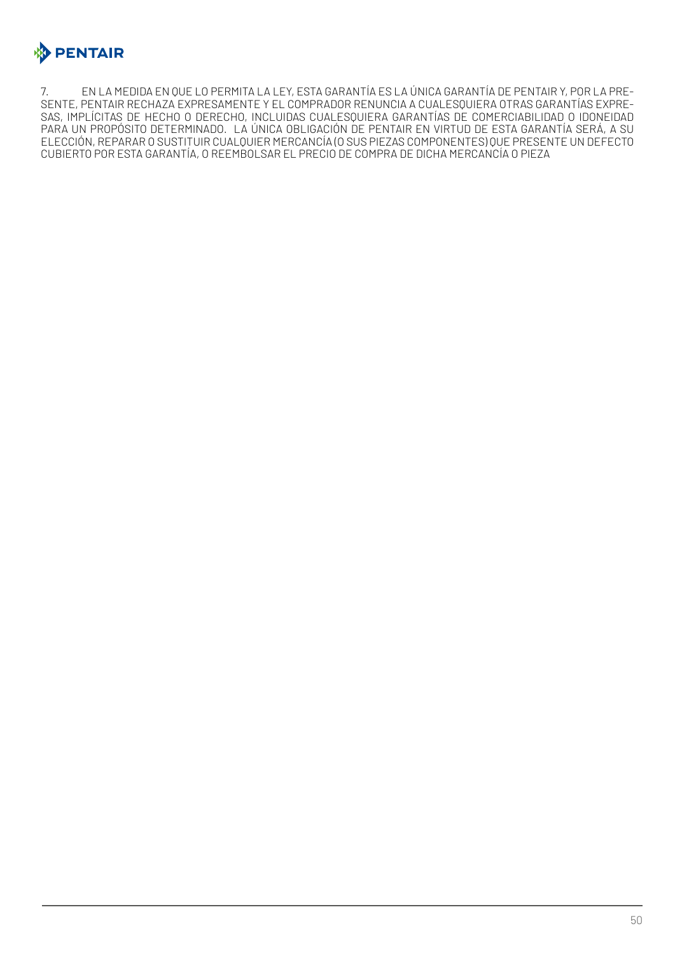

7. EN LA MEDIDA EN QUE LO PERMITA LA LEY, ESTA GARANTÍA ES LA ÚNICA GARANTÍA DE PENTAIR Y, POR LA PRE-SENTE, PENTAIR RECHAZA EXPRESAMENTE Y EL COMPRADOR RENUNCIA A CUALESQUIERA OTRAS GARANTÍAS EXPRE-SAS, IMPLÍCITAS DE HECHO O DERECHO, INCLUIDAS CUALESQUIERA GARANTÍAS DE COMERCIABILIDAD O IDONEIDAD PARA UN PROPÓSITO DETERMINADO. LA ÚNICA OBLIGACIÓN DE PENTAIR EN VIRTUD DE ESTA GARANTÍA SERÁ, A SU ELECCIÓN, REPARAR O SUSTITUIR CUALQUIER MERCANCÍA (O SUS PIEZAS COMPONENTES) QUE PRESENTE UN DEFECTO CUBIERTO POR ESTA GARANTÍA, O REEMBOLSAR EL PRECIO DE COMPRA DE DICHA MERCANCÍA O PIEZA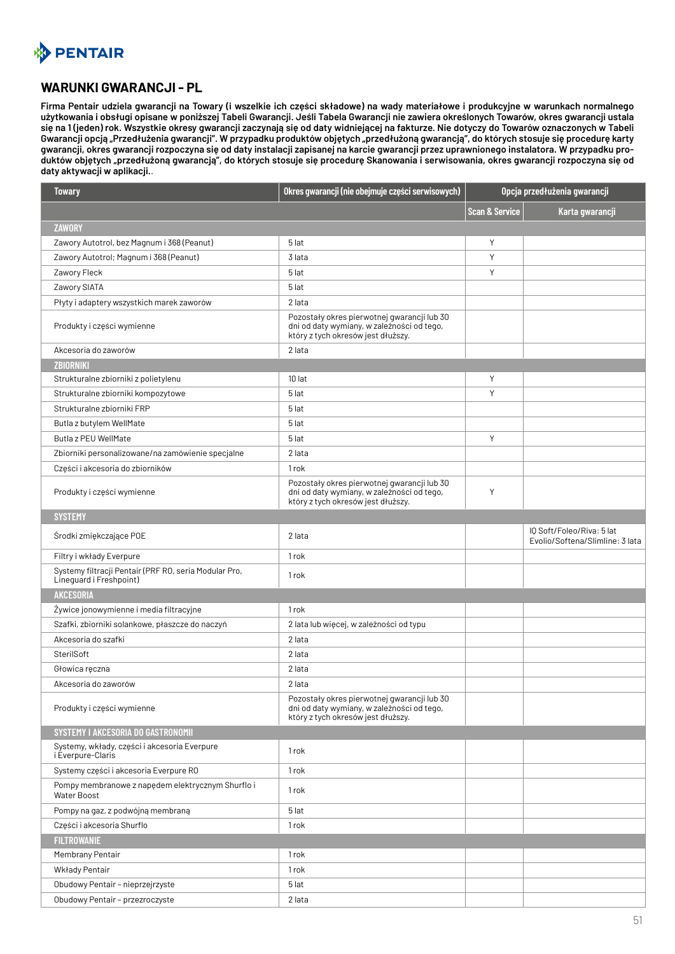# <span id="page-50-0"></span>**BENTAIR**

#### **WARUNKI GWARANCJI - PL**

**Firma Pentair udziela gwarancji na Towary (i wszelkie ich części składowe) na wady materiałowe i produkcyjne w warunkach normalnego użytkowania i obsługi opisane w poniższej Tabeli Gwarancji. Jeśli Tabela Gwarancji nie zawiera określonych Towarów, okres gwarancji ustala się na 1 (jeden) rok. Wszystkie okresy gwarancji zaczynają się od daty widniejącej na fakturze. Nie dotyczy do Towarów oznaczonych w Tabeli Gwarancji opcją "Przedłużenia gwarancji". W przypadku produktów objętych "przedłużoną gwarancją", do których stosuje się procedurę karty gwarancji, okres gwarancji rozpoczyna się od daty instalacji zapisanej na karcie gwarancji przez uprawnionego instalatora. W przypadku produktów objętych "przedłużoną gwarancją", do których stosuje się procedurę Skanowania i serwisowania, okres gwarancji rozpoczyna się od daty aktywacji w aplikacji.**.

| <b>Towary</b>                                                                    | Okres gwarancji (nie obejmuje części serwisowych)                                                                               | Opcja przedłużenia gwarancji |                                                              |
|----------------------------------------------------------------------------------|---------------------------------------------------------------------------------------------------------------------------------|------------------------------|--------------------------------------------------------------|
|                                                                                  |                                                                                                                                 | <b>Scan &amp; Service</b>    | Karta gwarancji                                              |
| <b>ZAWORY</b>                                                                    |                                                                                                                                 |                              |                                                              |
| Zawory Autotrol, bez Magnum i 368 (Peanut)                                       | 5 lat                                                                                                                           | Υ                            |                                                              |
| Zawory Autotrol; Magnum i 368 (Peanut)                                           | 3 lata                                                                                                                          | Y                            |                                                              |
| Zawory Fleck                                                                     | 5 lat                                                                                                                           | Y                            |                                                              |
| Zawory SIATA                                                                     | 5 lat                                                                                                                           |                              |                                                              |
| Płyty i adaptery wszystkich marek zaworów                                        | 2 lata                                                                                                                          |                              |                                                              |
| Produkty i części wymienne                                                       | Pozostały okres pierwotnej gwarancji lub 30<br>dni od daty wymiany, w zależności od tego,<br>który z tych okresów jest dłuższy. |                              |                                                              |
| Akcesoria do zaworów                                                             | 2 lata                                                                                                                          |                              |                                                              |
| <b>ZBIORNIKI</b>                                                                 |                                                                                                                                 |                              |                                                              |
| Strukturalne zbiorniki z polietylenu                                             | 10 lat                                                                                                                          | Y                            |                                                              |
| Strukturalne zbiorniki kompozytowe                                               | 5 lat                                                                                                                           | Y                            |                                                              |
| Strukturalne zbiorniki FRP                                                       | 5 lat                                                                                                                           |                              |                                                              |
| Butla z butylem WellMate                                                         | 5 lat                                                                                                                           |                              |                                                              |
| Butla z PEU WellMate                                                             | 5 lat                                                                                                                           | Y                            |                                                              |
| Zbiorniki personalizowane/na zamówienie specjalne                                | 2 lata                                                                                                                          |                              |                                                              |
| Części i akcesoria do zbiorników                                                 | 1 rok                                                                                                                           |                              |                                                              |
| Produkty i części wymienne                                                       | Pozostały okres pierwotnej gwarancji lub 30<br>dni od daty wymiany, w zależności od tego,<br>który z tych okresów jest dłuższy. | Y                            |                                                              |
| <b>SYSTEMY</b>                                                                   |                                                                                                                                 |                              |                                                              |
| Środki zmiękczające POE                                                          | 2 lata                                                                                                                          |                              | IQ Soft/Foleo/Riva: 5 lat<br>Evolio/Softena/Slimline: 3 lata |
| Filtry i wkłady Everpure                                                         | 1 rok                                                                                                                           |                              |                                                              |
| Systemy filtracji Pentair (PRF RO, seria Modular Pro,<br>Lineguard i Freshpoint) | 1 rok                                                                                                                           |                              |                                                              |
| <b>AKCESORIA</b>                                                                 |                                                                                                                                 |                              |                                                              |
| Żywice jonowymienne i media filtracyjne                                          | 1 rok                                                                                                                           |                              |                                                              |
| Szafki, zbiorniki solankowe, płaszcze do naczyń                                  | 2 lata lub więcej, w zależności od typu                                                                                         |                              |                                                              |
| Akcesoria do szafki                                                              | 2 lata                                                                                                                          |                              |                                                              |
| SterilSoft                                                                       | 2 lata                                                                                                                          |                              |                                                              |
| Głowica reczna                                                                   | 2 lata                                                                                                                          |                              |                                                              |
| Akcesoria do zaworów                                                             | 2 lata                                                                                                                          |                              |                                                              |
| Produkty i części wymienne                                                       | Pozostały okres pierwotnej gwarancji lub 30<br>dni od daty wymiany, w zależności od tego,<br>który z tych okresów jest dłuższy. |                              |                                                              |
| SYSTEMY I AKCESORIA DO GASTRONOMII                                               |                                                                                                                                 |                              |                                                              |
| Systemy, wkłady, części i akcesoria Everpure<br><i>i</i> Éverpure-Claris         | 1rok                                                                                                                            |                              |                                                              |
| Systemy części i akcesoria Everpure RO                                           | 1 rok                                                                                                                           |                              |                                                              |
| Pompy membranowe z napędem elektrycznym Shurflo i<br><b>Water Boost</b>          | 1 rok                                                                                                                           |                              |                                                              |
| Pompy na gaz, z podwójną membraną                                                | 5 lat                                                                                                                           |                              |                                                              |
| Cześci i akcesoria Shurflo                                                       | 1rok                                                                                                                            |                              |                                                              |
| <b>FILTROWANIE</b>                                                               |                                                                                                                                 |                              |                                                              |
| Membrany Pentair                                                                 | 1 rok                                                                                                                           |                              |                                                              |
| Wkłady Pentair                                                                   | 1rok                                                                                                                            |                              |                                                              |
| Obudowy Pentair - nieprzejrzyste                                                 | 5 lat                                                                                                                           |                              |                                                              |
| Obudowy Pentair - przezroczyste                                                  | 2 lata                                                                                                                          |                              |                                                              |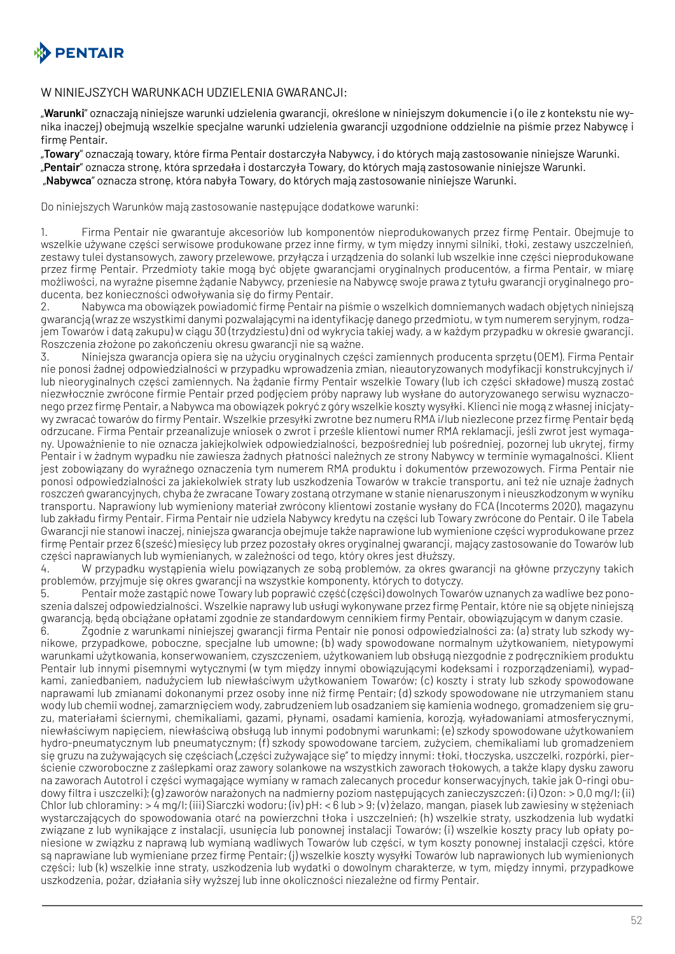

#### W NINIEJSZYCH WARUNKACH UDZIELENIA GWARANCJI:

"**Warunki**" oznaczają niniejsze warunki udzielenia gwarancji, określone w niniejszym dokumencie i (o ile z kontekstu nie wynika inaczej) obejmują wszelkie specjalne warunki udzielenia gwarancji uzgodnione oddzielnie na piśmie przez Nabywcę i firmę Pentair.

"**Towary**" oznaczają towary, które firma Pentair dostarczyła Nabywcy, i do których mają zastosowanie niniejsze Warunki. "**Pentair**" oznacza stronę, która sprzedała i dostarczyła Towary, do których mają zastosowanie niniejsze Warunki. "**Nabywca**" oznacza stronę, która nabyła Towary, do których mają zastosowanie niniejsze Warunki.

Do niniejszych Warunków mają zastosowanie następujące dodatkowe warunki:

1. Firma Pentair nie gwarantuje akcesoriów lub komponentów nieprodukowanych przez firmę Pentair. Obejmuje to wszelkie używane części serwisowe produkowane przez inne firmy, w tym między innymi silniki, tłoki, zestawy uszczelnień, zestawy tulei dystansowych, zawory przelewowe, przyłącza i urządzenia do solanki lub wszelkie inne części nieprodukowane przez firmę Pentair. Przedmioty takie mogą być objęte gwarancjami oryginalnych producentów, a firma Pentair, w miarę możliwości, na wyraźne pisemne żądanie Nabywcy, przeniesie na Nabywcę swoje prawa z tytułu gwarancji oryginalnego producenta, bez konieczności odwoływania się do firmy Pentair.

2. Nabywca ma obowiązek powiadomić firmę Pentair na piśmie o wszelkich domniemanych wadach objętych niniejszą gwarancją (wraz ze wszystkimi danymi pozwalającymi na identyfikację danego przedmiotu, w tym numerem seryjnym, rodzajem Towarów i datą zakupu) w ciągu 30 (trzydziestu) dni od wykrycia takiej wady, a w każdym przypadku w okresie gwarancji. Roszczenia złożone po zakończeniu okresu gwarancji nie są ważne.

3. Niniejsza gwarancja opiera się na użyciu oryginalnych części zamiennych producenta sprzętu (OEM). Firma Pentair nie ponosi żadnej odpowiedzialności w przypadku wprowadzenia zmian, nieautoryzowanych modyfikacji konstrukcyjnych i/ lub nieoryginalnych części zamiennych. Na żądanie firmy Pentair wszelkie Towary (lub ich części składowe) muszą zostać niezwłocznie zwrócone firmie Pentair przed podjęciem próby naprawy lub wysłane do autoryzowanego serwisu wyznaczonego przez firmę Pentair, a Nabywca ma obowiązek pokryć z góry wszelkie koszty wysyłki. Klienci nie mogą z własnej inicjatywy zwracać towarów do firmy Pentair. Wszelkie przesyłki zwrotne bez numeru RMA i/lub niezlecone przez firmę Pentair będą odrzucane. Firma Pentair przeanalizuje wniosek o zwrot i prześle klientowi numer RMA reklamacji, jeśli zwrot jest wymagany. Upoważnienie to nie oznacza jakiejkolwiek odpowiedzialności, bezpośredniej lub pośredniej, pozornej lub ukrytej, firmy Pentair i w żadnym wypadku nie zawiesza żadnych płatności należnych ze strony Nabywcy w terminie wymagalności. Klient jest zobowiązany do wyraźnego oznaczenia tym numerem RMA produktu i dokumentów przewozowych. Firma Pentair nie ponosi odpowiedzialności za jakiekolwiek straty lub uszkodzenia Towarów w trakcie transportu, ani też nie uznaje żadnych roszczeń gwarancyjnych, chyba że zwracane Towary zostaną otrzymane w stanie nienaruszonym i nieuszkodzonym w wyniku transportu. Naprawiony lub wymieniony materiał zwrócony klientowi zostanie wysłany do FCA (Incoterms 2020), magazynu lub zakładu firmy Pentair. Firma Pentair nie udziela Nabywcy kredytu na części lub Towary zwrócone do Pentair. O ile Tabela Gwarancji nie stanowi inaczej, niniejsza gwarancja obejmuje także naprawione lub wymienione części wyprodukowane przez firmę Pentair przez 6 (sześć) miesięcy lub przez pozostały okres oryginalnej gwarancji, mający zastosowanie do Towarów lub części naprawianych lub wymienianych, w zależności od tego, który okres jest dłuższy.

4. W przypadku wystąpienia wielu powiązanych ze sobą problemów, za okres gwarancji na główne przyczyny takich problemów, przyjmuje się okres gwarancji na wszystkie komponenty, których to dotyczy.

5. Pentair może zastąpić nowe Towary lub poprawić część (części) dowolnych Towarów uznanych za wadliwe bez ponoszenia dalszej odpowiedzialności. Wszelkie naprawy lub usługi wykonywane przez firmę Pentair, które nie są objęte niniejszą gwarancją, będą obciążane opłatami zgodnie ze standardowym cennikiem firmy Pentair, obowiązującym w danym czasie.

6. Zgodnie z warunkami niniejszej gwarancji firma Pentair nie ponosi odpowiedzialności za: (a) straty lub szkody wynikowe, przypadkowe, poboczne, specjalne lub umowne; (b) wady spowodowane normalnym użytkowaniem, nietypowymi warunkami użytkowania, konserwowaniem, czyszczeniem, użytkowaniem lub obsługą niezgodnie z podręcznikiem produktu Pentair lub innymi pisemnymi wytycznymi (w tym między innymi obowiązującymi kodeksami i rozporządzeniami), wypadkami, zaniedbaniem, nadużyciem lub niewłaściwym użytkowaniem Towarów; (c) koszty i straty lub szkody spowodowane naprawami lub zmianami dokonanymi przez osoby inne niż firmę Pentair; (d) szkody spowodowane nie utrzymaniem stanu wody lub chemii wodnej, zamarznięciem wody, zabrudzeniem lub osadzaniem się kamienia wodnego, gromadzeniem się gruzu, materiałami ściernymi, chemikaliami, gazami, płynami, osadami kamienia, korozją, wyładowaniami atmosferycznymi, niewłaściwym napięciem, niewłaściwą obsługą lub innymi podobnymi warunkami; (e) szkody spowodowane użytkowaniem hydro-pneumatycznym lub pneumatycznym; (f) szkody spowodowane tarciem, zużyciem, chemikaliami lub gromadzeniem się gruzu na zużywających się częściach ("części zużywające się" to między innymi: tłoki, tłoczyska, uszczelki, rozpórki, pierścienie czworoboczne z zaślepkami oraz zawory solankowe na wszystkich zaworach tłokowych, a także klapy dysku zaworu na zaworach Autotrol i części wymagające wymiany w ramach zalecanych procedur konserwacyjnych, takie jak O-ringi obudowy filtra i uszczelki); (g) zaworów narażonych na nadmierny poziom następujących zanieczyszczeń: (i) Ozon: > 0,0 mg/l; (ii) Chlor lub chloraminy: > 4 mg/l; (iii) Siarczki wodoru; (iv) pH: < 6 lub > 9; (v) żelazo, mangan, piasek lub zawiesiny w stężeniach wystarczających do spowodowania otarć na powierzchni tłoka i uszczelnień; (h) wszelkie straty, uszkodzenia lub wydatki związane z lub wynikające z instalacji, usunięcia lub ponownej instalacji Towarów; (i) wszelkie koszty pracy lub opłaty poniesione w związku z naprawą lub wymianą wadliwych Towarów lub części, w tym koszty ponownej instalacji części, które są naprawiane lub wymieniane przez firmę Pentair; (j) wszelkie koszty wysyłki Towarów lub naprawionych lub wymienionych części; lub (k) wszelkie inne straty, uszkodzenia lub wydatki o dowolnym charakterze, w tym, między innymi, przypadkowe uszkodzenia, pożar, działania siły wyższej lub inne okoliczności niezależne od firmy Pentair.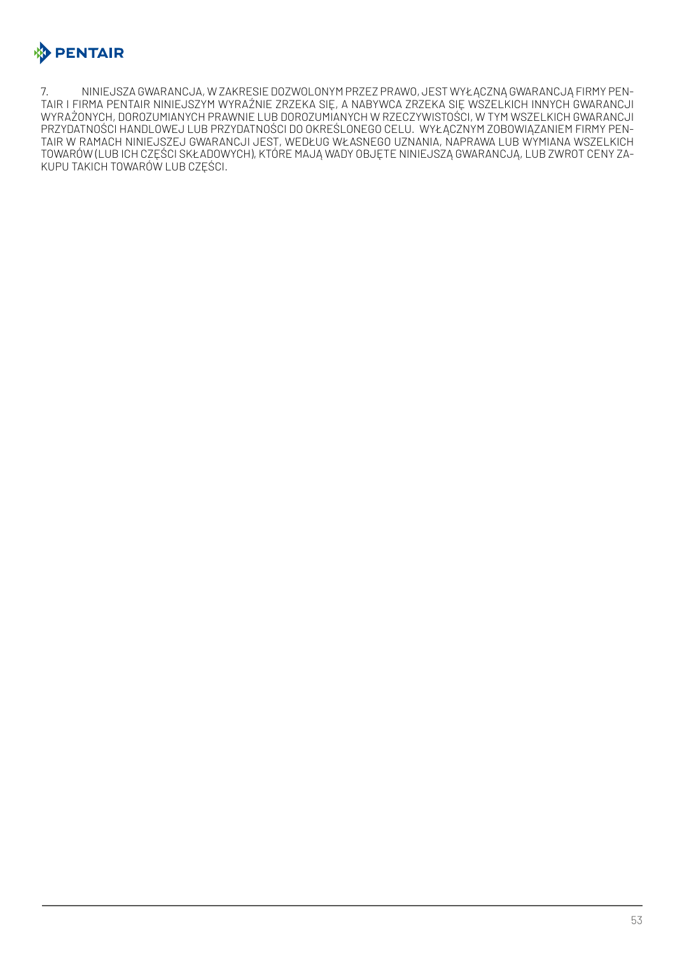

7. NINIEJSZA GWARANCJA, W ZAKRESIE DOZWOLONYM PRZEZ PRAWO, JEST WYŁĄCZNĄ GWARANCJĄ FIRMY PEN-TAIR I FIRMA PENTAIR NINIEJSZYM WYRAŹNIE ZRZEKA SIĘ, A NABYWCA ZRZEKA SIĘ WSZELKICH INNYCH GWARANCJI WYRAŻONYCH, DOROZUMIANYCH PRAWNIE LUB DOROZUMIANYCH W RZECZYWISTOŚCI, W TYM WSZELKICH GWARANCJI PRZYDATNOŚCI HANDLOWEJ LUB PRZYDATNOŚCI DO OKREŚLONEGO CELU. WYŁĄCZNYM ZOBOWIĄZANIEM FIRMY PEN-TAIR W RAMACH NINIEJSZEJ GWARANCJI JEST, WEDŁUG WŁASNEGO UZNANIA, NAPRAWA LUB WYMIANA WSZELKICH TOWARÓW (LUB ICH CZĘŚCI SKŁADOWYCH), KTÓRE MAJĄ WADY OBJĘTE NINIEJSZĄ GWARANCJĄ, LUB ZWROT CENY ZA-KUPU TAKICH TOWARÓW LUB CZĘŚCI.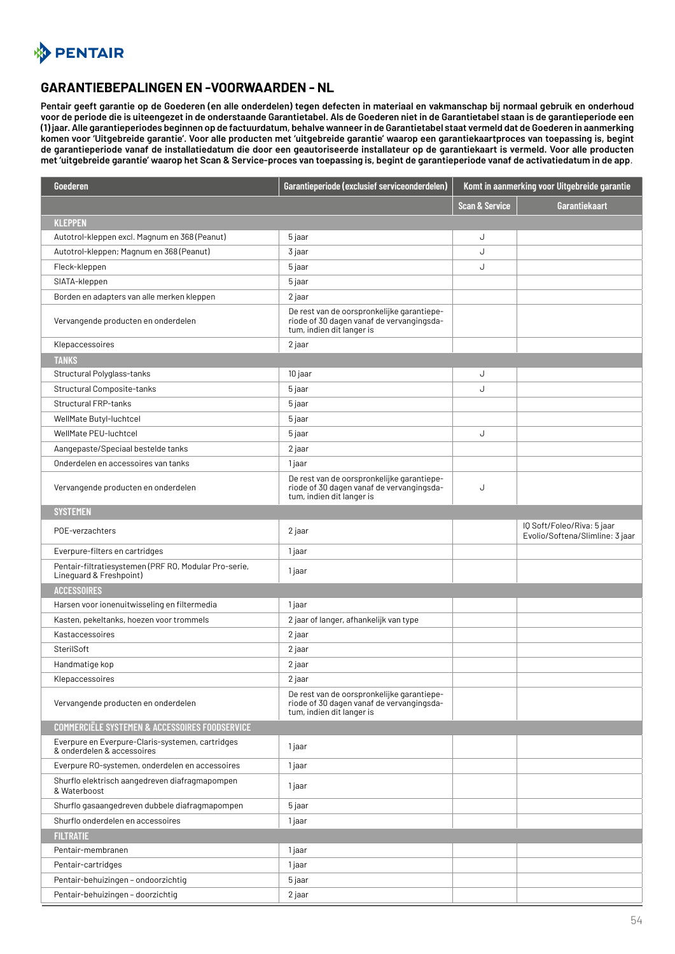<span id="page-53-0"></span>

#### **GARANTIEBEPALINGEN EN -VOORWAARDEN - NL**

**Pentair geeft garantie op de Goederen (en alle onderdelen) tegen defecten in materiaal en vakmanschap bij normaal gebruik en onderhoud voor de periode die is uiteengezet in de onderstaande Garantietabel. Als de Goederen niet in de Garantietabel staan is de garantieperiode een (1) jaar. Alle garantieperiodes beginnen op de factuurdatum, behalve wanneer in de Garantietabel staat vermeld dat de Goederen in aanmerking komen voor 'Uitgebreide garantie'. Voor alle producten met 'uitgebreide garantie' waarop een garantiekaartproces van toepassing is, begint de garantieperiode vanaf de installatiedatum die door een geautoriseerde installateur op de garantiekaart is vermeld. Voor alle producten met 'uitgebreide garantie' waarop het Scan & Service-proces van toepassing is, begint de garantieperiode vanaf de activatiedatum in de app**.

| Goederen                                                                         | Garantieperiode (exclusief serviceonderdelen)                                                                        | Komt in aanmerking voor Uitgebreide garantie |                                                               |
|----------------------------------------------------------------------------------|----------------------------------------------------------------------------------------------------------------------|----------------------------------------------|---------------------------------------------------------------|
|                                                                                  |                                                                                                                      | <b>Scan &amp; Service</b>                    | <b>Garantiekaart</b>                                          |
| <b>KLEPPEN</b>                                                                   |                                                                                                                      |                                              |                                                               |
| Autotrol-kleppen excl. Magnum en 368 (Peanut)                                    | 5 jaar                                                                                                               | J                                            |                                                               |
| Autotrol-kleppen; Magnum en 368 (Peanut)                                         | 3 jaar                                                                                                               | J                                            |                                                               |
| Fleck-kleppen                                                                    | 5 jaar                                                                                                               | J                                            |                                                               |
| SIATA-kleppen                                                                    | 5 jaar                                                                                                               |                                              |                                                               |
| Borden en adapters van alle merken kleppen                                       | 2 jaar                                                                                                               |                                              |                                                               |
| Vervangende producten en onderdelen                                              | De rest van de oorspronkelijke garantiepe-<br>riode of 30 dagen vanaf de vervangingsda-<br>tum, indien dit langer is |                                              |                                                               |
| Klepaccessoires                                                                  | 2 jaar                                                                                                               |                                              |                                                               |
| <b>TANKS</b>                                                                     |                                                                                                                      |                                              |                                                               |
| Structural Polyglass-tanks                                                       | 10 jaar                                                                                                              | J                                            |                                                               |
| Structural Composite-tanks                                                       | 5 jaar                                                                                                               | J                                            |                                                               |
| <b>Structural FRP-tanks</b>                                                      | 5 jaar                                                                                                               |                                              |                                                               |
| WellMate Butyl-luchtcel                                                          | 5 jaar                                                                                                               |                                              |                                                               |
| WellMate PEU-luchtcel                                                            | 5 jaar                                                                                                               | J                                            |                                                               |
| Aangepaste/Speciaal bestelde tanks                                               | 2 jaar                                                                                                               |                                              |                                                               |
| Onderdelen en accessoires van tanks                                              | 1 jaar                                                                                                               |                                              |                                                               |
| Vervangende producten en onderdelen                                              | De rest van de oorspronkelijke garantiepe-<br>riode of 30 dagen vanaf de vervangingsda-<br>tum, indien dit langer is | J                                            |                                                               |
| <b>SYSTEMEN</b>                                                                  |                                                                                                                      |                                              |                                                               |
| POE-verzachters                                                                  | 2 jaar                                                                                                               |                                              | IQ Soft/Foleo/Riva: 5 jaar<br>Evolio/Softena/Slimline: 3 jaar |
| Everpure-filters en cartridges                                                   | 1 jaar                                                                                                               |                                              |                                                               |
| Pentair-filtratiesystemen (PRF RO, Modular Pro-serie,<br>Lineguard & Freshpoint) | 1 jaar                                                                                                               |                                              |                                                               |
| <b>ACCESSOIRES</b>                                                               |                                                                                                                      |                                              |                                                               |
| Harsen voor ionenuitwisseling en filtermedia                                     | 1 jaar                                                                                                               |                                              |                                                               |
| Kasten, pekeltanks, hoezen voor trommels                                         | 2 jaar of langer, afhankelijk van type                                                                               |                                              |                                                               |
| Kastaccessoires                                                                  | 2 jaar                                                                                                               |                                              |                                                               |
| SterilSoft                                                                       | 2 jaar                                                                                                               |                                              |                                                               |
| Handmatige kop                                                                   | 2 jaar                                                                                                               |                                              |                                                               |
| Klepaccessoires                                                                  | 2 jaar                                                                                                               |                                              |                                                               |
| Vervangende producten en onderdelen                                              | De rest van de oorspronkelijke garantiepe-<br>riode of 30 dagen vanaf de vervangingsda-<br>tum, indien dit langer is |                                              |                                                               |
| <b>COMMERCIËLE SYSTEMEN &amp; ACCESSOIRES FOODSERVICE</b>                        |                                                                                                                      |                                              |                                                               |
| Everpure en Everpure-Claris-systemen, cartridges<br>& onderdelen & accessoires   | 1 jaar                                                                                                               |                                              |                                                               |
| Everpure RO-systemen, onderdelen en accessoires                                  | 1 jaar                                                                                                               |                                              |                                                               |
| Shurflo elektrisch aangedreven diafragmapompen<br>& Waterboost                   | 1 jaar                                                                                                               |                                              |                                                               |
| Shurflo qasaanqedreven dubbele diafraqmapompen                                   | 5 jaar                                                                                                               |                                              |                                                               |
| Shurflo onderdelen en accessoires                                                | 1 jaar                                                                                                               |                                              |                                                               |
| <b>FILTRATIE</b>                                                                 |                                                                                                                      |                                              |                                                               |
| Pentair-membranen                                                                | 1 jaar                                                                                                               |                                              |                                                               |
| Pentair-cartridges                                                               | 1 jaar                                                                                                               |                                              |                                                               |
| Pentair-behuizingen - ondoorzichtig                                              | 5 jaar                                                                                                               |                                              |                                                               |
| Pentair-behuizingen - doorzichtig                                                | 2 jaar                                                                                                               |                                              |                                                               |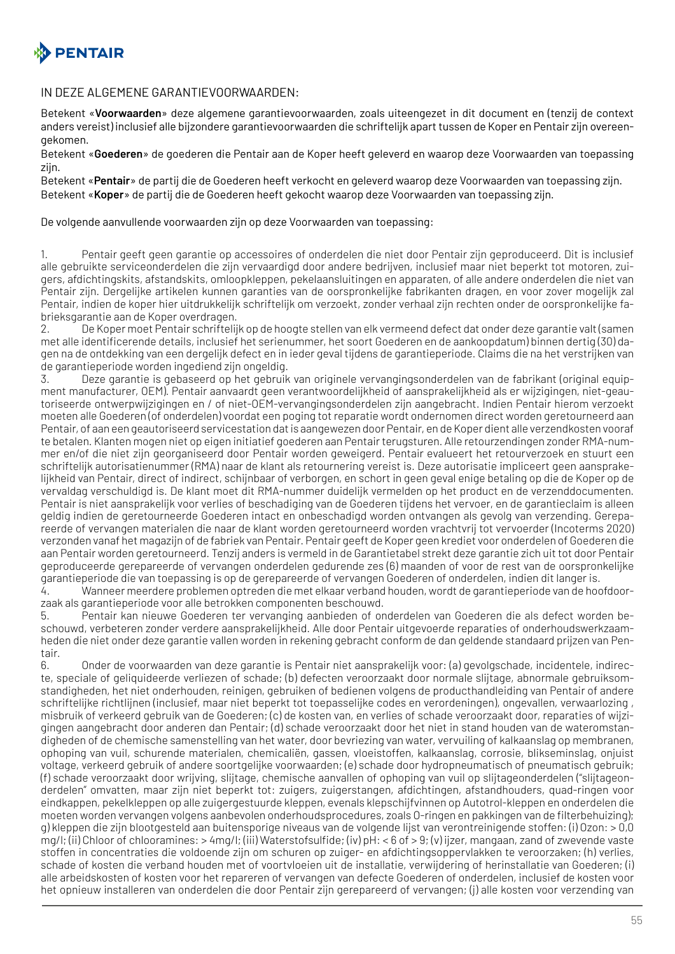

#### IN DEZE ALGEMENE GARANTIEVOORWAARDEN:

Betekent «**Voorwaarden**» deze algemene garantievoorwaarden, zoals uiteengezet in dit document en (tenzij de context anders vereist) inclusief alle bijzondere garantievoorwaarden die schriftelijk apart tussen de Koper en Pentair zijn overeengekomen.

Betekent «**Goederen**» de goederen die Pentair aan de Koper heeft geleverd en waarop deze Voorwaarden van toepassing zijn.

Betekent «**Pentair**» de partij die de Goederen heeft verkocht en geleverd waarop deze Voorwaarden van toepassing zijn. Betekent «**Koper**» de partij die de Goederen heeft gekocht waarop deze Voorwaarden van toepassing zijn.

De volgende aanvullende voorwaarden zijn op deze Voorwaarden van toepassing:

1. Pentair geeft geen garantie op accessoires of onderdelen die niet door Pentair zijn geproduceerd. Dit is inclusief alle gebruikte serviceonderdelen die zijn vervaardigd door andere bedrijven, inclusief maar niet beperkt tot motoren, zuigers, afdichtingskits, afstandskits, omloopkleppen, pekelaansluitingen en apparaten, of alle andere onderdelen die niet van Pentair zijn. Dergelijke artikelen kunnen garanties van de oorspronkelijke fabrikanten dragen, en voor zover mogelijk zal Pentair, indien de koper hier uitdrukkelijk schriftelijk om verzoekt, zonder verhaal zijn rechten onder de oorspronkelijke fabrieksgarantie aan de Koper overdragen.

2. De Koper moet Pentair schriftelijk op de hoogte stellen van elk vermeend defect dat onder deze garantie valt (samen met alle identificerende details, inclusief het serienummer, het soort Goederen en de aankoopdatum) binnen dertig (30) dagen na de ontdekking van een dergelijk defect en in ieder geval tijdens de garantieperiode. Claims die na het verstrijken van de garantieperiode worden ingediend zijn ongeldig.

3. Deze garantie is gebaseerd op het gebruik van originele vervangingsonderdelen van de fabrikant (original equipment manufacturer, OEM). Pentair aanvaardt geen verantwoordelijkheid of aansprakelijkheid als er wijzigingen, niet-geautoriseerde ontwerpwijzigingen en / of niet-OEM-vervangingsonderdelen zijn aangebracht. Indien Pentair hierom verzoekt moeten alle Goederen (of onderdelen) voordat een poging tot reparatie wordt ondernomen direct worden geretourneerd aan Pentair, of aan een geautoriseerd servicestation dat is aangewezen door Pentair, en de Koper dient alle verzendkosten vooraf te betalen. Klanten mogen niet op eigen initiatief goederen aan Pentair terugsturen. Alle retourzendingen zonder RMA-nummer en/of die niet zijn georganiseerd door Pentair worden geweigerd. Pentair evalueert het retourverzoek en stuurt een schriftelijk autorisatienummer (RMA) naar de klant als retournering vereist is. Deze autorisatie impliceert geen aansprakelijkheid van Pentair, direct of indirect, schijnbaar of verborgen, en schort in geen geval enige betaling op die de Koper op de vervaldag verschuldigd is. De klant moet dit RMA-nummer duidelijk vermelden op het product en de verzenddocumenten. Pentair is niet aansprakelijk voor verlies of beschadiging van de Goederen tijdens het vervoer, en de garantieclaim is alleen geldig indien de geretourneerde Goederen intact en onbeschadigd worden ontvangen als gevolg van verzending. Gerepareerde of vervangen materialen die naar de klant worden geretourneerd worden vrachtvrij tot vervoerder (Incoterms 2020) verzonden vanaf het magazijn of de fabriek van Pentair. Pentair geeft de Koper geen krediet voor onderdelen of Goederen die aan Pentair worden geretourneerd. Tenzij anders is vermeld in de Garantietabel strekt deze garantie zich uit tot door Pentair geproduceerde gerepareerde of vervangen onderdelen gedurende zes (6) maanden of voor de rest van de oorspronkelijke garantieperiode die van toepassing is op de gerepareerde of vervangen Goederen of onderdelen, indien dit langer is.

4. Wanneer meerdere problemen optreden die met elkaar verband houden, wordt de garantieperiode van de hoofdoorzaak als garantieperiode voor alle betrokken componenten beschouwd.

5. Pentair kan nieuwe Goederen ter vervanging aanbieden of onderdelen van Goederen die als defect worden beschouwd, verbeteren zonder verdere aansprakelijkheid. Alle door Pentair uitgevoerde reparaties of onderhoudswerkzaamheden die niet onder deze garantie vallen worden in rekening gebracht conform de dan geldende standaard prijzen van Pentair.

6. Onder de voorwaarden van deze garantie is Pentair niet aansprakelijk voor: (a) gevolgschade, incidentele, indirecte, speciale of geliquideerde verliezen of schade; (b) defecten veroorzaakt door normale slijtage, abnormale gebruiksomstandigheden, het niet onderhouden, reinigen, gebruiken of bedienen volgens de producthandleiding van Pentair of andere schriftelijke richtlijnen (inclusief, maar niet beperkt tot toepasselijke codes en verordeningen), ongevallen, verwaarlozing , misbruik of verkeerd gebruik van de Goederen; (c) de kosten van, en verlies of schade veroorzaakt door, reparaties of wijzigingen aangebracht door anderen dan Pentair; (d) schade veroorzaakt door het niet in stand houden van de wateromstandigheden of de chemische samenstelling van het water, door bevriezing van water, vervuiling of kalkaanslag op membranen, ophoping van vuil, schurende materialen, chemicaliën, gassen, vloeistoffen, kalkaanslag, corrosie, blikseminslag, onjuist voltage, verkeerd gebruik of andere soortgelijke voorwaarden; (e) schade door hydropneumatisch of pneumatisch gebruik; (f) schade veroorzaakt door wrijving, slijtage, chemische aanvallen of ophoping van vuil op slijtageonderdelen ("slijtageonderdelen" omvatten, maar zijn niet beperkt tot: zuigers, zuigerstangen, afdichtingen, afstandhouders, quad-ringen voor eindkappen, pekelkleppen op alle zuigergestuurde kleppen, evenals klepschijfvinnen op Autotrol-kleppen en onderdelen die moeten worden vervangen volgens aanbevolen onderhoudsprocedures, zoals O-ringen en pakkingen van de filterbehuizing); g) kleppen die zijn blootgesteld aan buitensporige niveaus van de volgende lijst van verontreinigende stoffen: (i) Ozon: > 0,0 mg/l; (ii) Chloor of chlooramines: > 4mg/l; (iii) Waterstofsulfide; (iv) pH: < 6 of > 9; (v) ijzer, mangaan, zand of zwevende vaste stoffen in concentraties die voldoende zijn om schuren op zuiger- en afdichtingsoppervlakken te veroorzaken; (h) verlies, schade of kosten die verband houden met of voortvloeien uit de installatie, verwijdering of herinstallatie van Goederen; (i) alle arbeidskosten of kosten voor het repareren of vervangen van defecte Goederen of onderdelen, inclusief de kosten voor het opnieuw installeren van onderdelen die door Pentair zijn gerepareerd of vervangen; (j) alle kosten voor verzending van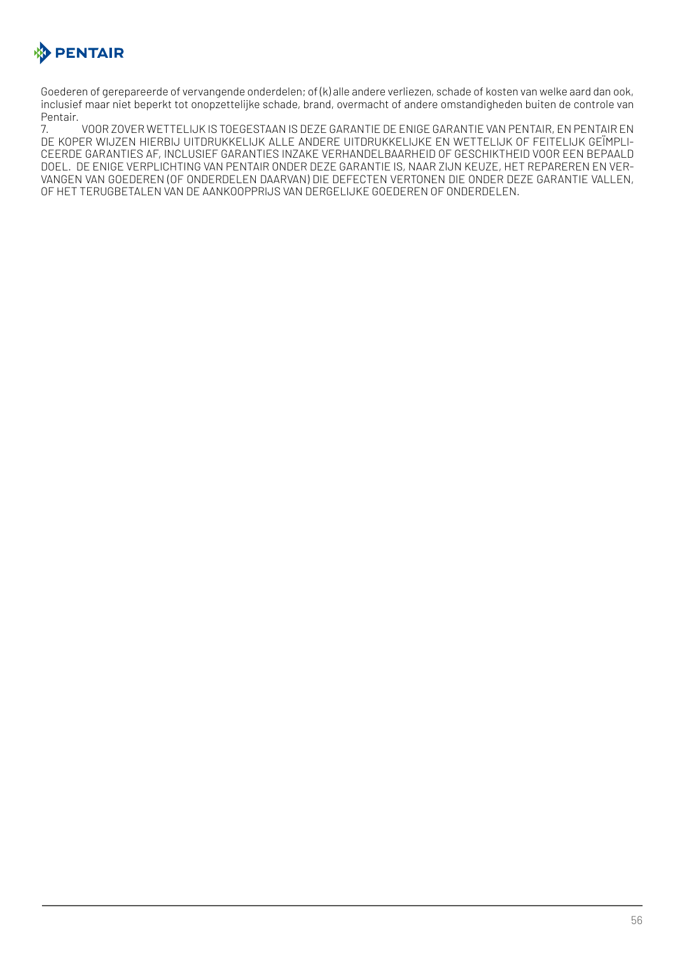

Goederen of gerepareerde of vervangende onderdelen; of (k) alle andere verliezen, schade of kosten van welke aard dan ook, inclusief maar niet beperkt tot onopzettelijke schade, brand, overmacht of andere omstandigheden buiten de controle van Pentair.

7. VOOR ZOVER WETTELIJK IS TOEGESTAAN IS DEZE GARANTIE DE ENIGE GARANTIE VAN PENTAIR, EN PENTAIR EN DE KOPER WIJZEN HIERBIJ UITDRUKKELIJK ALLE ANDERE UITDRUKKELIJKE EN WETTELIJK OF FEITELIJK GEÏMPLI-CEERDE GARANTIES AF, INCLUSIEF GARANTIES INZAKE VERHANDELBAARHEID OF GESCHIKTHEID VOOR EEN BEPAALD DOEL. DE ENIGE VERPLICHTING VAN PENTAIR ONDER DEZE GARANTIE IS, NAAR ZIJN KEUZE, HET REPAREREN EN VER-VANGEN VAN GOEDEREN (OF ONDERDELEN DAARVAN) DIE DEFECTEN VERTONEN DIE ONDER DEZE GARANTIE VALLEN, OF HET TERUGBETALEN VAN DE AANKOOPPRIJS VAN DERGELIJKE GOEDEREN OF ONDERDELEN.